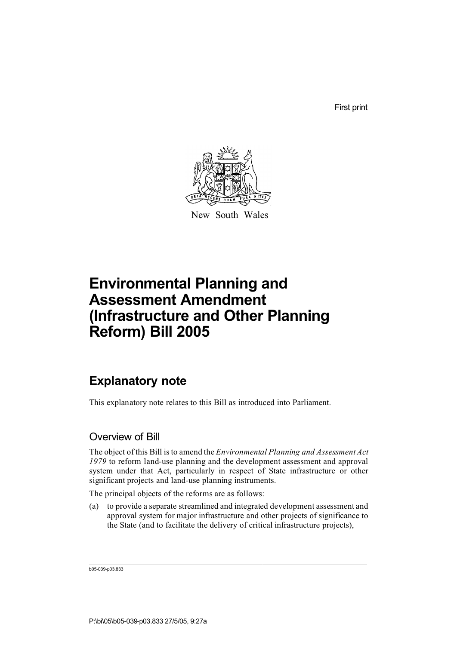First print



New South Wales

# **Environmental Planning and Assessment Amendment (Infrastructure and Other Planning Reform) Bill 2005**

## **Explanatory note**

This explanatory note relates to this Bill as introduced into Parliament.

#### Overview of Bill

The object of this Bill isto amend the *Environmental Planning and Assessment Act 1979* to reform land-use planning and the development assessment and approval system under that Act, particularly in respect of State infrastructure or other significant projects and land-use planning instruments.

The principal objects of the reforms are as follows:

(a) to provide a separate streamlined and integrated development assessment and approval system for major infrastructure and other projects of significance to the State (and to facilitate the delivery of critical infrastructure projects),

b05-039-p03.833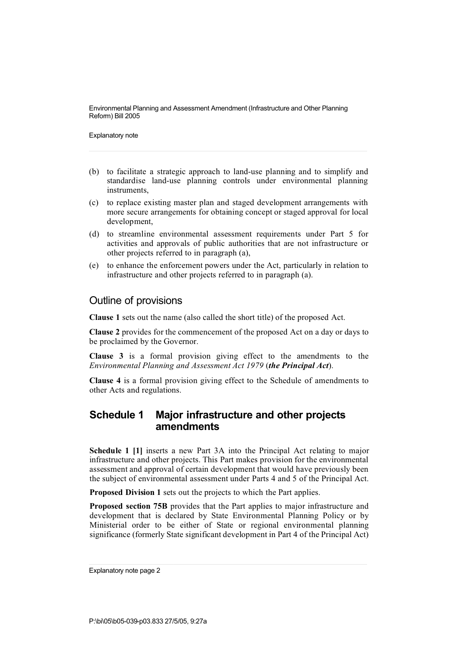Explanatory note

- (b) to facilitate a strategic approach to land-use planning and to simplify and standardise land-use planning controls under environmental planning instruments,
- (c) to replace existing master plan and staged development arrangements with more secure arrangements for obtaining concept or staged approval for local development,
- (d) to streamline environmental assessment requirements under Part 5 for activities and approvals of public authorities that are not infrastructure or other projects referred to in paragraph (a),
- (e) to enhance the enforcement powers under the Act, particularly in relation to infrastructure and other projects referred to in paragraph (a).

#### Outline of provisions

**Clause 1** sets out the name (also called the short title) of the proposed Act.

**Clause 2** provides for the commencement of the proposed Act on a day or days to be proclaimed by the Governor.

**Clause 3** is a formal provision giving effect to the amendments to the *Environmental Planning and Assessment Act 1979* (*the Principal Act*).

**Clause 4** is a formal provision giving effect to the Schedule of amendments to other Acts and regulations.

#### **Schedule 1 Major infrastructure and other projects amendments**

**Schedule 1 [1]** inserts a new Part 3A into the Principal Act relating to major infrastructure and other projects. This Part makes provision for the environmental assessment and approval of certain development that would have previously been the subject of environmental assessment under Parts 4 and 5 of the Principal Act.

**Proposed Division 1** sets out the projects to which the Part applies.

**Proposed section 75B** provides that the Part applies to major infrastructure and development that is declared by State Environmental Planning Policy or by Ministerial order to be either of State or regional environmental planning significance (formerly State significant development in Part 4 of the Principal Act)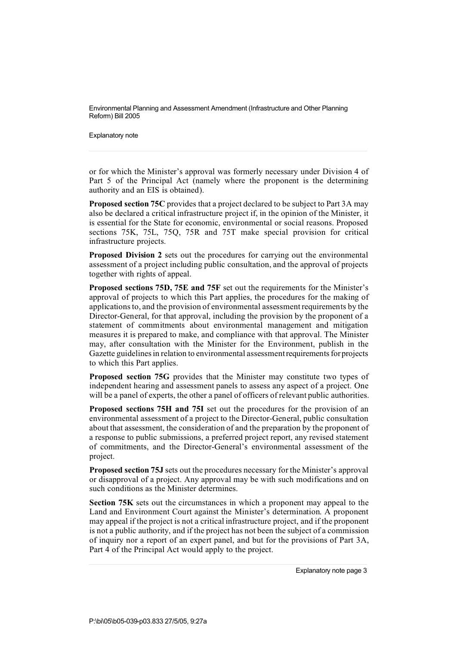Explanatory note

or for which the Minister's approval was formerly necessary under Division 4 of Part 5 of the Principal Act (namely where the proponent is the determining authority and an EIS is obtained).

**Proposed section 75C** provides that a project declared to be subject to Part 3A may also be declared a critical infrastructure project if, in the opinion of the Minister, it is essential for the State for economic, environmental or social reasons. Proposed sections 75K, 75L, 75Q, 75R and 75T make special provision for critical infrastructure projects.

**Proposed Division 2** sets out the procedures for carrying out the environmental assessment of a project including public consultation, and the approval of projects together with rights of appeal.

**Proposed sections 75D, 75E and 75F** set out the requirements for the Minister's approval of projects to which this Part applies, the procedures for the making of applicationsto, and the provision of environmental assessmentrequirements by the Director-General, for that approval, including the provision by the proponent of a statement of commitments about environmental management and mitigation measures it is prepared to make, and compliance with that approval. The Minister may, after consultation with the Minister for the Environment, publish in the Gazette guidelines in relation to environmental assessment requirements for projects to which this Part applies.

**Proposed section 75G** provides that the Minister may constitute two types of independent hearing and assessment panels to assess any aspect of a project. One will be a panel of experts, the other a panel of officers of relevant public authorities.

**Proposed sections 75H and 75I** set out the procedures for the provision of an environmental assessment of a project to the Director-General, public consultation about that assessment, the consideration of and the preparation by the proponent of a response to public submissions, a preferred project report, any revised statement of commitments, and the Director-General's environmental assessment of the project.

**Proposed section 75J** sets out the procedures necessary for the Minister's approval or disapproval of a project. Any approval may be with such modifications and on such conditions as the Minister determines.

**Section 75K** sets out the circumstances in which a proponent may appeal to the Land and Environment Court against the Minister's determination. A proponent may appeal if the project is not a critical infrastructure project, and if the proponent is not a public authority, and if the project has not been the subject of a commission of inquiry nor a report of an expert panel, and but for the provisions of Part 3A, Part 4 of the Principal Act would apply to the project.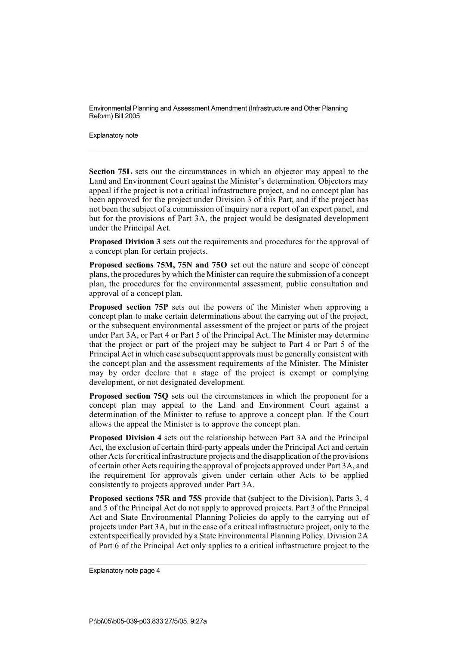Explanatory note

**Section 75L** sets out the circumstances in which an objector may appeal to the Land and Environment Court against the Minister's determination. Objectors may appeal if the project is not a critical infrastructure project, and no concept plan has been approved for the project under Division 3 of this Part, and if the project has not been the subject of a commission of inquiry nor a report of an expert panel, and but for the provisions of Part 3A, the project would be designated development under the Principal Act.

**Proposed Division 3** sets out the requirements and procedures for the approval of a concept plan for certain projects.

**Proposed sections 75M, 75N and 75O** set out the nature and scope of concept plans, the procedures by which the Minister can require the submission of a concept plan, the procedures for the environmental assessment, public consultation and approval of a concept plan.

**Proposed section 75P** sets out the powers of the Minister when approving a concept plan to make certain determinations about the carrying out of the project, or the subsequent environmental assessment of the project or parts of the project under Part 3A, or Part 4 or Part 5 of the Principal Act. The Minister may determine that the project or part of the project may be subject to Part 4 or Part 5 of the Principal Act in which case subsequent approvals must be generally consistent with the concept plan and the assessment requirements of the Minister. The Minister may by order declare that a stage of the project is exempt or complying development, or not designated development.

**Proposed section 75Q** sets out the circumstances in which the proponent for a concept plan may appeal to the Land and Environment Court against a determination of the Minister to refuse to approve a concept plan. If the Court allows the appeal the Minister is to approve the concept plan.

**Proposed Division 4** sets out the relationship between Part 3A and the Principal Act, the exclusion of certain third-party appeals under the Principal Act and certain other Acts for criticalinfrastructure projects and the disapplication of the provisions of certain other Acts requiring the approval of projects approved under Part 3A, and the requirement for approvals given under certain other Acts to be applied consistently to projects approved under Part 3A.

**Proposed sections 75R and 75S** provide that (subject to the Division), Parts 3, 4 and 5 of the Principal Act do not apply to approved projects. Part 3 of the Principal Act and State Environmental Planning Policies do apply to the carrying out of projects under Part 3A, but in the case of a critical infrastructure project, only to the extentspecifically provided by a State Environmental Planning Policy. Division 2A of Part 6 of the Principal Act only applies to a critical infrastructure project to the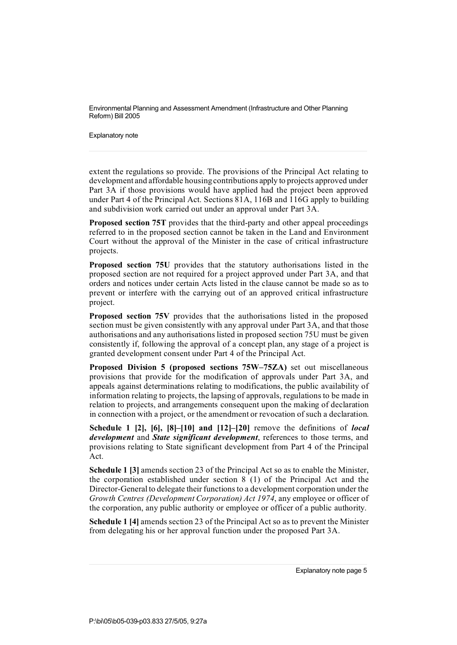Explanatory note

extent the regulations so provide. The provisions of the Principal Act relating to development and affordable housingcontributions apply to projects approved under Part 3A if those provisions would have applied had the project been approved under Part 4 of the Principal Act. Sections 81A, 116B and 116G apply to building and subdivision work carried out under an approval under Part 3A.

**Proposed section 75T** provides that the third-party and other appeal proceedings referred to in the proposed section cannot be taken in the Land and Environment Court without the approval of the Minister in the case of critical infrastructure projects.

**Proposed section 75U** provides that the statutory authorisations listed in the proposed section are not required for a project approved under Part 3A, and that orders and notices under certain Acts listed in the clause cannot be made so as to prevent or interfere with the carrying out of an approved critical infrastructure project.

**Proposed section 75V** provides that the authorisations listed in the proposed section must be given consistently with any approval under Part 3A, and that those authorisations and any authorisations listed in proposed section 75U must be given consistently if, following the approval of a concept plan, any stage of a project is granted development consent under Part 4 of the Principal Act.

**Proposed Division 5 (proposed sections 75W–75ZA)** set out miscellaneous provisions that provide for the modification of approvals under Part 3A, and appeals against determinations relating to modifications, the public availability of information relating to projects, the lapsing of approvals, regulations to be made in relation to projects, and arrangements consequent upon the making of declaration in connection with a project, or the amendment or revocation of such a declaration.

**Schedule 1 [2], [6], [8]–[10] and [12]–[20]** remove the definitions of *local development* and *State significant development*, references to those terms, and provisions relating to State significant development from Part 4 of the Principal Act.

**Schedule 1 [3]** amends section 23 of the Principal Act so as to enable the Minister, the corporation established under section 8 (1) of the Principal Act and the Director-General to delegate their functions to a development corporation under the *Growth Centres (Development Corporation) Act 1974*, any employee or officer of the corporation, any public authority or employee or officer of a public authority.

**Schedule 1 [4]** amends section 23 of the Principal Act so as to prevent the Minister from delegating his or her approval function under the proposed Part 3A.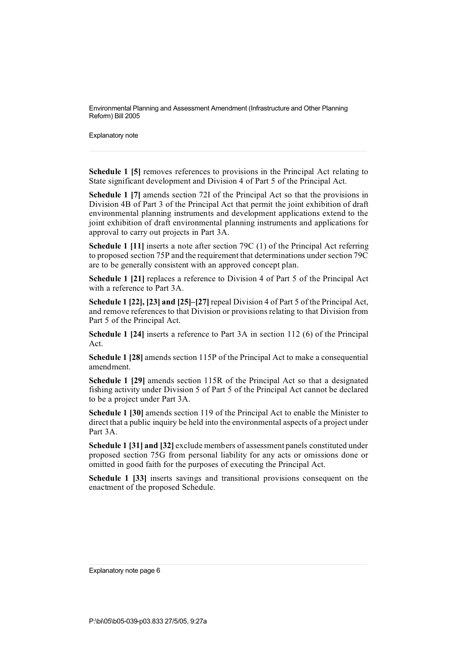Explanatory note

**Schedule 1 [5]** removes references to provisions in the Principal Act relating to State significant development and Division 4 of Part 5 of the Principal Act.

**Schedule 1 [7]** amends section 72I of the Principal Act so that the provisions in Division 4B of Part 3 of the Principal Act that permit the joint exhibition of draft environmental planning instruments and development applications extend to the joint exhibition of draft environmental planning instruments and applications for approval to carry out projects in Part 3A.

**Schedule 1 [11]** inserts a note after section 79C (1) of the Principal Act referring to proposed section 75P and the requirement that determinations under section 79C are to be generally consistent with an approved concept plan.

**Schedule 1 [21]** replaces a reference to Division 4 of Part 5 of the Principal Act with a reference to Part 3A.

**Schedule 1 [22], [23] and [25]–[27]** repeal Division 4 of Part 5 of the Principal Act, and remove references to that Division or provisions relating to that Division from Part 5 of the Principal Act.

**Schedule 1 [24]** inserts a reference to Part 3A in section 112 (6) of the Principal Act.

**Schedule 1 [28]** amends section 115P of the Principal Act to make a consequential amendment.

**Schedule 1 [29]** amends section 115R of the Principal Act so that a designated fishing activity under Division 5 of Part 5 of the Principal Act cannot be declared to be a project under Part 3A.

**Schedule 1 [30]** amends section 119 of the Principal Act to enable the Minister to direct that a public inquiry be held into the environmental aspects of a project under Part 3A.

**Schedule 1 [31] and [32]** exclude members of assessment panels constituted under proposed section 75G from personal liability for any acts or omissions done or omitted in good faith for the purposes of executing the Principal Act.

**Schedule 1 [33]** inserts savings and transitional provisions consequent on the enactment of the proposed Schedule.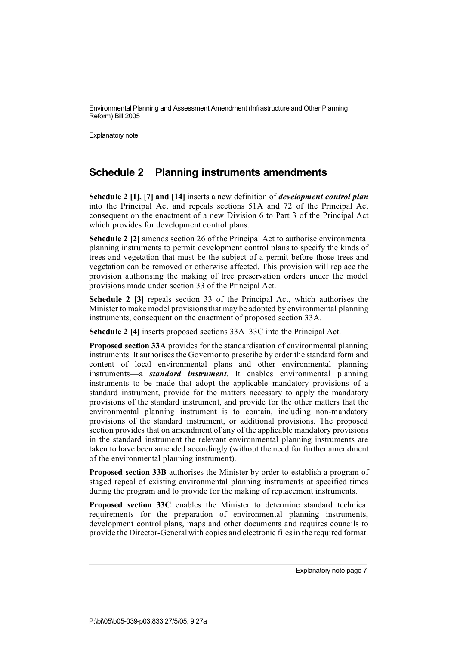Explanatory note

### **Schedule 2 Planning instruments amendments**

**Schedule 2 [1], [7] and [14]** inserts a new definition of *development control plan* into the Principal Act and repeals sections 51A and 72 of the Principal Act consequent on the enactment of a new Division 6 to Part 3 of the Principal Act which provides for development control plans.

**Schedule 2 [2]** amends section 26 of the Principal Act to authorise environmental planning instruments to permit development control plans to specify the kinds of trees and vegetation that must be the subject of a permit before those trees and vegetation can be removed or otherwise affected. This provision will replace the provision authorising the making of tree preservation orders under the model provisions made under section 33 of the Principal Act.

**Schedule 2 [3]** repeals section 33 of the Principal Act, which authorises the Minister to make model provisionsthat may be adopted by environmental planning instruments, consequent on the enactment of proposed section 33A.

**Schedule 2 [4]** inserts proposed sections 33A–33C into the Principal Act.

**Proposed section 33A** provides for the standardisation of environmental planning instruments. It authorises the Governor to prescribe by order the standard form and content of local environmental plans and other environmental planning instruments—a *standard instrument*. It enables environmental planning instruments to be made that adopt the applicable mandatory provisions of a standard instrument, provide for the matters necessary to apply the mandatory provisions of the standard instrument, and provide for the other matters that the environmental planning instrument is to contain, including non-mandatory provisions of the standard instrument, or additional provisions. The proposed section provides that on amendment of any of the applicable mandatory provisions in the standard instrument the relevant environmental planning instruments are taken to have been amended accordingly (without the need for further amendment of the environmental planning instrument).

**Proposed section 33B** authorises the Minister by order to establish a program of staged repeal of existing environmental planning instruments at specified times during the program and to provide for the making of replacement instruments.

**Proposed section 33C** enables the Minister to determine standard technical requirements for the preparation of environmental planning instruments, development control plans, maps and other documents and requires councils to provide the Director-General with copies and electronic filesin the required format.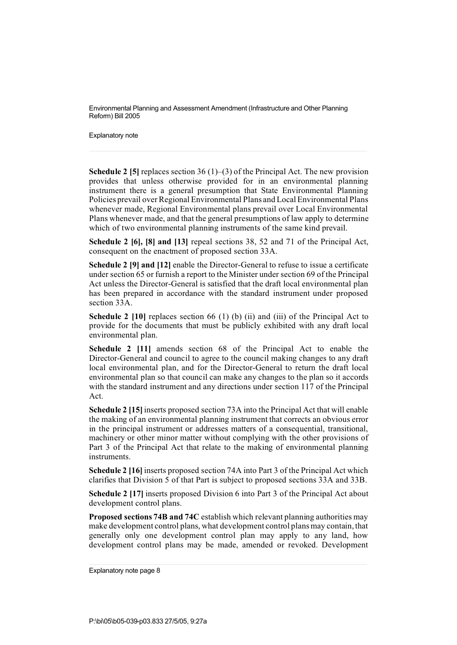Explanatory note

**Schedule 2 [5]** replaces section 36 (1)–(3) of the Principal Act. The new provision provides that unless otherwise provided for in an environmental planning instrument there is a general presumption that State Environmental Planning Policies prevail over Regional Environmental Plans and LocalEnvironmental Plans whenever made, Regional Environmental plans prevail over Local Environmental Plans whenever made, and that the general presumptions of law apply to determine which of two environmental planning instruments of the same kind prevail.

**Schedule 2 [6], [8] and [13]** repeal sections 38, 52 and 71 of the Principal Act, consequent on the enactment of proposed section 33A.

**Schedule 2 [9] and [12]** enable the Director-General to refuse to issue a certificate under section 65 or furnish a report to the Minister under section 69 of the Principal Act unless the Director-General is satisfied that the draft local environmental plan has been prepared in accordance with the standard instrument under proposed section 33A.

**Schedule 2 [10]** replaces section 66 (1) (b) (ii) and (iii) of the Principal Act to provide for the documents that must be publicly exhibited with any draft local environmental plan.

**Schedule 2 [11]** amends section 68 of the Principal Act to enable the Director-General and council to agree to the council making changes to any draft local environmental plan, and for the Director-General to return the draft local environmental plan so that council can make any changes to the plan so it accords with the standard instrument and any directions under section 117 of the Principal Act.

**Schedule 2 [15]**inserts proposed section 73A into the Principal Act that will enable the making of an environmental planning instrument that corrects an obvious error in the principal instrument or addresses matters of a consequential, transitional, machinery or other minor matter without complying with the other provisions of Part 3 of the Principal Act that relate to the making of environmental planning instruments.

**Schedule 2 [16]**inserts proposed section 74A into Part 3 of the Principal Act which clarifies that Division 5 of that Part is subject to proposed sections 33A and 33B.

**Schedule 2 [17]** inserts proposed Division 6 into Part 3 of the Principal Act about development control plans.

**Proposed sections 74B and 74C** establish which relevant planning authorities may make development control plans, what development control plansmay contain, that generally only one development control plan may apply to any land, how development control plans may be made, amended or revoked. Development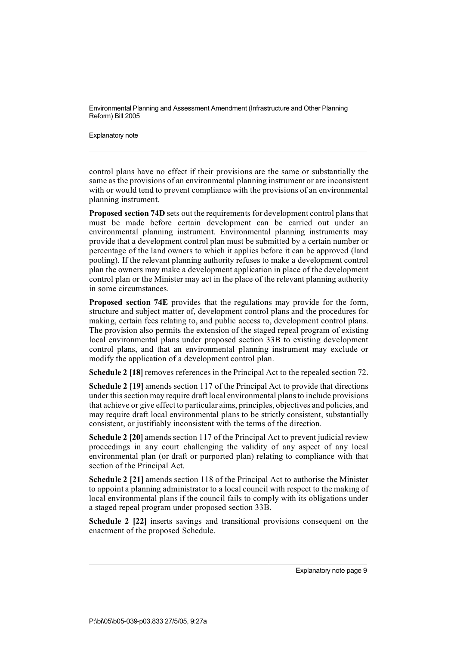Explanatory note

control plans have no effect if their provisions are the same or substantially the same as the provisions of an environmental planning instrument or are inconsistent with or would tend to prevent compliance with the provisions of an environmental planning instrument.

**Proposed section 74D** sets out the requirements for development control plansthat must be made before certain development can be carried out under an environmental planning instrument. Environmental planning instruments may provide that a development control plan must be submitted by a certain number or percentage of the land owners to which it applies before it can be approved (land pooling). If the relevant planning authority refuses to make a development control plan the owners may make a development application in place of the development control plan or the Minister may act in the place of the relevant planning authority in some circumstances.

**Proposed section 74E** provides that the regulations may provide for the form, structure and subject matter of, development control plans and the procedures for making, certain fees relating to, and public access to, development control plans. The provision also permits the extension of the staged repeal program of existing local environmental plans under proposed section 33B to existing development control plans, and that an environmental planning instrument may exclude or modify the application of a development control plan.

**Schedule 2 [18]** removes references in the Principal Act to the repealed section 72.

**Schedule 2 [19]** amends section 117 of the Principal Act to provide that directions under this section may require draft local environmental plansto include provisions that achieve or give effect to particular aims, principles, objectives and policies, and may require draft local environmental plans to be strictly consistent, substantially consistent, or justifiably inconsistent with the terms of the direction.

**Schedule 2 [20]** amends section 117 of the Principal Act to prevent judicial review proceedings in any court challenging the validity of any aspect of any local environmental plan (or draft or purported plan) relating to compliance with that section of the Principal Act.

**Schedule 2 [21]** amends section 118 of the Principal Act to authorise the Minister to appoint a planning administrator to a local council with respect to the making of local environmental plans if the council fails to comply with its obligations under a staged repeal program under proposed section 33B.

**Schedule 2 [22]** inserts savings and transitional provisions consequent on the enactment of the proposed Schedule.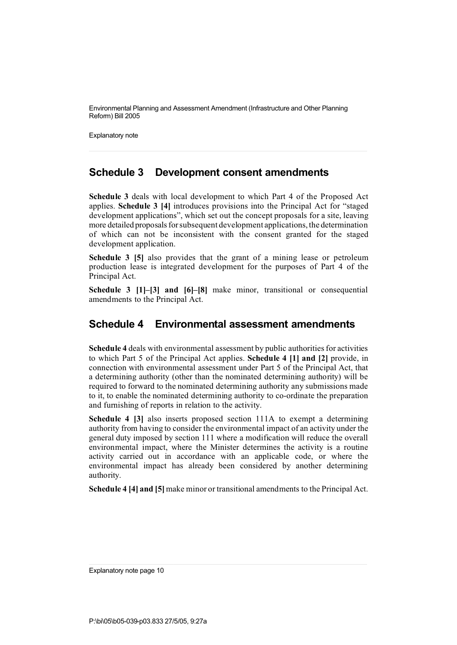Explanatory note

### **Schedule 3 Development consent amendments**

**Schedule 3** deals with local development to which Part 4 of the Proposed Act applies. **Schedule 3 [4]** introduces provisions into the Principal Act for "staged development applications", which set out the concept proposals for a site, leaving more detailed proposals for subsequent development applications, the determination of which can not be inconsistent with the consent granted for the staged development application.

**Schedule 3 [5]** also provides that the grant of a mining lease or petroleum production lease is integrated development for the purposes of Part 4 of the Principal Act.

**Schedule 3 [1]–[3] and [6]–[8]** make minor, transitional or consequential amendments to the Principal Act.

#### **Schedule 4 Environmental assessment amendments**

**Schedule** 4 deals with environmental assessment by public authorities for activities to which Part 5 of the Principal Act applies. **Schedule 4 [1] and [2]** provide, in connection with environmental assessment under Part 5 of the Principal Act, that a determining authority (other than the nominated determining authority) will be required to forward to the nominated determining authority any submissions made to it, to enable the nominated determining authority to co-ordinate the preparation and furnishing of reports in relation to the activity.

**Schedule 4 [3]** also inserts proposed section 111A to exempt a determining authority from having to consider the environmental impact of an activity under the general duty imposed by section 111 where a modification will reduce the overall environmental impact, where the Minister determines the activity is a routine activity carried out in accordance with an applicable code, or where the environmental impact has already been considered by another determining authority.

**Schedule 4 [4] and [5]**make minor or transitional amendments to the Principal Act.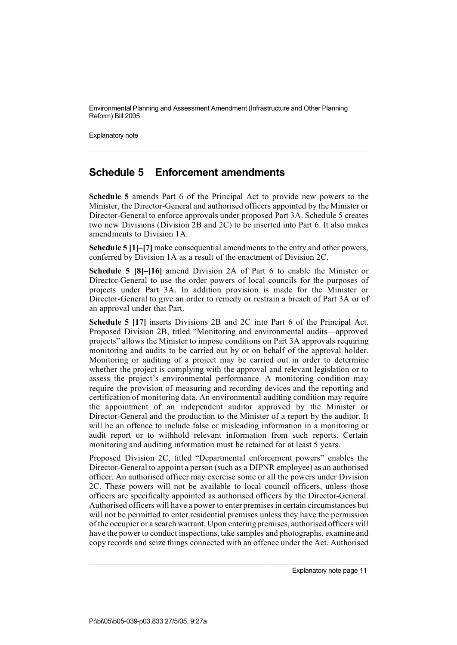Explanatory note

### **Schedule 5 Enforcement amendments**

**Schedule 5** amends Part 6 of the Principal Act to provide new powers to the Minister, the Director-General and authorised officers appointed by the Minister or Director-General to enforce approvals under proposed Part 3A. Schedule 5 creates two new Divisions (Division 2B and 2C) to be inserted into Part 6. It also makes amendments to Division 1A.

**Schedule 5 [1]–[7]** make consequential amendments to the entry and other powers, conferred by Division 1A as a result of the enactment of Division 2C.

**Schedule 5 [8]–[16]** amend Division 2A of Part 6 to enable the Minister or Director-General to use the order powers of local councils for the purposes of projects under Part 3A. In addition provision is made for the Minister or Director-General to give an order to remedy or restrain a breach of Part 3A or of an approval under that Part.

**Schedule 5 [17]** inserts Divisions 2B and 2C into Part 6 of the Principal Act. Proposed Division 2B, titled "Monitoring and environmental audits—approved projects" allows the Minister to impose conditions on Part 3A approvals requiring monitoring and audits to be carried out by or on behalf of the approval holder. Monitoring or auditing of a project may be carried out in order to determine whether the project is complying with the approval and relevant legislation or to assess the project's environmental performance. A monitoring condition may require the provision of measuring and recording devices and the reporting and certification of monitoring data. An environmental auditing condition may require the appointment of an independent auditor approved by the Minister or Director-General and the production to the Minister of a report by the auditor. It will be an offence to include false or misleading information in a monitoring or audit report or to withhold relevant information from such reports. Certain monitoring and auditing information must be retained for at least 5 years.

Proposed Division 2C, titled "Departmental enforcement powers" enables the Director-General to appoint a person (such as a DIPNR employee) as an authorised officer. An authorised officer may exercise some or all the powers under Division 2C. These powers will not be available to local council officers, unless those officers are specifically appointed as authorised officers by the Director-General. Authorised officers will have a power to enter premises in certain circumstances but will not be permitted to enter residential premises unless they have the permission of the occupier or a search warrant. Upon enteringpremises, authorised officers will have the power to conduct inspections, take samples and photographs, examine and copy records and seize things connected with an offence under the Act. Authorised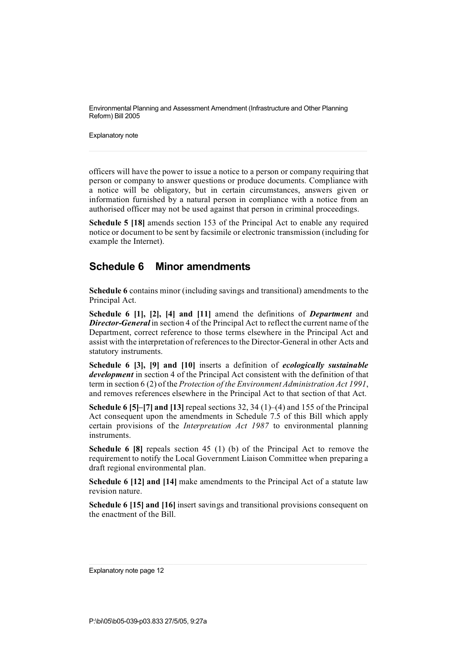Explanatory note

officers will have the power to issue a notice to a person or company requiring that person or company to answer questions or produce documents. Compliance with a notice will be obligatory, but in certain circumstances, answers given or information furnished by a natural person in compliance with a notice from an authorised officer may not be used against that person in criminal proceedings.

**Schedule 5 [18]** amends section 153 of the Principal Act to enable any required notice or document to be sent by facsimile or electronic transmission (including for example the Internet).

#### **Schedule 6 Minor amendments**

**Schedule 6** contains minor (including savings and transitional) amendments to the Principal Act.

**Schedule 6 [1], [2], [4] and [11]** amend the definitions of *Department* and *Director-General* in section 4 of the Principal Act to reflect the current name of the Department, correct reference to those terms elsewhere in the Principal Act and assist with the interpretation of referencesto the Director-General in other Acts and statutory instruments.

**Schedule 6 [3], [9] and [10]** inserts a definition of *ecologically sustainable development* in section 4 of the Principal Act consistent with the definition of that term in section 6 (2) of the *Protection of the Environment Administration Act 1991*, and removes references elsewhere in the Principal Act to that section of that Act.

**Schedule 6 [5]–[7] and [13]** repeal sections 32, 34 (1)–(4) and 155 of the Principal Act consequent upon the amendments in Schedule 7.5 of this Bill which apply certain provisions of the *Interpretation Act 1987* to environmental planning instruments.

**Schedule 6 [8]** repeals section 45 (1) (b) of the Principal Act to remove the requirement to notify the Local Government Liaison Committee when preparing a draft regional environmental plan.

**Schedule 6 [12] and [14]** make amendments to the Principal Act of a statute law revision nature.

**Schedule 6 [15] and [16]** insert savings and transitional provisions consequent on the enactment of the Bill.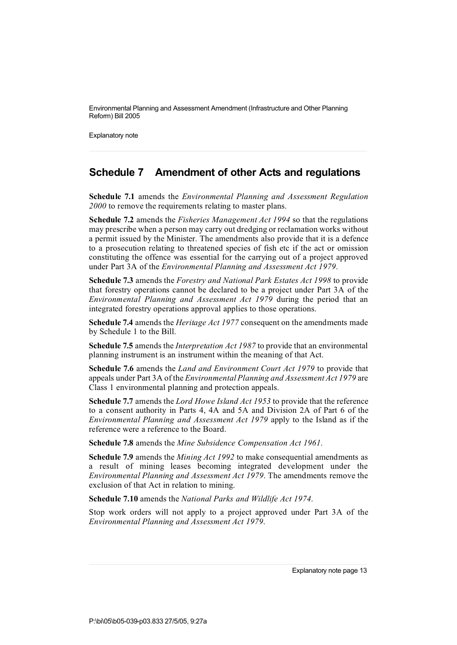Explanatory note

### **Schedule 7 Amendment of other Acts and regulations**

**Schedule 7.1** amends the *Environmental Planning and Assessment Regulation 2000* to remove the requirements relating to master plans.

**Schedule 7.2** amends the *Fisheries Management Act 1994* so that the regulations may prescribe when a person may carry out dredging or reclamation works without a permit issued by the Minister. The amendments also provide that it is a defence to a prosecution relating to threatened species of fish etc if the act or omission constituting the offence was essential for the carrying out of a project approved under Part 3A of the *Environmental Planning and Assessment Act 1979*.

**Schedule 7.3** amends the *Forestry and National Park Estates Act 1998* to provide that forestry operations cannot be declared to be a project under Part 3A of the *Environmental Planning and Assessment Act 1979* during the period that an integrated forestry operations approval applies to those operations.

**Schedule 7.4** amends the *Heritage Act 1977* consequent on the amendments made by Schedule 1 to the Bill.

**Schedule 7.5** amends the *Interpretation Act 1987* to provide that an environmental planning instrument is an instrument within the meaning of that Act.

**Schedule 7.6** amends the *Land and Environment Court Act 1979* to provide that appeals under Part 3A of the *EnvironmentalPlanning and Assessment Act 1979* are Class 1 environmental planning and protection appeals.

**Schedule 7.7** amends the *Lord Howe Island Act 1953* to provide that the reference to a consent authority in Parts 4, 4A and 5A and Division 2A of Part 6 of the *Environmental Planning and Assessment Act 1979* apply to the Island as if the reference were a reference to the Board.

**Schedule 7.8** amends the *Mine Subsidence Compensation Act 1961*.

**Schedule 7.9** amends the *Mining Act 1992* to make consequential amendments as a result of mining leases becoming integrated development under the *Environmental Planning and Assessment Act 1979*. The amendments remove the exclusion of that Act in relation to mining.

**Schedule 7.10** amends the *National Parks and Wildlife Act 1974*.

Stop work orders will not apply to a project approved under Part 3A of the *Environmental Planning and Assessment Act 1979*.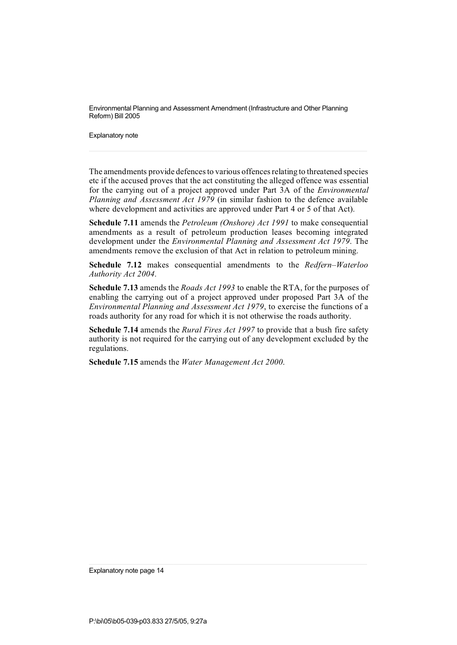Explanatory note

The amendments provide defences to various offences relating to threatened species etc if the accused proves that the act constituting the alleged offence was essential for the carrying out of a project approved under Part 3A of the *Environmental Planning and Assessment Act 1979* (in similar fashion to the defence available where development and activities are approved under Part 4 or 5 of that Act).

**Schedule 7.11** amends the *Petroleum (Onshore) Act 1991* to make consequential amendments as a result of petroleum production leases becoming integrated development under the *Environmental Planning and Assessment Act 1979*. The amendments remove the exclusion of that Act in relation to petroleum mining.

**Schedule 7.12** makes consequential amendments to the *Redfern–Waterloo Authority Act 2004*.

**Schedule 7.13** amends the *Roads Act 1993* to enable the RTA, for the purposes of enabling the carrying out of a project approved under proposed Part 3A of the *Environmental Planning and Assessment Act 1979*, to exercise the functions of a roads authority for any road for which it is not otherwise the roads authority.

**Schedule 7.14** amends the *Rural Fires Act 1997* to provide that a bush fire safety authority is not required for the carrying out of any development excluded by the regulations.

**Schedule 7.15** amends the *Water Management Act 2000*.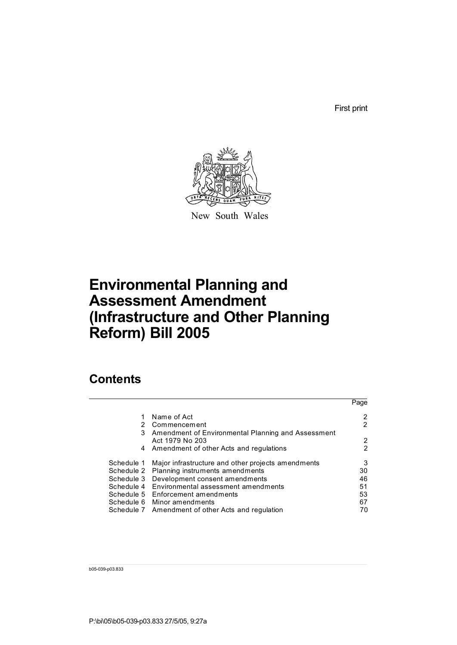First print

Page



New South Wales

# **Environmental Planning and Assessment Amendment (Infrastructure and Other Planning Reform) Bill 2005**

## **Contents**

|            |                                                                       | Page |
|------------|-----------------------------------------------------------------------|------|
|            | Name of Act                                                           |      |
| 2          | Commencement                                                          | 2    |
| 3          | Amendment of Environmental Planning and Assessment<br>Act 1979 No 203 | 2    |
|            | 4 Amendment of other Acts and regulations                             | 2    |
| Schedule 1 | Major infrastructure and other projects amendments                    | 3    |
| Schedule 2 | Planning instruments amendments                                       | 30   |
| Schedule 3 | Development consent amendments                                        | 46   |
| Schedule 4 | Environmental assessment amendments                                   | 51   |
|            | Schedule 5 Enforcement amendments                                     | 53   |
|            | Schedule 6 Minor amendments                                           | 67   |
|            | Schedule 7 Amendment of other Acts and regulation                     | 70   |
|            |                                                                       |      |

b05-039-p03.833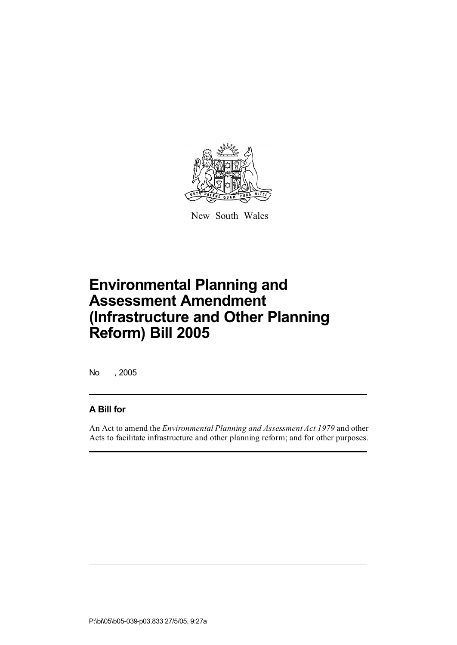

New South Wales

No , 2005

#### **A Bill for**

An Act to amend the *Environmental Planning and Assessment Act 1979* and other Acts to facilitate infrastructure and other planning reform; and for other purposes.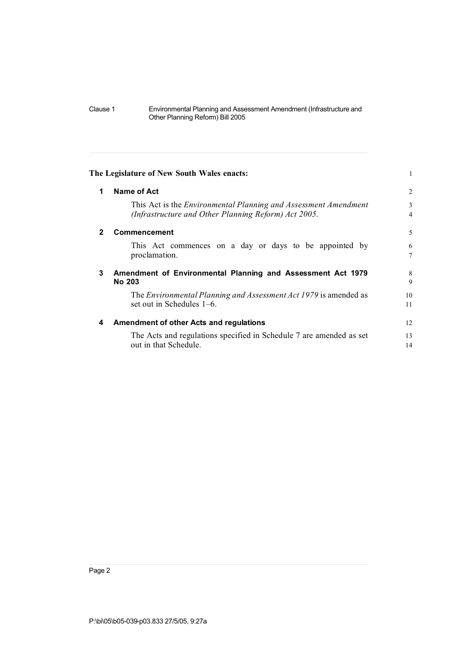| The Legislature of New South Wales enacts:                             |                |
|------------------------------------------------------------------------|----------------|
| Name of Act                                                            | $\overline{2}$ |
| This Act is the <i>Environmental Planning and Assessment Amendment</i> | 3              |
| (Infrastructure and Other Planning Reform) Act 2005.                   | $\overline{4}$ |
| Commencement                                                           | 5              |
| This Act commences on a day or days to be appointed by                 | 6              |
| proclamation.                                                          | 7              |
| Amendment of Environmental Planning and Assessment Act 1979            | 8              |
| <b>No 203</b>                                                          | 9              |
| The Environmental Planning and Assessment Act 1979 is amended as       | 10             |
| set out in Schedules 1–6.                                              | 11             |
| Amendment of other Acts and regulations                                | 12             |
| The Acts and regulations specified in Schedule 7 are amended as set    | 13             |
| out in that Schedule.                                                  | 14             |
|                                                                        |                |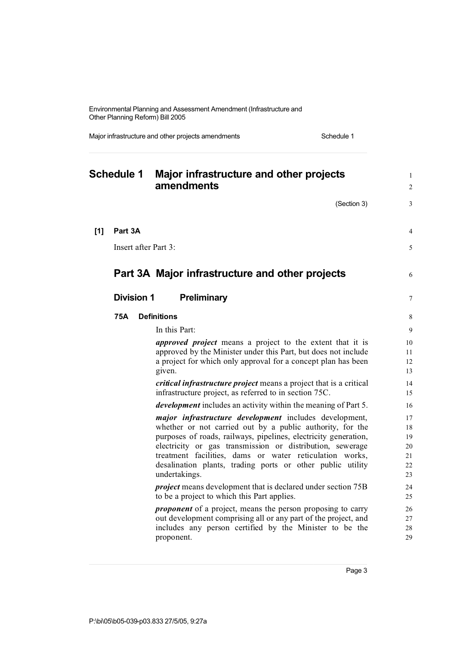Major infrastructure and other projects amendments Schedule 1

| <b>Schedule 1</b> |                   | Major infrastructure and other projects<br>amendments                                                                               |          |
|-------------------|-------------------|-------------------------------------------------------------------------------------------------------------------------------------|----------|
|                   |                   | (Section 3)                                                                                                                         | 3        |
| [1]               | Part 3A           |                                                                                                                                     | 4        |
|                   |                   | Insert after Part 3:                                                                                                                | 5        |
|                   |                   | Part 3A Major infrastructure and other projects                                                                                     | 6        |
|                   | <b>Division 1</b> | <b>Preliminary</b>                                                                                                                  | $\tau$   |
|                   | 75A               | <b>Definitions</b>                                                                                                                  | 8        |
|                   |                   | In this Part:                                                                                                                       | 9        |
|                   |                   | <i>approved project</i> means a project to the extent that it is                                                                    | 10       |
|                   |                   | approved by the Minister under this Part, but does not include<br>a project for which only approval for a concept plan has been     | 11<br>12 |
|                   |                   | given.                                                                                                                              | 13       |
|                   |                   | <i>critical infrastructure project</i> means a project that is a critical<br>infrastructure project, as referred to in section 75C. | 14<br>15 |
|                   |                   | <i>development</i> includes an activity within the meaning of Part 5.                                                               | 16       |
|                   |                   | <i>major infrastructure development</i> includes development,                                                                       | 17       |
|                   |                   | whether or not carried out by a public authority, for the<br>purposes of roads, railways, pipelines, electricity generation,        | 18<br>19 |
|                   |                   | electricity or gas transmission or distribution, sewerage                                                                           | 20       |
|                   |                   | treatment facilities, dams or water reticulation works,                                                                             | 21       |
|                   |                   | desalination plants, trading ports or other public utility<br>undertakings.                                                         | 22<br>23 |
|                   |                   | <i>project</i> means development that is declared under section 75B                                                                 | 24       |
|                   |                   | to be a project to which this Part applies.                                                                                         | 25       |
|                   |                   | <i>proponent</i> of a project, means the person proposing to carry                                                                  | 26       |
|                   |                   | out development comprising all or any part of the project, and<br>includes any person certified by the Minister to be the           | 27<br>28 |
|                   |                   | proponent.                                                                                                                          | 29       |
|                   |                   |                                                                                                                                     |          |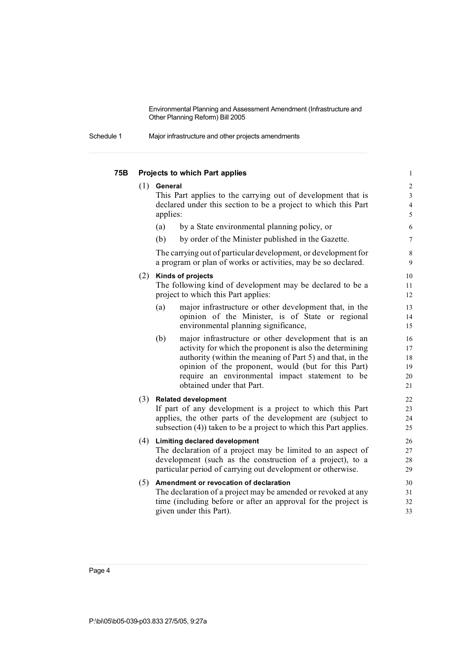| Schedule 1 |  | Major infrastructure and other projects amendments |
|------------|--|----------------------------------------------------|
|------------|--|----------------------------------------------------|

| 75B |     | Projects to which Part applies                                                                                                                                                                                                                                                                                              | $\mathbf{1}$                                            |
|-----|-----|-----------------------------------------------------------------------------------------------------------------------------------------------------------------------------------------------------------------------------------------------------------------------------------------------------------------------------|---------------------------------------------------------|
|     |     | $(1)$ General<br>This Part applies to the carrying out of development that is<br>declared under this section to be a project to which this Part<br>applies:                                                                                                                                                                 | $\overline{2}$<br>$\mathfrak{Z}$<br>$\overline{4}$<br>5 |
|     |     | (a)<br>by a State environmental planning policy, or                                                                                                                                                                                                                                                                         | 6                                                       |
|     |     | (b)<br>by order of the Minister published in the Gazette.                                                                                                                                                                                                                                                                   | 7                                                       |
|     |     | The carrying out of particular development, or development for<br>a program or plan of works or activities, may be so declared.                                                                                                                                                                                             | $\,8\,$<br>9                                            |
|     | (2) | Kinds of projects<br>The following kind of development may be declared to be a<br>project to which this Part applies:                                                                                                                                                                                                       | 10<br>11<br>12                                          |
|     |     | (a)<br>major infrastructure or other development that, in the<br>opinion of the Minister, is of State or regional<br>environmental planning significance,                                                                                                                                                                   | 13<br>14<br>15                                          |
|     |     | (b)<br>major infrastructure or other development that is an<br>activity for which the proponent is also the determining<br>authority (within the meaning of Part 5) and that, in the<br>opinion of the proponent, would (but for this Part)<br>require an environmental impact statement to be<br>obtained under that Part. | 16<br>17<br>18<br>19<br>20<br>21                        |
|     |     | (3) Related development<br>If part of any development is a project to which this Part<br>applies, the other parts of the development are (subject to<br>subsection (4)) taken to be a project to which this Part applies.                                                                                                   | 22<br>23<br>24<br>25                                    |
|     |     | (4) Limiting declared development<br>The declaration of a project may be limited to an aspect of<br>development (such as the construction of a project), to a<br>particular period of carrying out development or otherwise.                                                                                                | 26<br>27<br>28<br>29                                    |
|     | (5) | Amendment or revocation of declaration<br>The declaration of a project may be amended or revoked at any<br>time (including before or after an approval for the project is<br>given under this Part).                                                                                                                        | 30<br>31<br>32<br>33                                    |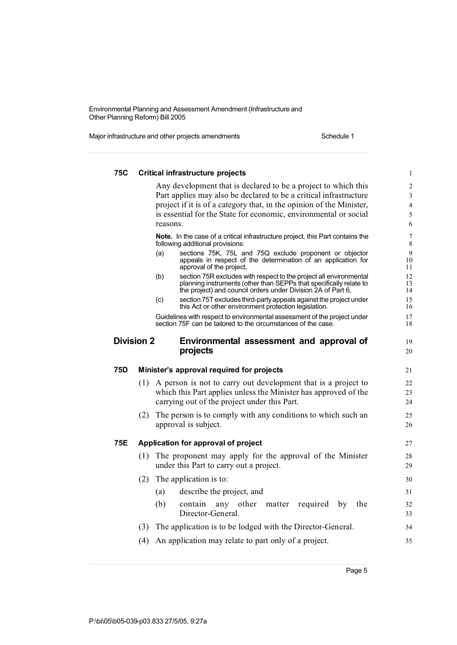Major infrastructure and other projects amendments Schedule 1

| <b>75C</b> |                   | <b>Critical infrastructure projects</b>                                                                                                                                                                         |  |
|------------|-------------------|-----------------------------------------------------------------------------------------------------------------------------------------------------------------------------------------------------------------|--|
|            |                   | Any development that is declared to be a project to which this                                                                                                                                                  |  |
|            |                   | Part applies may also be declared to be a critical infrastructure                                                                                                                                               |  |
|            |                   | project if it is of a category that, in the opinion of the Minister,                                                                                                                                            |  |
|            |                   | is essential for the State for economic, environmental or social                                                                                                                                                |  |
|            |                   | reasons.                                                                                                                                                                                                        |  |
|            |                   | Note. In the case of a critical infrastructure project, this Part contains the<br>following additional provisions:                                                                                              |  |
|            |                   | sections 75K, 75L and 75Q exclude proponent or objector<br>(a)<br>appeals in respect of the determination of an application for<br>approval of the project,                                                     |  |
|            |                   | section 75R excludes with respect to the project all environmental<br>(b)<br>planning instruments (other than SEPPs that specifically relate to<br>the project) and council orders under Division 2A of Part 6, |  |
|            |                   | section 75T excludes third-party appeals against the project under<br>(c)<br>this Act or other environment protection legislation.                                                                              |  |
|            |                   | Guidelines with respect to environmental assessment of the project under<br>section 75F can be tailored to the circumstances of the case.                                                                       |  |
|            | <b>Division 2</b> | Environmental assessment and approval of                                                                                                                                                                        |  |
|            |                   | projects                                                                                                                                                                                                        |  |
| 75D        |                   | Minister's approval required for projects                                                                                                                                                                       |  |
|            | (1)               | A person is not to carry out development that is a project to                                                                                                                                                   |  |
|            |                   | which this Part applies unless the Minister has approved of the                                                                                                                                                 |  |
|            |                   | carrying out of the project under this Part.                                                                                                                                                                    |  |
|            |                   |                                                                                                                                                                                                                 |  |
|            | (2)               |                                                                                                                                                                                                                 |  |
|            |                   | The person is to comply with any conditions to which such an<br>approval is subject.                                                                                                                            |  |
| 75E        |                   | Application for approval of project                                                                                                                                                                             |  |
|            | (1)               | The proponent may apply for the approval of the Minister<br>under this Part to carry out a project.                                                                                                             |  |
|            | (2)               | The application is to:                                                                                                                                                                                          |  |
|            |                   |                                                                                                                                                                                                                 |  |
|            |                   | describe the project, and<br>(a)<br>(b)<br>contain<br>other<br>the<br>any<br>matter<br>required<br>by                                                                                                           |  |
|            |                   | Director-General.                                                                                                                                                                                               |  |
|            |                   | (3) The application is to be lodged with the Director-General.                                                                                                                                                  |  |
|            |                   | (4) An application may relate to part only of a project.                                                                                                                                                        |  |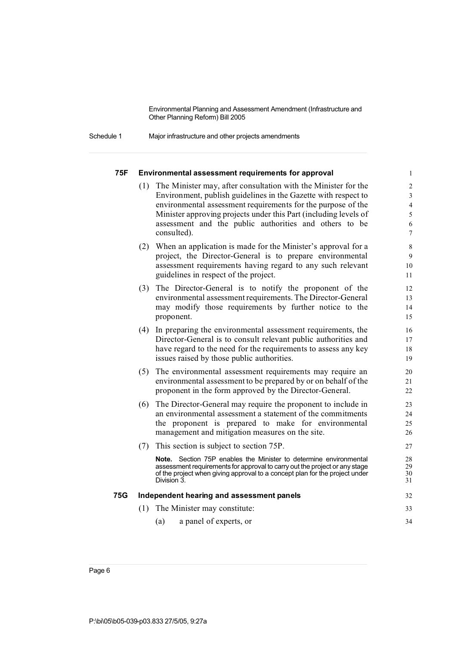Schedule 1 Major infrastructure and other projects amendments

#### **75F Environmental assessment requirements for approval** 1

- (1) The Minister may, after consultation with the Minister for the 2 Environment, publish guidelines in the Gazette with respect to 3 environmental assessment requirements for the purpose of the 4 Minister approving projects under this Part (including levels of 5 assessment and the public authorities and others to be 6 consulted).  $\frac{7}{2}$
- (2) When an application is made for the Minister's approval for a 8 project, the Director-General is to prepare environmental 9 assessment requirements having regard to any such relevant 10 guidelines in respect of the project. 11
- (3) The Director-General is to notify the proponent of the 12 environmental assessment requirements. The Director-General 13 may modify those requirements by further notice to the 14 proponent. 15
- (4) In preparing the environmental assessment requirements, the 16 Director-General is to consult relevant public authorities and 17 have regard to the need for the requirements to assess any key 18 issues raised by those public authorities. 19
- (5) The environmental assessment requirements may require an 20 environmental assessment to be prepared by or on behalf of the 21 proponent in the form approved by the Director-General. 22
- (6) The Director-General may require the proponent to include in 23 an environmental assessment a statement of the commitments 24 the proponent is prepared to make for environmental 25 management and mitigation measures on the site. 26
- (7) This section is subject to section 75P. 27

**Note.** Section 75P enables the Minister to determine environmental 28<br>assessment requirements for approval to carry out the project or any stage 29 assessment requirements for approval to carry out the project or any stage 29<br>of the project when giving approval to a concept plan for the project under of the project when giving approval to a concept plan for the project under  $30$ <br>Division 3 Division 3. 31

## **75G Independent hearing and assessment panels** 32

- (1) The Minister may constitute: 33
	- (a) a panel of experts, or 34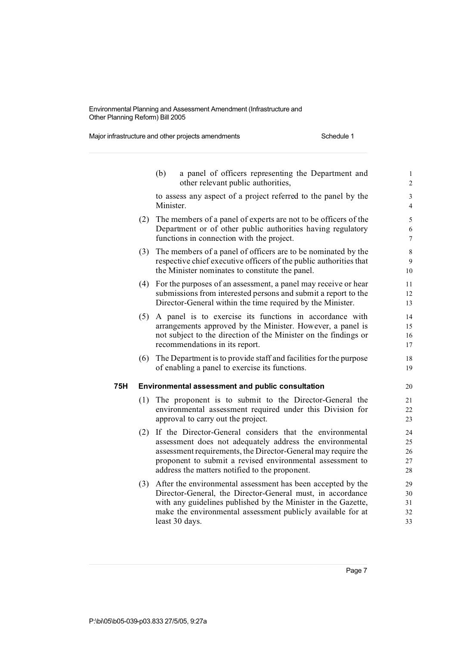Major infrastructure and other projects amendments Schedule 1

|     |     | (b)<br>a panel of officers representing the Department and<br>other relevant public authorities,                                                                                                                                                                                                     | $\mathbf{1}$<br>$\overline{c}$ |
|-----|-----|------------------------------------------------------------------------------------------------------------------------------------------------------------------------------------------------------------------------------------------------------------------------------------------------------|--------------------------------|
|     |     | to assess any aspect of a project referred to the panel by the<br>Minister.                                                                                                                                                                                                                          | 3<br>$\overline{4}$            |
|     | (2) | The members of a panel of experts are not to be officers of the<br>Department or of other public authorities having regulatory<br>functions in connection with the project.                                                                                                                          | 5<br>6<br>$\overline{7}$       |
|     | (3) | The members of a panel of officers are to be nominated by the<br>respective chief executive officers of the public authorities that<br>the Minister nominates to constitute the panel.                                                                                                               | 8<br>9<br>10                   |
|     | (4) | For the purposes of an assessment, a panel may receive or hear<br>submissions from interested persons and submit a report to the<br>Director-General within the time required by the Minister.                                                                                                       | 11<br>12<br>13                 |
|     | (5) | A panel is to exercise its functions in accordance with<br>arrangements approved by the Minister. However, a panel is<br>not subject to the direction of the Minister on the findings or<br>recommendations in its report.                                                                           | 14<br>15<br>16<br>17           |
|     | (6) | The Department is to provide staff and facilities for the purpose<br>of enabling a panel to exercise its functions.                                                                                                                                                                                  | 18<br>19                       |
| 75H |     | Environmental assessment and public consultation                                                                                                                                                                                                                                                     | 20                             |
|     | (1) | The proponent is to submit to the Director-General the<br>environmental assessment required under this Division for<br>approval to carry out the project.                                                                                                                                            | 21<br>22<br>23                 |
|     | (2) | If the Director-General considers that the environmental<br>assessment does not adequately address the environmental<br>assessment requirements, the Director-General may require the<br>proponent to submit a revised environmental assessment to<br>address the matters notified to the proponent. | 24<br>25<br>26<br>27<br>28     |
|     | (3) | After the environmental assessment has been accepted by the<br>Director-General, the Director-General must, in accordance<br>with any guidelines published by the Minister in the Gazette,<br>make the environmental assessment publicly available for at<br>least 30 days.                          | 29<br>30<br>31<br>32<br>33     |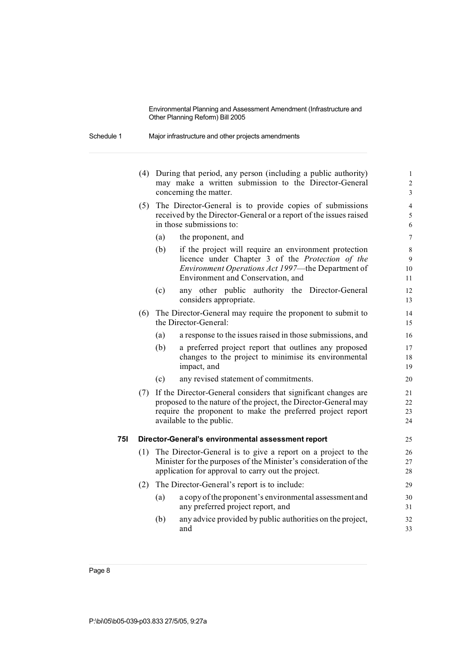| Schedule 1 | Major infrastructure and other projects amendments |  |
|------------|----------------------------------------------------|--|
|------------|----------------------------------------------------|--|

|     |     |     | (4) During that period, any person (including a public authority)<br>may make a written submission to the Director-General | $\mathbf{1}$<br>$\overline{c}$ |
|-----|-----|-----|----------------------------------------------------------------------------------------------------------------------------|--------------------------------|
|     |     |     | concerning the matter.                                                                                                     | 3                              |
|     | (5) |     | The Director-General is to provide copies of submissions                                                                   | $\overline{4}$                 |
|     |     |     | received by the Director-General or a report of the issues raised                                                          | 5                              |
|     |     |     | in those submissions to:                                                                                                   | 6                              |
|     |     | (a) | the proponent, and                                                                                                         | $\overline{7}$                 |
|     |     | (b) | if the project will require an environment protection                                                                      | 8                              |
|     |     |     | licence under Chapter 3 of the Protection of the                                                                           | 9                              |
|     |     |     | Environment Operations Act 1997-the Department of<br>Environment and Conservation, and                                     | 10<br>11                       |
|     |     |     |                                                                                                                            |                                |
|     |     | (c) | any other public authority the Director-General<br>considers appropriate.                                                  | 12<br>13                       |
|     | (6) |     | The Director-General may require the proponent to submit to                                                                | 14                             |
|     |     |     | the Director-General:                                                                                                      | 15                             |
|     |     | (a) | a response to the issues raised in those submissions, and                                                                  | 16                             |
|     |     | (b) | a preferred project report that outlines any proposed                                                                      | 17                             |
|     |     |     | changes to the project to minimise its environmental<br>impact, and                                                        | 18<br>19                       |
|     |     |     |                                                                                                                            |                                |
|     |     | (c) | any revised statement of commitments.                                                                                      | 20                             |
|     |     |     | (7) If the Director-General considers that significant changes are                                                         | 21                             |
|     |     |     | proposed to the nature of the project, the Director-General may                                                            | 22                             |
|     |     |     | require the proponent to make the preferred project report<br>available to the public.                                     | 23<br>24                       |
|     |     |     |                                                                                                                            |                                |
| 75I |     |     | Director-General's environmental assessment report                                                                         | 25                             |
|     | (1) |     | The Director-General is to give a report on a project to the                                                               | 26                             |
|     |     |     | Minister for the purposes of the Minister's consideration of the                                                           | 27                             |
|     |     |     | application for approval to carry out the project.                                                                         | 28                             |
|     | (2) |     | The Director-General's report is to include:                                                                               | 29                             |
|     |     | (a) | a copy of the proponent's environmental assessment and                                                                     | 30                             |
|     |     |     | any preferred project report, and                                                                                          | 31                             |
|     |     | (b) | any advice provided by public authorities on the project,                                                                  | 32                             |
|     |     |     | and                                                                                                                        | 33                             |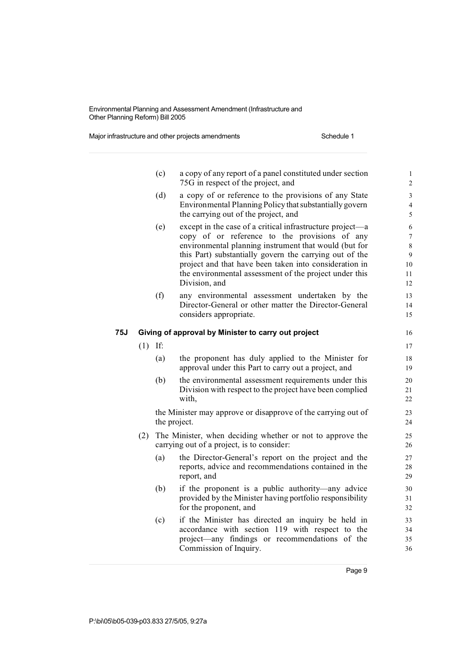Major infrastructure and other projects amendments Schedule 1

|     |           | (c) | a copy of any report of a panel constituted under section<br>75G in respect of the project, and                                                                                                                                                                                                                                                                     | $\mathbf{1}$<br>$\overline{\mathbf{c}}$         |
|-----|-----------|-----|---------------------------------------------------------------------------------------------------------------------------------------------------------------------------------------------------------------------------------------------------------------------------------------------------------------------------------------------------------------------|-------------------------------------------------|
|     |           | (d) | a copy of or reference to the provisions of any State<br>Environmental Planning Policy that substantially govern<br>the carrying out of the project, and                                                                                                                                                                                                            | 3<br>$\overline{\mathcal{L}}$<br>5              |
|     |           | (e) | except in the case of a critical infrastructure project—a<br>copy of or reference to the provisions of any<br>environmental planning instrument that would (but for<br>this Part) substantially govern the carrying out of the<br>project and that have been taken into consideration in<br>the environmental assessment of the project under this<br>Division, and | 6<br>$\overline{7}$<br>8<br>9<br>10<br>11<br>12 |
|     |           | (f) | any environmental assessment undertaken by the<br>Director-General or other matter the Director-General<br>considers appropriate.                                                                                                                                                                                                                                   | 13<br>14<br>15                                  |
| 75J |           |     | Giving of approval by Minister to carry out project                                                                                                                                                                                                                                                                                                                 | 16                                              |
|     | $(1)$ If: |     |                                                                                                                                                                                                                                                                                                                                                                     | 17                                              |
|     |           | (a) | the proponent has duly applied to the Minister for<br>approval under this Part to carry out a project, and                                                                                                                                                                                                                                                          | 18<br>19                                        |
|     |           | (b) | the environmental assessment requirements under this<br>Division with respect to the project have been complied<br>with,                                                                                                                                                                                                                                            | 20<br>21<br>22                                  |
|     |           |     | the Minister may approve or disapprove of the carrying out of<br>the project.                                                                                                                                                                                                                                                                                       | 23<br>24                                        |
|     | (2)       |     | The Minister, when deciding whether or not to approve the<br>carrying out of a project, is to consider:                                                                                                                                                                                                                                                             | 25<br>26                                        |
|     |           | (a) | the Director-General's report on the project and the<br>reports, advice and recommendations contained in the<br>report, and                                                                                                                                                                                                                                         | 27<br>28<br>29                                  |
|     |           | (b) | if the proponent is a public authority—any advice<br>provided by the Minister having portfolio responsibility<br>for the proponent, and                                                                                                                                                                                                                             | 30<br>31<br>32                                  |
|     |           | (c) | if the Minister has directed an inquiry be held in<br>accordance with section 119 with respect to the<br>project—any findings or recommendations of the<br>Commission of Inquiry.                                                                                                                                                                                   | 33<br>34<br>35<br>36                            |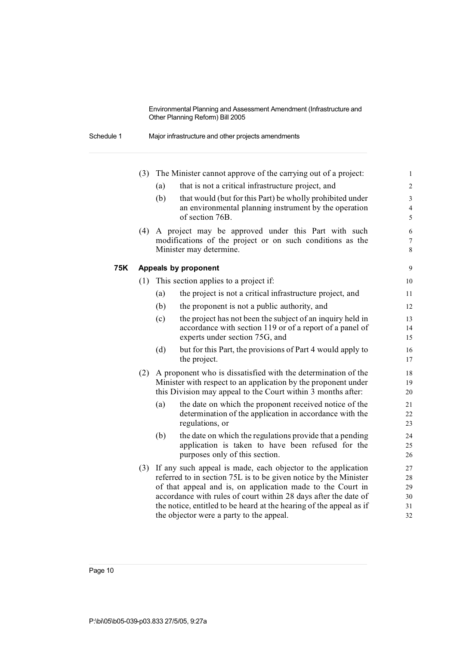| Schedule 1 | Major infrastructure and other projects amendments |  |
|------------|----------------------------------------------------|--|
|------------|----------------------------------------------------|--|

|     | (3) |     | The Minister cannot approve of the carrying out of a project:                                                                                                                                                                                                                                                                                                                            | $\mathbf{1}$                       |
|-----|-----|-----|------------------------------------------------------------------------------------------------------------------------------------------------------------------------------------------------------------------------------------------------------------------------------------------------------------------------------------------------------------------------------------------|------------------------------------|
|     |     | (a) | that is not a critical infrastructure project, and                                                                                                                                                                                                                                                                                                                                       | $\overline{c}$                     |
|     |     | (b) | that would (but for this Part) be wholly prohibited under<br>an environmental planning instrument by the operation<br>of section 76B.                                                                                                                                                                                                                                                    | 3<br>$\overline{\mathcal{L}}$<br>5 |
|     | (4) |     | A project may be approved under this Part with such<br>modifications of the project or on such conditions as the<br>Minister may determine.                                                                                                                                                                                                                                              | 6<br>$\boldsymbol{7}$<br>8         |
| 75K |     |     | Appeals by proponent                                                                                                                                                                                                                                                                                                                                                                     | 9                                  |
|     | (1) |     | This section applies to a project if:                                                                                                                                                                                                                                                                                                                                                    | 10                                 |
|     |     | (a) | the project is not a critical infrastructure project, and                                                                                                                                                                                                                                                                                                                                | 11                                 |
|     |     | (b) | the proponent is not a public authority, and                                                                                                                                                                                                                                                                                                                                             | 12                                 |
|     |     | (c) | the project has not been the subject of an inquiry held in<br>accordance with section 119 or of a report of a panel of<br>experts under section 75G, and                                                                                                                                                                                                                                 | 13<br>14<br>15                     |
|     |     | (d) | but for this Part, the provisions of Part 4 would apply to<br>the project.                                                                                                                                                                                                                                                                                                               | 16<br>17                           |
|     | (2) |     | A proponent who is dissatisfied with the determination of the<br>Minister with respect to an application by the proponent under<br>this Division may appeal to the Court within 3 months after:                                                                                                                                                                                          | 18<br>19<br>20                     |
|     |     | (a) | the date on which the proponent received notice of the<br>determination of the application in accordance with the<br>regulations, or                                                                                                                                                                                                                                                     | 21<br>22<br>23                     |
|     |     | (b) | the date on which the regulations provide that a pending<br>application is taken to have been refused for the<br>purposes only of this section.                                                                                                                                                                                                                                          | 24<br>25<br>26                     |
|     |     |     | (3) If any such appeal is made, each objector to the application<br>referred to in section 75L is to be given notice by the Minister<br>of that appeal and is, on application made to the Court in<br>accordance with rules of court within 28 days after the date of<br>the notice, entitled to be heard at the hearing of the appeal as if<br>the objector were a party to the appeal. | 27<br>28<br>29<br>30<br>31<br>32   |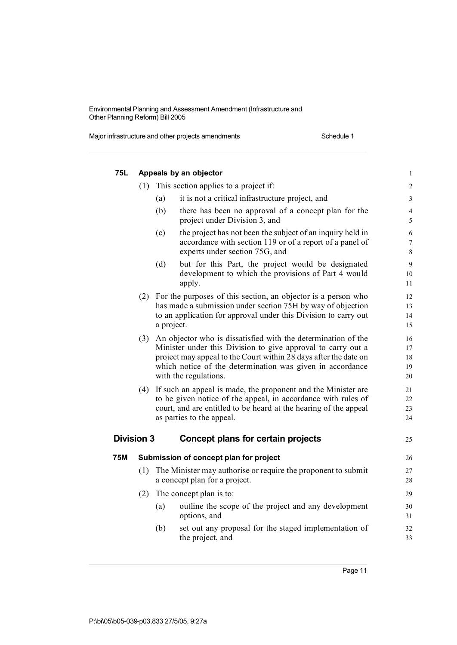Major infrastructure and other projects amendments Schedule 1

| 75L               |     |            | Appeals by an objector                                                                                                                                                                                                                                                                      | $\mathbf{1}$               |
|-------------------|-----|------------|---------------------------------------------------------------------------------------------------------------------------------------------------------------------------------------------------------------------------------------------------------------------------------------------|----------------------------|
|                   | (1) |            | This section applies to a project if:                                                                                                                                                                                                                                                       | 2                          |
|                   |     | (a)        | it is not a critical infrastructure project, and                                                                                                                                                                                                                                            | 3                          |
|                   |     | (b)        | there has been no approval of a concept plan for the<br>project under Division 3, and                                                                                                                                                                                                       | $\overline{4}$<br>5        |
|                   |     | (c)        | the project has not been the subject of an inquiry held in<br>accordance with section 119 or of a report of a panel of<br>experts under section 75G, and                                                                                                                                    | $\sqrt{6}$<br>7<br>$8\,$   |
|                   |     | (d)        | but for this Part, the project would be designated<br>development to which the provisions of Part 4 would<br>apply.                                                                                                                                                                         | 9<br>10<br>11              |
|                   |     | a project. | (2) For the purposes of this section, an objector is a person who<br>has made a submission under section 75H by way of objection<br>to an application for approval under this Division to carry out                                                                                         | 12<br>13<br>14<br>15       |
|                   |     |            | (3) An objector who is dissatisfied with the determination of the<br>Minister under this Division to give approval to carry out a<br>project may appeal to the Court within 28 days after the date on<br>which notice of the determination was given in accordance<br>with the regulations. | 16<br>17<br>18<br>19<br>20 |
|                   | (4) |            | If such an appeal is made, the proponent and the Minister are<br>to be given notice of the appeal, in accordance with rules of<br>court, and are entitled to be heard at the hearing of the appeal<br>as parties to the appeal.                                                             | 21<br>22<br>23<br>24       |
| <b>Division 3</b> |     |            | Concept plans for certain projects                                                                                                                                                                                                                                                          | 25                         |
| <b>75M</b>        |     |            | Submission of concept plan for project                                                                                                                                                                                                                                                      | 26                         |
|                   | (1) |            | The Minister may authorise or require the proponent to submit<br>a concept plan for a project.                                                                                                                                                                                              | 27<br>28                   |
|                   | (2) |            | The concept plan is to:                                                                                                                                                                                                                                                                     | 29                         |
|                   |     | (a)        | outline the scope of the project and any development<br>options, and                                                                                                                                                                                                                        | 30<br>31                   |
|                   |     | (b)        | set out any proposal for the staged implementation of<br>the project, and                                                                                                                                                                                                                   | 32<br>33                   |
|                   |     |            |                                                                                                                                                                                                                                                                                             |                            |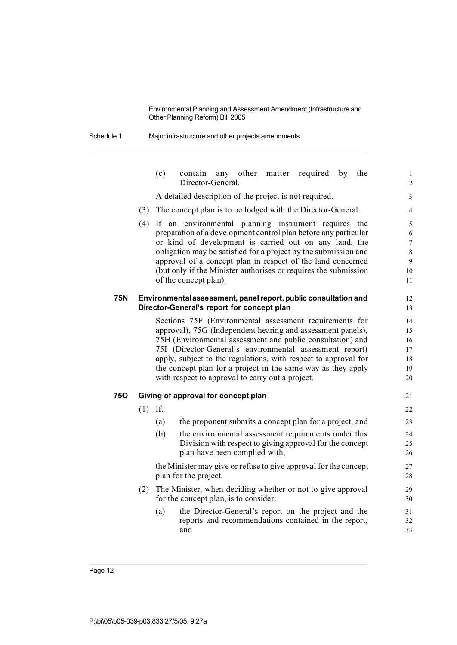Schedule 1 Major infrastructure and other projects amendments

|     |     | (c)                                                        | any other<br>matter required by<br>the<br>contain<br>Director-General.                                           | $\mathbf{1}$<br>$\overline{c}$ |  |  |  |
|-----|-----|------------------------------------------------------------|------------------------------------------------------------------------------------------------------------------|--------------------------------|--|--|--|
|     |     |                                                            | A detailed description of the project is not required.                                                           | 3                              |  |  |  |
|     | (3) |                                                            | The concept plan is to be lodged with the Director-General.                                                      | 4                              |  |  |  |
|     | (4) |                                                            | If an environmental planning instrument requires the                                                             | 5                              |  |  |  |
|     |     |                                                            | preparation of a development control plan before any particular                                                  | 6                              |  |  |  |
|     |     |                                                            | or kind of development is carried out on any land, the                                                           | $\overline{7}$                 |  |  |  |
|     |     |                                                            | obligation may be satisfied for a project by the submission and                                                  | 8                              |  |  |  |
|     |     |                                                            | approval of a concept plan in respect of the land concerned                                                      | 9                              |  |  |  |
|     |     |                                                            | (but only if the Minister authorises or requires the submission<br>of the concept plan).                         | 10<br>11                       |  |  |  |
|     |     |                                                            |                                                                                                                  |                                |  |  |  |
| 75N |     |                                                            | Environmental assessment, panel report, public consultation and                                                  | 12                             |  |  |  |
|     |     |                                                            | Director-General's report for concept plan                                                                       | 13                             |  |  |  |
|     |     | 14                                                         |                                                                                                                  |                                |  |  |  |
|     |     |                                                            | approval), 75G (Independent hearing and assessment panels),                                                      | 15                             |  |  |  |
|     |     | 75H (Environmental assessment and public consultation) and |                                                                                                                  |                                |  |  |  |
|     |     |                                                            | 75I (Director-General's environmental assessment report)                                                         | 17                             |  |  |  |
|     |     |                                                            | apply, subject to the regulations, with respect to approval for                                                  | 18                             |  |  |  |
|     |     |                                                            | the concept plan for a project in the same way as they apply<br>with respect to approval to carry out a project. | 19<br>20                       |  |  |  |
|     |     |                                                            |                                                                                                                  |                                |  |  |  |
| 750 |     |                                                            | Giving of approval for concept plan                                                                              | 21                             |  |  |  |
|     | (1) | If:                                                        |                                                                                                                  | 22                             |  |  |  |
|     |     | (a)                                                        | the proponent submits a concept plan for a project, and                                                          | 23                             |  |  |  |
|     |     | (b)                                                        | the environmental assessment requirements under this                                                             | 24                             |  |  |  |
|     |     |                                                            | Division with respect to giving approval for the concept                                                         | 25                             |  |  |  |
|     |     |                                                            | plan have been complied with,                                                                                    | 26                             |  |  |  |
|     |     |                                                            | the Minister may give or refuse to give approval for the concept                                                 | 27                             |  |  |  |
|     |     |                                                            | plan for the project.                                                                                            | 28                             |  |  |  |
|     | (2) |                                                            | The Minister, when deciding whether or not to give approval                                                      | 29                             |  |  |  |
|     |     |                                                            | for the concept plan, is to consider:                                                                            | 30                             |  |  |  |
|     |     | (a)                                                        | the Director-General's report on the project and the                                                             | 31                             |  |  |  |
|     |     |                                                            | reports and recommendations contained in the report,                                                             | 32                             |  |  |  |
|     |     |                                                            | and                                                                                                              | 33                             |  |  |  |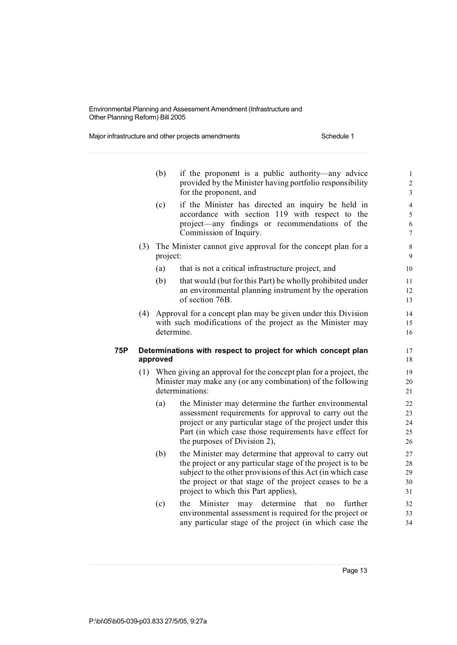Major infrastructure and other projects amendments Schedule 1

|     |     | (b)      | if the proponent is a public authority—any advice<br>provided by the Minister having portfolio responsibility<br>for the proponent, and                                                                                                                                               | $\mathbf 1$<br>$\overline{c}$<br>3         |
|-----|-----|----------|---------------------------------------------------------------------------------------------------------------------------------------------------------------------------------------------------------------------------------------------------------------------------------------|--------------------------------------------|
|     |     | (c)      | if the Minister has directed an inquiry be held in<br>accordance with section 119 with respect to the<br>project—any findings or recommendations of the<br>Commission of Inquiry.                                                                                                     | $\overline{4}$<br>5<br>6<br>$\overline{7}$ |
|     | (3) | project: | The Minister cannot give approval for the concept plan for a                                                                                                                                                                                                                          | 8<br>9                                     |
|     |     | (a)      | that is not a critical infrastructure project, and                                                                                                                                                                                                                                    | 10                                         |
|     |     | (b)      | that would (but for this Part) be wholly prohibited under<br>an environmental planning instrument by the operation<br>of section 76B.                                                                                                                                                 | 11<br>12<br>13                             |
|     | (4) |          | Approval for a concept plan may be given under this Division<br>with such modifications of the project as the Minister may<br>determine.                                                                                                                                              | 14<br>15<br>16                             |
| 75P |     | approved | Determinations with respect to project for which concept plan                                                                                                                                                                                                                         | 17<br>18                                   |
|     |     |          | (1) When giving an approval for the concept plan for a project, the<br>Minister may make any (or any combination) of the following<br>determinations:                                                                                                                                 | 19<br>20<br>21                             |
|     |     | (a)      | the Minister may determine the further environmental<br>assessment requirements for approval to carry out the<br>project or any particular stage of the project under this<br>Part (in which case those requirements have effect for<br>the purposes of Division 2),                  | 22<br>23<br>24<br>25<br>26                 |
|     |     | (b)      | the Minister may determine that approval to carry out<br>the project or any particular stage of the project is to be<br>subject to the other provisions of this Act (in which case<br>the project or that stage of the project ceases to be a<br>project to which this Part applies), | 27<br>28<br>29<br>30<br>31                 |
|     |     | (c)      | determine<br>Minister<br>that<br>the<br>may<br>further<br>no<br>environmental assessment is required for the project or                                                                                                                                                               | 32<br>33                                   |

any particular stage of the project (in which case the 34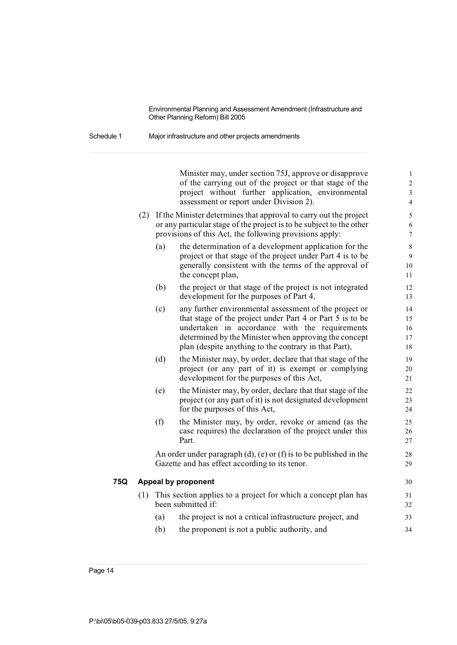Schedule 1 Major infrastructure and other projects amendments

Minister may, under section 75J, approve or disapprove 1 of the carrying out of the project or that stage of the 2 project without further application, environmental 3 assessment or report under Division 2). 4 (2) If the Minister determines that approval to carry out the project 5 or any particular stage of the project is to be subject to the other 6 provisions of this Act, the following provisions apply:  $\frac{7}{2}$ (a) the determination of a development application for the 8 project or that stage of the project under Part 4 is to be 9 generally consistent with the terms of the approval of 10 the concept plan, 11 (b) the project or that stage of the project is not integrated 12 development for the purposes of Part 4, 13 (c) any further environmental assessment of the project or 14 that stage of the project under Part 4 or Part 5 is to be 15 undertaken in accordance with the requirements 16 determined by the Minister when approving the concept 17 plan (despite anything to the contrary in that Part), 18 (d) the Minister may, by order, declare that that stage of the 19 project (or any part of it) is exempt or complying 20 development for the purposes of this Act, 21 (e) the Minister may, by order, declare that that stage of the 22 project (or any part of it) is not designated development 23 for the purposes of this Act, 24 (f) the Minister may, by order, revoke or amend (as the 25 case requires) the declaration of the project under this 26 Part. 27 An order under paragraph (d), (e) or (f) is to be published in the 28 Gazette and has effect according to its tenor. 29 **75Q Appeal by proponent** 30 (1) This section applies to a project for which a concept plan has 31 been submitted if: 32 (a) the project is not a critical infrastructure project, and 33 (b) the proponent is not a public authority, and  $34$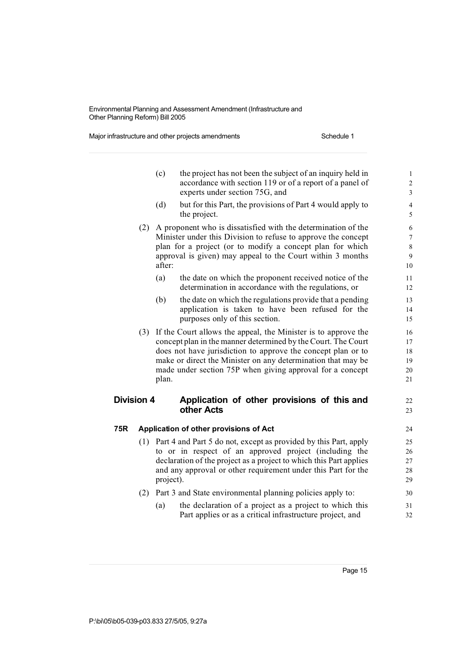Major infrastructure and other projects amendments Schedule 1

|                   |     | (c)       | the project has not been the subject of an inquiry held in<br>accordance with section 119 or of a report of a panel of<br>experts under section 75G, and                                                                                                                                                                         | $\mathbf{1}$<br>$\overline{c}$<br>$\overline{\mathbf{3}}$ |
|-------------------|-----|-----------|----------------------------------------------------------------------------------------------------------------------------------------------------------------------------------------------------------------------------------------------------------------------------------------------------------------------------------|-----------------------------------------------------------|
|                   |     | (d)       | but for this Part, the provisions of Part 4 would apply to<br>the project.                                                                                                                                                                                                                                                       | $\overline{4}$<br>5                                       |
|                   | (2) | after:    | A proponent who is dissatisfied with the determination of the<br>Minister under this Division to refuse to approve the concept<br>plan for a project (or to modify a concept plan for which<br>approval is given) may appeal to the Court within 3 months                                                                        | 6<br>$\overline{7}$<br>8<br>9<br>10                       |
|                   |     | (a)       | the date on which the proponent received notice of the<br>determination in accordance with the regulations, or                                                                                                                                                                                                                   | 11<br>12                                                  |
|                   |     | (b)       | the date on which the regulations provide that a pending<br>application is taken to have been refused for the<br>purposes only of this section.                                                                                                                                                                                  | 13<br>14<br>15                                            |
|                   |     | plan.     | (3) If the Court allows the appeal, the Minister is to approve the<br>concept plan in the manner determined by the Court. The Court<br>does not have jurisdiction to approve the concept plan or to<br>make or direct the Minister on any determination that may be<br>made under section 75P when giving approval for a concept | 16<br>17<br>18<br>19<br>20<br>21                          |
| <b>Division 4</b> |     |           | Application of other provisions of this and<br>other Acts                                                                                                                                                                                                                                                                        | 22<br>23                                                  |
| 75R               |     |           | Application of other provisions of Act                                                                                                                                                                                                                                                                                           | 24                                                        |
|                   |     | project). | (1) Part 4 and Part 5 do not, except as provided by this Part, apply<br>to or in respect of an approved project (including the<br>declaration of the project as a project to which this Part applies<br>and any approval or other requirement under this Part for the                                                            | 25<br>26<br>27<br>28<br>29                                |
|                   | (2) |           | Part 3 and State environmental planning policies apply to:                                                                                                                                                                                                                                                                       | 30                                                        |
|                   |     | (a)       | the declaration of a project as a project to which this<br>Part applies or as a critical infrastructure project, and                                                                                                                                                                                                             | 31<br>32                                                  |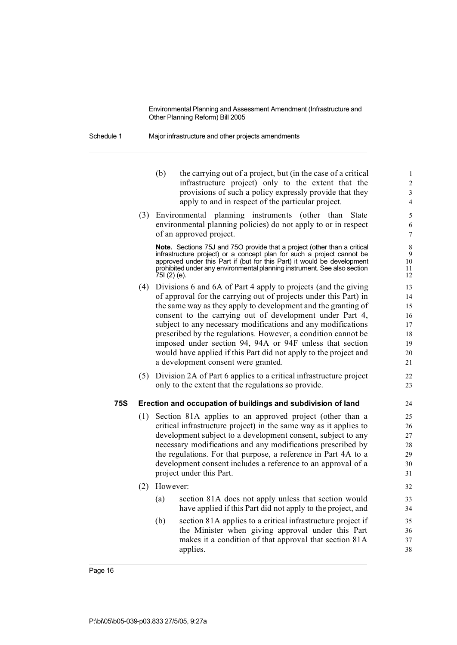Schedule 1 Major infrastructure and other projects amendments

- (b) the carrying out of a project, but (in the case of a critical  $1$ infrastructure project) only to the extent that the 2 provisions of such a policy expressly provide that they 3 apply to and in respect of the particular project. 4
- (3) Environmental planning instruments (other than State 5 environmental planning policies) do not apply to or in respect 6 of an approved project. 7

**Note.** Sections 75J and 75O provide that a project (other than a critical 8 infrastructure project) or a concept plan for such a project cannot be infrastructure project) or a concept plan for such a project cannot be approved under this Part if (but for this Part) it would be development 10 approved under this Part if (but for this Part) it would be development prohibited under any environmental planning instrument. See also section 11 75I (2) (e). 12

- (4) Divisions 6 and 6A of Part 4 apply to projects (and the giving 13 of approval for the carrying out of projects under this Part) in 14 the same way as they apply to development and the granting of 15 consent to the carrying out of development under Part 4, 16 subject to any necessary modifications and any modifications 17 prescribed by the regulations. However, a condition cannot be 18 imposed under section 94, 94A or 94F unless that section 19 would have applied if this Part did not apply to the project and 20 a development consent were granted. 21
- (5) Division 2A of Part 6 applies to a critical infrastructure project 22 only to the extent that the regulations so provide. 23

#### **75S Erection and occupation of buildings and subdivision of land** 24

- (1) Section 81A applies to an approved project (other than a 25 critical infrastructure project) in the same way as it applies to 26 development subject to a development consent, subject to any 27 necessary modifications and any modifications prescribed by 28 the regulations. For that purpose, a reference in Part 4A to a 29 development consent includes a reference to an approval of a  $30$ project under this Part. 31
- (2) However: 32 (a) section 81A does not apply unless that section would 33 have applied if this Part did not apply to the project, and 34
	- (b) section 81A applies to a critical infrastructure project if 35 the Minister when giving approval under this Part 36 makes it a condition of that approval that section 81A 37 applies. 38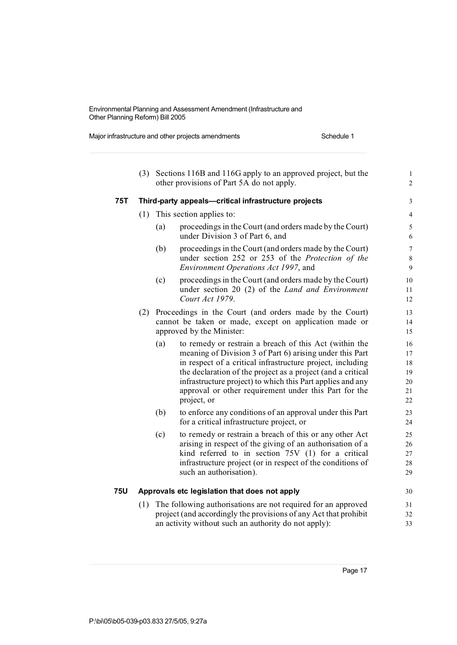Major infrastructure and other projects amendments Schedule 1

|            | (3) |     | Sections 116B and 116G apply to an approved project, but the<br>other provisions of Part 5A do not apply.                                                                                                                                                                                                                                                                             | $\mathbf{1}$<br>$\overline{c}$         |
|------------|-----|-----|---------------------------------------------------------------------------------------------------------------------------------------------------------------------------------------------------------------------------------------------------------------------------------------------------------------------------------------------------------------------------------------|----------------------------------------|
| <b>75T</b> |     |     | Third-party appeals-critical infrastructure projects                                                                                                                                                                                                                                                                                                                                  | 3                                      |
|            | (1) |     | This section applies to:                                                                                                                                                                                                                                                                                                                                                              | $\overline{4}$                         |
|            |     | (a) | proceedings in the Court (and orders made by the Court)<br>under Division 3 of Part 6, and                                                                                                                                                                                                                                                                                            | 5<br>6                                 |
|            |     | (b) | proceedings in the Court (and orders made by the Court)<br>under section 252 or 253 of the Protection of the<br>Environment Operations Act 1997, and                                                                                                                                                                                                                                  | $\overline{7}$<br>8<br>9               |
|            |     | (c) | proceedings in the Court (and orders made by the Court)<br>under section 20 (2) of the Land and Environment<br>Court Act 1979.                                                                                                                                                                                                                                                        | 10<br>11<br>12                         |
|            | (2) |     | Proceedings in the Court (and orders made by the Court)<br>cannot be taken or made, except on application made or<br>approved by the Minister:                                                                                                                                                                                                                                        | 13<br>14<br>15                         |
|            |     | (a) | to remedy or restrain a breach of this Act (within the<br>meaning of Division 3 of Part 6) arising under this Part<br>in respect of a critical infrastructure project, including<br>the declaration of the project as a project (and a critical<br>infrastructure project) to which this Part applies and any<br>approval or other requirement under this Part for the<br>project, or | 16<br>17<br>18<br>19<br>20<br>21<br>22 |
|            |     | (b) | to enforce any conditions of an approval under this Part<br>for a critical infrastructure project, or                                                                                                                                                                                                                                                                                 | 23<br>24                               |
|            |     | (c) | to remedy or restrain a breach of this or any other Act<br>arising in respect of the giving of an authorisation of a<br>kind referred to in section 75V (1) for a critical<br>infrastructure project (or in respect of the conditions of<br>such an authorisation).                                                                                                                   | 25<br>26<br>27<br>28<br>29             |
| <b>75U</b> |     |     | Approvals etc legislation that does not apply                                                                                                                                                                                                                                                                                                                                         | 30                                     |
|            | (1) |     | The following authorisations are not required for an approved<br>project (and accordingly the provisions of any Act that prohibit<br>an activity without such an authority do not apply):                                                                                                                                                                                             | 31<br>32<br>33                         |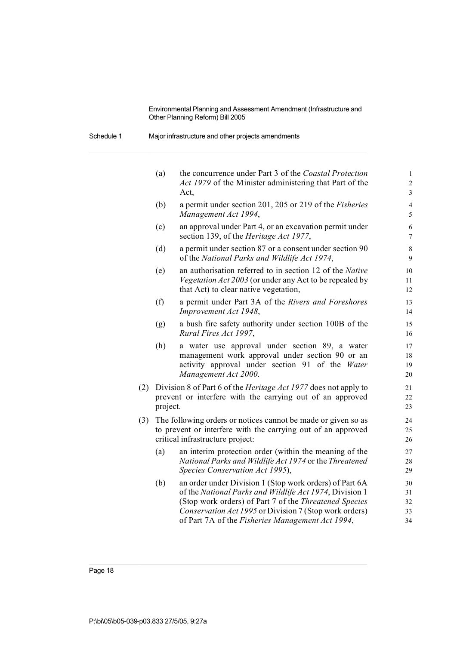Schedule 1 Major infrastructure and other projects amendments

|     | (a)      | the concurrence under Part 3 of the Coastal Protection<br>Act 1979 of the Minister administering that Part of the<br>Act,                                                                                                                                                                  | $\mathbf{1}$<br>$\overline{c}$<br>$\overline{3}$ |
|-----|----------|--------------------------------------------------------------------------------------------------------------------------------------------------------------------------------------------------------------------------------------------------------------------------------------------|--------------------------------------------------|
|     | (b)      | a permit under section 201, 205 or 219 of the Fisheries<br>Management Act 1994,                                                                                                                                                                                                            | $\overline{4}$<br>5                              |
|     | (c)      | an approval under Part 4, or an excavation permit under<br>section 139, of the Heritage Act 1977,                                                                                                                                                                                          | $\sqrt{6}$<br>$\tau$                             |
|     | (d)      | a permit under section 87 or a consent under section 90<br>of the National Parks and Wildlife Act 1974,                                                                                                                                                                                    | $\,8\,$<br>9                                     |
|     | (e)      | an authorisation referred to in section 12 of the Native<br>Vegetation Act 2003 (or under any Act to be repealed by<br>that Act) to clear native vegetation,                                                                                                                               | 10<br>11<br>12                                   |
|     | (f)      | a permit under Part 3A of the Rivers and Foreshores<br>Improvement Act 1948,                                                                                                                                                                                                               | 13<br>14                                         |
|     | (g)      | a bush fire safety authority under section 100B of the<br>Rural Fires Act 1997,                                                                                                                                                                                                            | 15<br>16                                         |
|     | (h)      | a water use approval under section 89, a water<br>management work approval under section 90 or an<br>activity approval under section 91 of the Water<br>Management Act 2000.                                                                                                               | 17<br>18<br>19<br>20                             |
| (2) | project. | Division 8 of Part 6 of the <i>Heritage Act 1977</i> does not apply to<br>prevent or interfere with the carrying out of an approved                                                                                                                                                        | 21<br>22<br>23                                   |
| (3) |          | The following orders or notices cannot be made or given so as<br>to prevent or interfere with the carrying out of an approved<br>critical infrastructure project:                                                                                                                          | 24<br>25<br>26                                   |
|     | (a)      | an interim protection order (within the meaning of the<br>National Parks and Wildlife Act 1974 or the Threatened<br>Species Conservation Act 1995),                                                                                                                                        | 27<br>28<br>29                                   |
|     | (b)      | an order under Division 1 (Stop work orders) of Part 6A<br>of the National Parks and Wildlife Act 1974, Division 1<br>(Stop work orders) of Part 7 of the Threatened Species<br>Conservation Act 1995 or Division 7 (Stop work orders)<br>of Part 7A of the Fisheries Management Act 1994, | 30<br>31<br>32<br>33<br>34                       |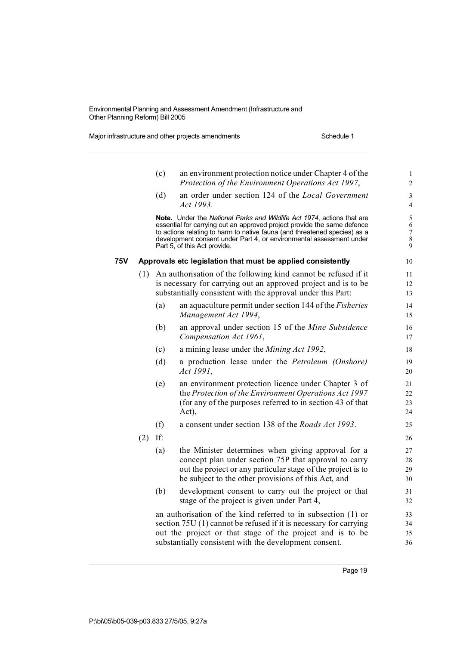Major infrastructure and other projects amendments Schedule 1

|     |     | (c) | an environment protection notice under Chapter 4 of the<br>Protection of the Environment Operations Act 1997,                                                                                                                                                                                                                         | $\mathbf{1}$<br>$\sqrt{2}$                               |
|-----|-----|-----|---------------------------------------------------------------------------------------------------------------------------------------------------------------------------------------------------------------------------------------------------------------------------------------------------------------------------------------|----------------------------------------------------------|
|     |     | (d) | an order under section 124 of the Local Government<br>Act 1993.                                                                                                                                                                                                                                                                       | $\mathfrak{Z}$<br>4                                      |
|     |     |     | Note. Under the National Parks and Wildlife Act 1974, actions that are<br>essential for carrying out an approved project provide the same defence<br>to actions relating to harm to native fauna (and threatened species) as a<br>development consent under Part 4, or environmental assessment under<br>Part 5, of this Act provide. | $\sqrt{5}$<br>$\sqrt{6}$<br>$\sqrt{ }$<br>$\,$ $\,$<br>9 |
| 75V |     |     | Approvals etc legislation that must be applied consistently                                                                                                                                                                                                                                                                           | 10                                                       |
|     | (1) |     | An authorisation of the following kind cannot be refused if it<br>is necessary for carrying out an approved project and is to be<br>substantially consistent with the approval under this Part:                                                                                                                                       | 11<br>12<br>13                                           |
|     |     | (a) | an aquaculture permit under section 144 of the <i>Fisheries</i><br>Management Act 1994,                                                                                                                                                                                                                                               | 14<br>15                                                 |
|     |     | (b) | an approval under section 15 of the Mine Subsidence<br>Compensation Act 1961,                                                                                                                                                                                                                                                         | 16<br>17                                                 |
|     |     | (c) | a mining lease under the Mining Act 1992,                                                                                                                                                                                                                                                                                             | 18                                                       |
|     |     | (d) | a production lease under the Petroleum (Onshore)<br>Act 1991,                                                                                                                                                                                                                                                                         | 19<br>20                                                 |
|     |     | (e) | an environment protection licence under Chapter 3 of<br>the Protection of the Environment Operations Act 1997<br>(for any of the purposes referred to in section 43 of that<br>Act),                                                                                                                                                  | 21<br>$22\,$<br>23<br>24                                 |
|     |     | (f) | a consent under section 138 of the Roads Act 1993.                                                                                                                                                                                                                                                                                    | 25                                                       |
|     | (2) | If: |                                                                                                                                                                                                                                                                                                                                       | 26                                                       |
|     |     | (a) | the Minister determines when giving approval for a<br>concept plan under section 75P that approval to carry<br>out the project or any particular stage of the project is to<br>be subject to the other provisions of this Act, and                                                                                                    | 27<br>28<br>29<br>30                                     |
|     |     | (b) | development consent to carry out the project or that<br>stage of the project is given under Part 4,                                                                                                                                                                                                                                   | 31<br>32                                                 |
|     |     |     | an authorisation of the kind referred to in subsection (1) or<br>section 75U (1) cannot be refused if it is necessary for carrying<br>out the project or that stage of the project and is to be<br>substantially consistent with the development consent.                                                                             | 33<br>34<br>35<br>36                                     |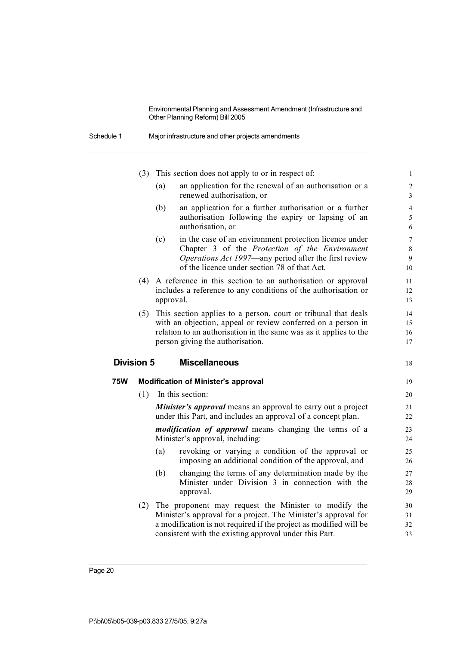| Schedule 1 | Major infrastructure and other projects amendments |
|------------|----------------------------------------------------|
|------------|----------------------------------------------------|

|     | (3)               |                                                                   | This section does not apply to or in respect of:                                                                                                                                                                                        | $\,1$                                      |
|-----|-------------------|-------------------------------------------------------------------|-----------------------------------------------------------------------------------------------------------------------------------------------------------------------------------------------------------------------------------------|--------------------------------------------|
|     |                   | (a)                                                               | an application for the renewal of an authorisation or a<br>renewed authorisation, or                                                                                                                                                    | $\overline{2}$<br>$\overline{3}$           |
|     |                   | (b)                                                               | an application for a further authorisation or a further<br>authorisation following the expiry or lapsing of an<br>authorisation, or                                                                                                     | $\overline{4}$<br>5<br>6                   |
|     |                   | (c)                                                               | in the case of an environment protection licence under<br>Chapter 3 of the Protection of the Environment<br>Operations Act 1997—any period after the first review<br>of the licence under section 78 of that Act.                       | $\boldsymbol{7}$<br>$\,$ 8 $\,$<br>9<br>10 |
|     | (4)               | approval.                                                         | A reference in this section to an authorisation or approval<br>includes a reference to any conditions of the authorisation or                                                                                                           | 11<br>12<br>13                             |
|     | (5)               |                                                                   | This section applies to a person, court or tribunal that deals<br>with an objection, appeal or review conferred on a person in<br>relation to an authorisation in the same was as it applies to the<br>person giving the authorisation. | 14<br>15<br>16<br>17                       |
|     | <b>Division 5</b> |                                                                   | <b>Miscellaneous</b>                                                                                                                                                                                                                    | 18                                         |
| 75W |                   |                                                                   | <b>Modification of Minister's approval</b>                                                                                                                                                                                              | 19                                         |
|     | (1)               |                                                                   | In this section:                                                                                                                                                                                                                        | 20                                         |
|     |                   |                                                                   | <b>Minister's approval</b> means an approval to carry out a project<br>under this Part, and includes an approval of a concept plan.                                                                                                     | 21<br>22                                   |
|     |                   |                                                                   | <i>modification of approval</i> means changing the terms of a<br>Minister's approval, including:                                                                                                                                        | 23<br>24                                   |
|     |                   | (a)                                                               | revoking or varying a condition of the approval or<br>imposing an additional condition of the approval, and                                                                                                                             | 25<br>26                                   |
|     |                   | (b)                                                               | changing the terms of any determination made by the<br>Minister under Division 3 in connection with the<br>approval.                                                                                                                    | 27<br>28<br>29                             |
|     | (2)               | a modification is not required if the project as modified will be | The proponent may request the Minister to modify the<br>Minister's approval for a project. The Minister's approval for                                                                                                                  | 30<br>31                                   |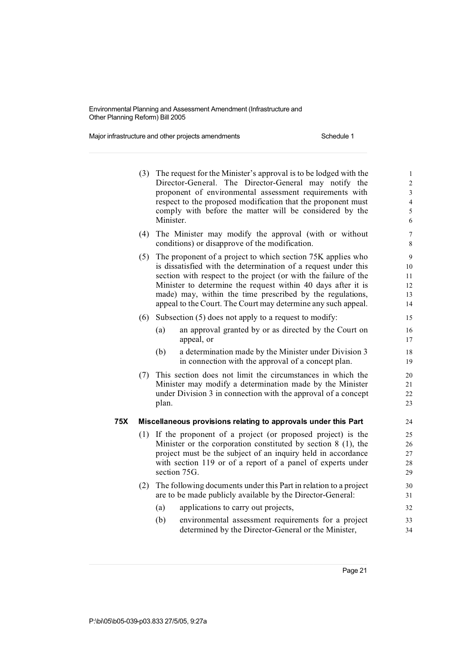Major infrastructure and other projects amendments Schedule 1

|     | (3) | Minister.  | The request for the Minister's approval is to be lodged with the<br>Director-General. The Director-General may notify the<br>proponent of environmental assessment requirements with<br>respect to the proposed modification that the proponent must<br>comply with before the matter will be considered by the                                                                                | $\mathbf{1}$<br>$\overline{c}$<br>3<br>$\overline{4}$<br>5<br>6 |
|-----|-----|------------|------------------------------------------------------------------------------------------------------------------------------------------------------------------------------------------------------------------------------------------------------------------------------------------------------------------------------------------------------------------------------------------------|-----------------------------------------------------------------|
|     | (4) |            | The Minister may modify the approval (with or without<br>conditions) or disapprove of the modification.                                                                                                                                                                                                                                                                                        | $\overline{7}$<br>8                                             |
|     | (5) |            | The proponent of a project to which section 75K applies who<br>is dissatisfied with the determination of a request under this<br>section with respect to the project (or with the failure of the<br>Minister to determine the request within 40 days after it is<br>made) may, within the time prescribed by the regulations,<br>appeal to the Court. The Court may determine any such appeal. | 9<br>10<br>11<br>12<br>13<br>14                                 |
|     | (6) | (a)<br>(b) | Subsection $(5)$ does not apply to a request to modify:<br>an approval granted by or as directed by the Court on<br>appeal, or<br>a determination made by the Minister under Division 3<br>in connection with the approval of a concept plan.                                                                                                                                                  | 15<br>16<br>17<br>18<br>19                                      |
|     | (7) | plan.      | This section does not limit the circumstances in which the<br>Minister may modify a determination made by the Minister<br>under Division 3 in connection with the approval of a concept                                                                                                                                                                                                        | 20<br>21<br>22<br>23                                            |
| 75X |     |            | Miscellaneous provisions relating to approvals under this Part                                                                                                                                                                                                                                                                                                                                 | 24                                                              |
|     |     |            | (1) If the proponent of a project (or proposed project) is the<br>Minister or the corporation constituted by section 8 (1), the<br>project must be the subject of an inquiry held in accordance<br>with section 119 or of a report of a panel of experts under<br>section 75G.                                                                                                                 | 25<br>26<br>27<br>28<br>29                                      |
|     | (2) |            | The following documents under this Part in relation to a project<br>are to be made publicly available by the Director-General:                                                                                                                                                                                                                                                                 | 30<br>31                                                        |
|     |     | (a)        | applications to carry out projects,                                                                                                                                                                                                                                                                                                                                                            | 32                                                              |
|     |     | (b)        | environmental assessment requirements for a project<br>determined by the Director-General or the Minister,                                                                                                                                                                                                                                                                                     | 33<br>34                                                        |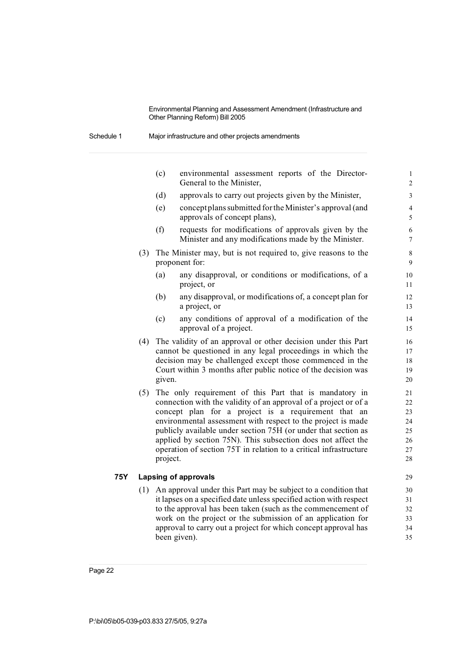Schedule 1 Major infrastructure and other projects amendments

|     |     | (c)      | environmental assessment reports of the Director-<br>General to the Minister,                                                                                                                                                                                                                                                                                                                                                                            | $\mathbf 1$<br>$\overline{\mathbf{c}}$       |
|-----|-----|----------|----------------------------------------------------------------------------------------------------------------------------------------------------------------------------------------------------------------------------------------------------------------------------------------------------------------------------------------------------------------------------------------------------------------------------------------------------------|----------------------------------------------|
|     |     | (d)      | approvals to carry out projects given by the Minister,                                                                                                                                                                                                                                                                                                                                                                                                   | 3                                            |
|     |     | (e)      | concept plans submitted for the Minister's approval (and<br>approvals of concept plans),                                                                                                                                                                                                                                                                                                                                                                 | $\overline{\mathcal{L}}$<br>5                |
|     |     | (f)      | requests for modifications of approvals given by the<br>Minister and any modifications made by the Minister.                                                                                                                                                                                                                                                                                                                                             | 6<br>$\overline{7}$                          |
|     | (3) |          | The Minister may, but is not required to, give reasons to the<br>proponent for:                                                                                                                                                                                                                                                                                                                                                                          | 8<br>9                                       |
|     |     | (a)      | any disapproval, or conditions or modifications, of a<br>project, or                                                                                                                                                                                                                                                                                                                                                                                     | 10<br>11                                     |
|     |     | (b)      | any disapproval, or modifications of, a concept plan for<br>a project, or                                                                                                                                                                                                                                                                                                                                                                                | 12<br>13                                     |
|     |     | (c)      | any conditions of approval of a modification of the<br>approval of a project.                                                                                                                                                                                                                                                                                                                                                                            | 14<br>15                                     |
|     | (4) | given.   | The validity of an approval or other decision under this Part<br>cannot be questioned in any legal proceedings in which the<br>decision may be challenged except those commenced in the<br>Court within 3 months after public notice of the decision was                                                                                                                                                                                                 | 16<br>17<br>18<br>19<br>20                   |
|     | (5) | project. | The only requirement of this Part that is mandatory in<br>connection with the validity of an approval of a project or of a<br>concept plan for a project is a requirement that an<br>environmental assessment with respect to the project is made<br>publicly available under section 75H (or under that section as<br>applied by section 75N). This subsection does not affect the<br>operation of section 75T in relation to a critical infrastructure | 21<br>22<br>23<br>24<br>25<br>26<br>27<br>28 |
| 75Y |     |          | <b>Lapsing of approvals</b>                                                                                                                                                                                                                                                                                                                                                                                                                              | 29                                           |
|     | (1) |          | An approval under this Part may be subject to a condition that<br>it lapses on a specified date unless specified action with respect<br>to the approval has been taken (such as the commencement of<br>work on the project or the submission of an application for                                                                                                                                                                                       | 30<br>31<br>32<br>33                         |
|     |     |          | approval to carry out a project for which concept approval has                                                                                                                                                                                                                                                                                                                                                                                           | 34                                           |

been given). 35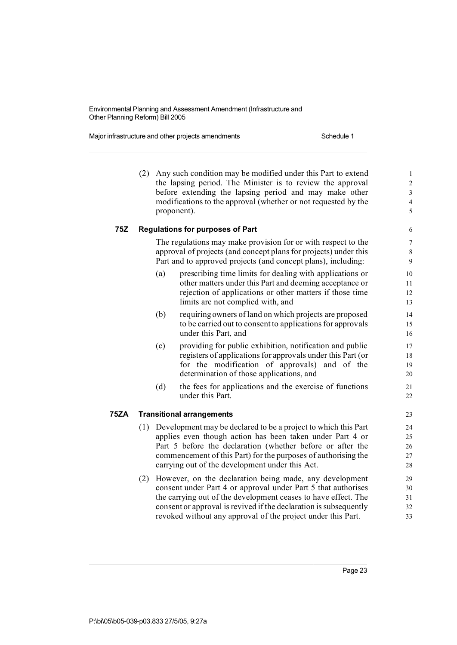Major infrastructure and other projects amendments Schedule 1

(2) Any such condition may be modified under this Part to extend 1 the lapsing period. The Minister is to review the approval 2 before extending the lapsing period and may make other 3 modifications to the approval (whether or not requested by the 4 proponent). 5 **75Z Regulations for purposes of Part** 6 The regulations may make provision for or with respect to the 7 approval of projects (and concept plans for projects) under this 8 Part and to approved projects (and concept plans), including: 9 (a) prescribing time limits for dealing with applications or 10 other matters under this Part and deeming acceptance or 11 rejection of applications or other matters if those time 12 limits are not complied with, and 13 (b) requiringowners of land on which projects are proposed 14 to be carried out to consent to applications for approvals 15 under this Part, and 16 (c) providing for public exhibition, notification and public 17 registers of applications for approvals under this Part (or 18 for the modification of approvals) and of the 19 determination of those applications, and 20 (d) the fees for applications and the exercise of functions 21 under this Part. 22 **75ZA Transitional arrangements** 23 (1) Development may be declared to be a project to which this Part 24 applies even though action has been taken under Part 4 or 25 Part 5 before the declaration (whether before or after the 26 commencement of this Part) for the purposes of authorising the 27 carrying out of the development under this Act. 28 (2) However, on the declaration being made, any development 29 consent under Part 4 or approval under Part 5 that authorises 30 the carrying out of the development ceases to have effect. The 31 consent or approval isrevived if the declaration is subsequently 32 revoked without any approval of the project under this Part.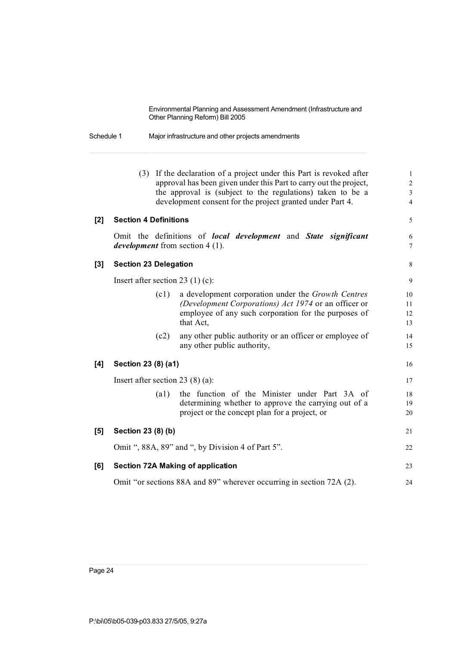Schedule 1 Major infrastructure and other projects amendments

|          | (3)                          |                    | If the declaration of a project under this Part is revoked after<br>approval has been given under this Part to carry out the project, | $\mathbf{1}$<br>$\sqrt{2}$ |
|----------|------------------------------|--------------------|---------------------------------------------------------------------------------------------------------------------------------------|----------------------------|
|          |                              |                    | the approval is (subject to the regulations) taken to be a                                                                            | $\mathfrak{Z}$             |
|          |                              |                    | development consent for the project granted under Part 4.                                                                             | $\overline{4}$             |
|          |                              |                    |                                                                                                                                       |                            |
| [2]      | <b>Section 4 Definitions</b> |                    |                                                                                                                                       | 5                          |
|          |                              |                    | Omit the definitions of <i>local development</i> and <i>State significant</i>                                                         | 6                          |
|          |                              |                    | <i>development</i> from section 4 (1).                                                                                                | $\tau$                     |
| $^{[3]}$ | <b>Section 23 Delegation</b> |                    |                                                                                                                                       | $\,8\,$                    |
|          |                              |                    | Insert after section 23 $(1)$ (c):                                                                                                    | 9                          |
|          |                              | (c1)               | a development corporation under the Growth Centres                                                                                    | 10                         |
|          |                              |                    | (Development Corporations) Act 1974 or an officer or                                                                                  | 11                         |
|          |                              |                    | employee of any such corporation for the purposes of                                                                                  | 12                         |
|          |                              |                    | that Act,                                                                                                                             | 13                         |
|          |                              | (c2)               | any other public authority or an officer or employee of                                                                               | 14                         |
|          |                              |                    | any other public authority,                                                                                                           | 15                         |
| [4]      | Section 23 (8) (a1)          |                    |                                                                                                                                       | 16                         |
|          |                              |                    | Insert after section 23 $(8)$ (a):                                                                                                    | 17                         |
|          |                              | $\left( a1\right)$ | the function of the Minister under Part 3A of                                                                                         | 18                         |
|          |                              |                    | determining whether to approve the carrying out of a                                                                                  | 19                         |
|          |                              |                    | project or the concept plan for a project, or                                                                                         | 20                         |
| [5]      | Section 23 (8) (b)           |                    |                                                                                                                                       | 21                         |
|          |                              |                    | Omit ", 88A, 89" and ", by Division 4 of Part 5".                                                                                     | 22                         |
| [6]      |                              |                    | <b>Section 72A Making of application</b>                                                                                              | 23                         |
|          |                              |                    | Omit "or sections 88A and 89" wherever occurring in section 72A (2).                                                                  | 24                         |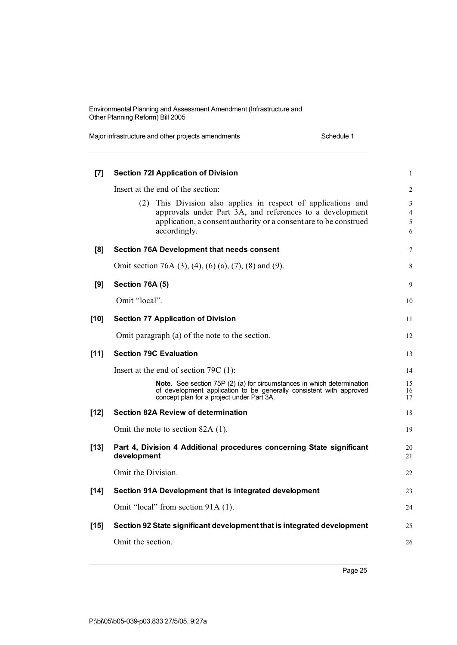Major infrastructure and other projects amendments Schedule 1

| [7]    | <b>Section 72I Application of Division</b>                                                                                                                                                                                                             | $\mathbf{1}$                       |
|--------|--------------------------------------------------------------------------------------------------------------------------------------------------------------------------------------------------------------------------------------------------------|------------------------------------|
|        | Insert at the end of the section:<br>This Division also applies in respect of applications and<br>(2)<br>approvals under Part 3A, and references to a development<br>application, a consent authority or a consent are to be construed<br>accordingly. | 2<br>3<br>$\overline{4}$<br>5<br>6 |
| [8]    | Section 76A Development that needs consent                                                                                                                                                                                                             | 7                                  |
|        | Omit section 76A (3), (4), (6) (a), (7), (8) and (9).                                                                                                                                                                                                  | 8                                  |
| [9]    | Section 76A (5)                                                                                                                                                                                                                                        | 9                                  |
|        | Omit "local".                                                                                                                                                                                                                                          | 10                                 |
| $[10]$ | <b>Section 77 Application of Division</b>                                                                                                                                                                                                              | 11                                 |
|        | Omit paragraph (a) of the note to the section.                                                                                                                                                                                                         | 12                                 |
| [11]   | <b>Section 79C Evaluation</b>                                                                                                                                                                                                                          | 13                                 |
|        | Insert at the end of section $79C(1)$ :                                                                                                                                                                                                                | 14                                 |
|        | Note. See section 75P (2) (a) for circumstances in which determination<br>of development application to be generally consistent with approved<br>concept plan for a project under Part 3A.                                                             | 15<br>16<br>17                     |
| $[12]$ | Section 82A Review of determination                                                                                                                                                                                                                    | 18                                 |
|        | Omit the note to section 82A (1).                                                                                                                                                                                                                      | 19                                 |
| $[13]$ | Part 4, Division 4 Additional procedures concerning State significant<br>development                                                                                                                                                                   | 20<br>21                           |
|        | Omit the Division.                                                                                                                                                                                                                                     | 22                                 |
| $[14]$ | Section 91A Development that is integrated development                                                                                                                                                                                                 | 23                                 |
|        | Omit "local" from section 91A (1).                                                                                                                                                                                                                     | 24                                 |
| $[15]$ | Section 92 State significant development that is integrated development                                                                                                                                                                                | 25                                 |
|        | Omit the section.                                                                                                                                                                                                                                      | 26                                 |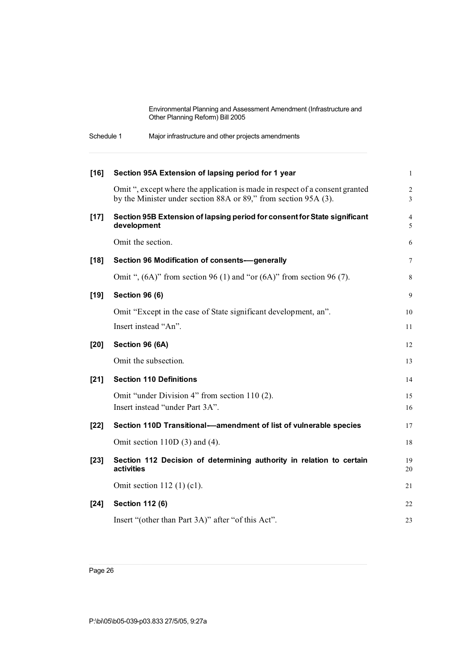| Schedule 1 | Major infrastructure and other projects amendments |  |
|------------|----------------------------------------------------|--|
|------------|----------------------------------------------------|--|

| $[16]$ | Section 95A Extension of lapsing period for 1 year                                                                                              | $\mathbf{1}$    |
|--------|-------------------------------------------------------------------------------------------------------------------------------------------------|-----------------|
|        | Omit ", except where the application is made in respect of a consent granted<br>by the Minister under section 88A or 89," from section 95A (3). | $\sqrt{2}$<br>3 |
| $[17]$ | Section 95B Extension of lapsing period for consent for State significant<br>development                                                        | 4<br>5          |
|        | Omit the section.                                                                                                                               | 6               |
| $[18]$ | Section 96 Modification of consents-generally                                                                                                   | 7               |
|        | Omit ", $(6A)$ " from section 96 (1) and "or $(6A)$ " from section 96 (7).                                                                      | $\,8\,$         |
| $[19]$ | <b>Section 96 (6)</b>                                                                                                                           | 9               |
|        | Omit "Except in the case of State significant development, an".                                                                                 | 10              |
|        | Insert instead "An".                                                                                                                            | 11              |
| [20]   | Section 96 (6A)                                                                                                                                 | 12              |
|        | Omit the subsection.                                                                                                                            | 13              |
| $[21]$ | <b>Section 110 Definitions</b>                                                                                                                  | 14              |
|        | Omit "under Division 4" from section 110 (2).                                                                                                   | 15              |
|        | Insert instead "under Part 3A".                                                                                                                 | 16              |
| $[22]$ | Section 110D Transitional-amendment of list of vulnerable species                                                                               | 17              |
|        | Omit section $110D(3)$ and $(4)$ .                                                                                                              | 18              |
| $[23]$ | Section 112 Decision of determining authority in relation to certain<br>activities                                                              | 19<br>20        |
|        | Omit section $112$ (1) (c1).                                                                                                                    | 21              |
| $[24]$ | <b>Section 112 (6)</b>                                                                                                                          | 22              |
|        | Insert "(other than Part 3A)" after "of this Act".                                                                                              | 23              |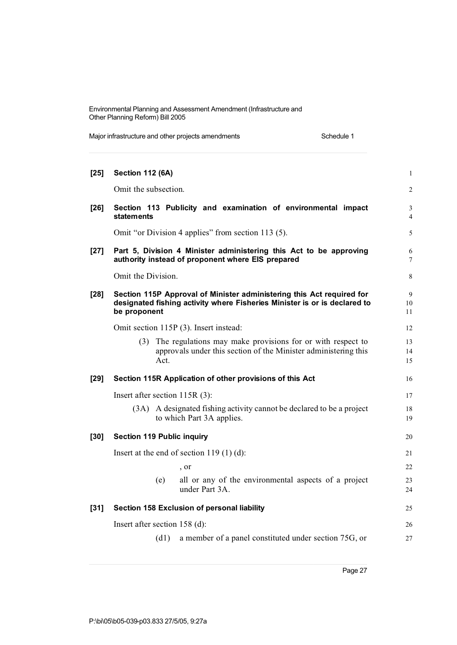Major infrastructure and other projects amendments Schedule 1

| $[25]$ | <b>Section 112 (6A)</b>                    |                                                                                                                                                    | $\mathbf{1}$        |
|--------|--------------------------------------------|----------------------------------------------------------------------------------------------------------------------------------------------------|---------------------|
|        | Omit the subsection.                       |                                                                                                                                                    | $\overline{2}$      |
| $[26]$ | <b>statements</b>                          | Section 113 Publicity and examination of environmental impact                                                                                      | 3<br>$\overline{4}$ |
|        |                                            | Omit "or Division 4 applies" from section 113 (5).                                                                                                 | 5                   |
| $[27]$ |                                            | Part 5, Division 4 Minister administering this Act to be approving<br>authority instead of proponent where EIS prepared                            | 6<br>7              |
|        | Omit the Division.                         |                                                                                                                                                    | 8                   |
| $[28]$ | be proponent                               | Section 115P Approval of Minister administering this Act required for<br>designated fishing activity where Fisheries Minister is or is declared to | 9<br>10<br>11       |
|        | Omit section 115P (3). Insert instead:     |                                                                                                                                                    | 12                  |
|        | Act.                                       | (3) The regulations may make provisions for or with respect to<br>approvals under this section of the Minister administering this                  | 13<br>14<br>15      |
| $[29]$ |                                            | Section 115R Application of other provisions of this Act                                                                                           | 16                  |
|        | Insert after section $115R(3)$ :           |                                                                                                                                                    | 17                  |
|        |                                            | (3A) A designated fishing activity cannot be declared to be a project<br>to which Part 3A applies.                                                 | 18<br>19            |
| $[30]$ | <b>Section 119 Public inquiry</b>          |                                                                                                                                                    | 20                  |
|        | Insert at the end of section $119(1)(d)$ : |                                                                                                                                                    | 21                  |
|        |                                            | , or                                                                                                                                               | 22                  |
|        | (e)                                        | all or any of the environmental aspects of a project<br>under Part 3A.                                                                             | 23<br>24            |
| $[31]$ |                                            | Section 158 Exclusion of personal liability                                                                                                        | 25                  |
|        | Insert after section 158 (d):              |                                                                                                                                                    | 26                  |
|        | (d1)                                       | a member of a panel constituted under section 75G, or                                                                                              | 27                  |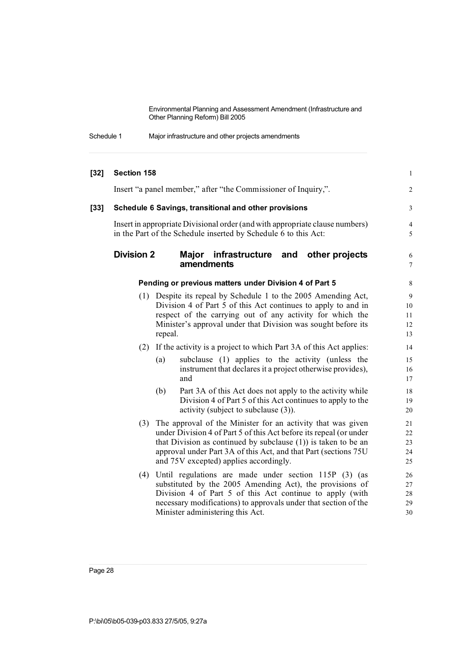| Schedule 1 | Major infrastructure and other projects amendments |  |
|------------|----------------------------------------------------|--|
|------------|----------------------------------------------------|--|

| $[32]$ | Section 158       |                                                                                                                                                                                                                                                                                                                      | $\mathbf{1}$                   |
|--------|-------------------|----------------------------------------------------------------------------------------------------------------------------------------------------------------------------------------------------------------------------------------------------------------------------------------------------------------------|--------------------------------|
|        |                   | Insert "a panel member," after "the Commissioner of Inquiry,".                                                                                                                                                                                                                                                       | $\overline{2}$                 |
| [33]   |                   | Schedule 6 Savings, transitional and other provisions                                                                                                                                                                                                                                                                | 3                              |
|        |                   | Insert in appropriate Divisional order (and with appropriate clause numbers)<br>in the Part of the Schedule inserted by Schedule 6 to this Act:                                                                                                                                                                      | $\overline{4}$<br>5            |
|        | <b>Division 2</b> | Major infrastructure and<br>other projects<br>amendments                                                                                                                                                                                                                                                             | $\sqrt{6}$<br>$\boldsymbol{7}$ |
|        |                   | Pending or previous matters under Division 4 of Part 5                                                                                                                                                                                                                                                               | 8                              |
|        |                   | (1) Despite its repeal by Schedule 1 to the 2005 Amending Act,<br>Division 4 of Part 5 of this Act continues to apply to and in<br>respect of the carrying out of any activity for which the<br>Minister's approval under that Division was sought before its<br>repeal.                                             | 9<br>10<br>11<br>12<br>13      |
|        | (2)               | If the activity is a project to which Part 3A of this Act applies:                                                                                                                                                                                                                                                   | 14                             |
|        |                   | subclause (1) applies to the activity (unless the<br>(a)<br>instrument that declares it a project otherwise provides),<br>and                                                                                                                                                                                        | 15<br>16<br>17                 |
|        |                   | Part 3A of this Act does not apply to the activity while<br>(b)<br>Division 4 of Part 5 of this Act continues to apply to the<br>activity (subject to subclause (3)).                                                                                                                                                | 18<br>19<br>20                 |
|        | (3)               | The approval of the Minister for an activity that was given<br>under Division 4 of Part 5 of this Act before its repeal (or under<br>that Division as continued by subclause $(1)$ ) is taken to be an<br>approval under Part 3A of this Act, and that Part (sections 75U)<br>and 75V excepted) applies accordingly. | 21<br>22<br>23<br>24<br>25     |
|        | (4)               | Until regulations are made under section 115P (3) (as<br>substituted by the 2005 Amending Act), the provisions of<br>Division 4 of Part 5 of this Act continue to apply (with<br>necessary modifications) to approvals under that section of the<br>Minister administering this Act.                                 | 26<br>27<br>28<br>29<br>30     |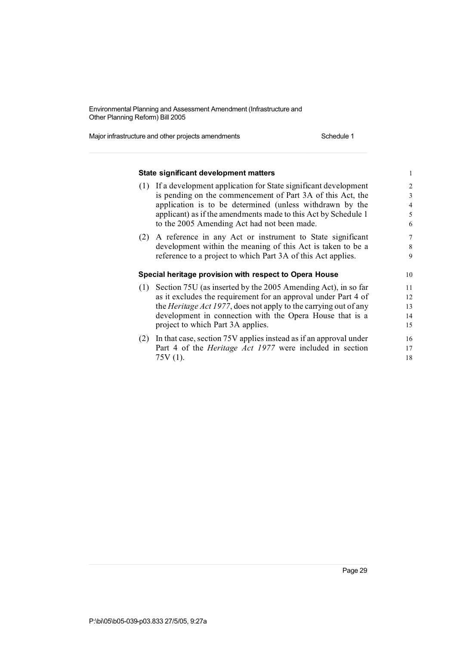Major infrastructure and other projects amendments Schedule 1

|     | State significant development matters                                                                                                | 1                          |
|-----|--------------------------------------------------------------------------------------------------------------------------------------|----------------------------|
| (1) | If a development application for State significant development                                                                       | $\overline{2}$             |
|     | is pending on the commencement of Part 3A of this Act, the                                                                           | 3                          |
|     | application is to be determined (unless withdrawn by the                                                                             | $\overline{\mathcal{L}}$   |
|     | applicant) as if the amendments made to this Act by Schedule 1                                                                       | 5                          |
|     | to the 2005 Amending Act had not been made.                                                                                          | 6                          |
| (2) | A reference in any Act or instrument to State significant                                                                            | $\overline{7}$             |
|     | development within the meaning of this Act is taken to be a                                                                          | 8                          |
|     | reference to a project to which Part 3A of this Act applies.                                                                         | 9                          |
|     |                                                                                                                                      |                            |
|     | Special heritage provision with respect to Opera House                                                                               | 10                         |
|     |                                                                                                                                      | 11                         |
|     | (1) Section 75U (as inserted by the 2005 Amending Act), in so far<br>as it excludes the requirement for an approval under Part 4 of  | 12                         |
|     | the <i>Heritage Act 1977</i> , does not apply to the carrying out of any                                                             |                            |
|     | development in connection with the Opera House that is a                                                                             |                            |
|     | project to which Part 3A applies.                                                                                                    |                            |
| (2) |                                                                                                                                      |                            |
|     | In that case, section 75V applies instead as if an approval under<br>Part 4 of the <i>Heritage Act 1977</i> were included in section | 13<br>14<br>15<br>16<br>17 |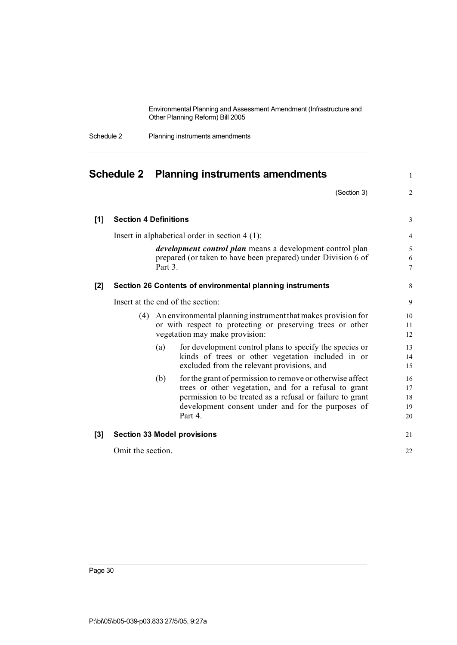| Schedule 2 | Planning instruments amendments |
|------------|---------------------------------|
|------------|---------------------------------|

|       |                              |         | Schedule 2 Planning instruments amendments                                                                                                                                                                                                      | $\mathbf{1}$               |
|-------|------------------------------|---------|-------------------------------------------------------------------------------------------------------------------------------------------------------------------------------------------------------------------------------------------------|----------------------------|
|       |                              |         | (Section 3)                                                                                                                                                                                                                                     | 2                          |
| $[1]$ | <b>Section 4 Definitions</b> |         |                                                                                                                                                                                                                                                 | 3                          |
|       |                              |         | Insert in alphabetical order in section $4(1)$ :                                                                                                                                                                                                | $\overline{4}$             |
|       |                              | Part 3. | <i>development control plan</i> means a development control plan<br>prepared (or taken to have been prepared) under Division 6 of                                                                                                               | 5<br>6<br>$\overline{7}$   |
| [2]   |                              |         | Section 26 Contents of environmental planning instruments                                                                                                                                                                                       | 8                          |
|       |                              |         | Insert at the end of the section:                                                                                                                                                                                                               | 9                          |
|       | (4)                          |         | An environmental planning instrument that makes provision for<br>or with respect to protecting or preserving trees or other<br>vegetation may make provision:                                                                                   | 10<br>11<br>12             |
|       |                              | (a)     | for development control plans to specify the species or<br>kinds of trees or other vegetation included in or<br>excluded from the relevant provisions, and                                                                                      | 13<br>14<br>15             |
|       |                              | (b)     | for the grant of permission to remove or otherwise affect<br>trees or other vegetation, and for a refusal to grant<br>permission to be treated as a refusal or failure to grant<br>development consent under and for the purposes of<br>Part 4. | 16<br>17<br>18<br>19<br>20 |
| $[3]$ |                              |         | <b>Section 33 Model provisions</b>                                                                                                                                                                                                              | 21                         |
|       | Omit the section.            |         |                                                                                                                                                                                                                                                 | 22                         |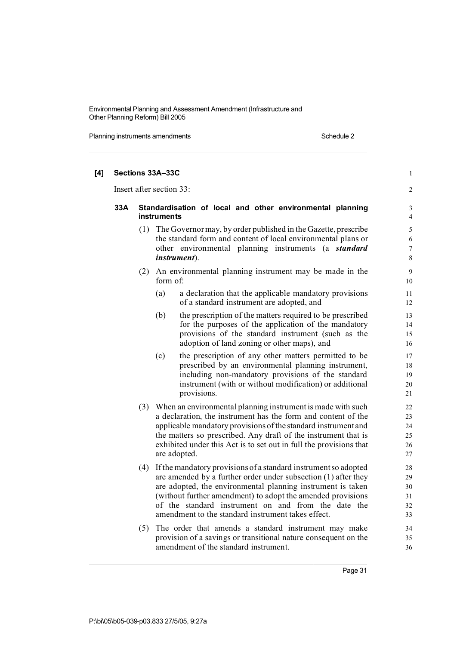Planning instruments amendments **Schedule 2** Schedule 2

| [4] |     |                          | Sections 33A-33C                                                                                                                                                                                                                                                                                                                                                                 | $\mathbf{1}$                     |
|-----|-----|--------------------------|----------------------------------------------------------------------------------------------------------------------------------------------------------------------------------------------------------------------------------------------------------------------------------------------------------------------------------------------------------------------------------|----------------------------------|
|     |     | Insert after section 33: |                                                                                                                                                                                                                                                                                                                                                                                  |                                  |
|     | 33A |                          | Standardisation of local and other environmental planning<br>instruments                                                                                                                                                                                                                                                                                                         |                                  |
|     |     |                          | (1) The Governor may, by order published in the Gazette, prescribe<br>the standard form and content of local environmental plans or<br>other environmental planning instruments (a <i>standard</i><br><i>instrument</i> ).                                                                                                                                                       | 5<br>6<br>7<br>8                 |
|     |     |                          | (2) An environmental planning instrument may be made in the<br>form of:                                                                                                                                                                                                                                                                                                          | $\overline{9}$<br>10             |
|     |     |                          | (a)<br>a declaration that the applicable mandatory provisions<br>of a standard instrument are adopted, and                                                                                                                                                                                                                                                                       | 11<br>12                         |
|     |     |                          | the prescription of the matters required to be prescribed<br>(b)<br>for the purposes of the application of the mandatory<br>provisions of the standard instrument (such as the<br>adoption of land zoning or other maps), and                                                                                                                                                    | 13<br>14<br>15<br>16             |
|     |     |                          | (c)<br>the prescription of any other matters permitted to be<br>prescribed by an environmental planning instrument,<br>including non-mandatory provisions of the standard<br>instrument (with or without modification) or additional<br>provisions.                                                                                                                              | 17<br>18<br>19<br>20<br>21       |
|     |     |                          | (3) When an environmental planning instrument is made with such<br>a declaration, the instrument has the form and content of the<br>applicable mandatory provisions of the standard instrument and<br>the matters so prescribed. Any draft of the instrument that is<br>exhibited under this Act is to set out in full the provisions that<br>are adopted.                       | 22<br>23<br>24<br>25<br>26<br>27 |
|     |     |                          | (4) If the mandatory provisions of a standard instrument so adopted<br>are amended by a further order under subsection (1) after they<br>are adopted, the environmental planning instrument is taken<br>(without further amendment) to adopt the amended provisions<br>of the standard instrument on and from the date the<br>amendment to the standard instrument takes effect. | 28<br>29<br>30<br>31<br>32<br>33 |
|     |     | (5)                      | The order that amends a standard instrument may make<br>provision of a savings or transitional nature consequent on the<br>amendment of the standard instrument.                                                                                                                                                                                                                 | 34<br>35<br>36                   |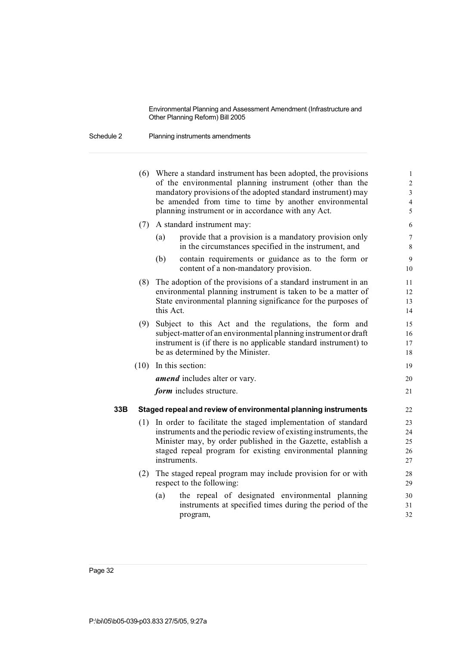Schedule 2 Planning instruments amendments

|     | (6)  | Where a standard instrument has been adopted, the provisions<br>of the environmental planning instrument (other than the<br>mandatory provisions of the adopted standard instrument) may<br>be amended from time to time by another environmental<br>planning instrument or in accordance with any Act. | $\mathbf{1}$<br>$\overline{c}$<br>3<br>$\overline{\mathcal{L}}$<br>5 |
|-----|------|---------------------------------------------------------------------------------------------------------------------------------------------------------------------------------------------------------------------------------------------------------------------------------------------------------|----------------------------------------------------------------------|
|     | (7)  | A standard instrument may:                                                                                                                                                                                                                                                                              | 6                                                                    |
|     |      | provide that a provision is a mandatory provision only<br>(a)<br>in the circumstances specified in the instrument, and                                                                                                                                                                                  | $\overline{7}$<br>8                                                  |
|     |      | (b)<br>contain requirements or guidance as to the form or<br>content of a non-mandatory provision.                                                                                                                                                                                                      | 9<br>10                                                              |
|     | (8)  | The adoption of the provisions of a standard instrument in an<br>environmental planning instrument is taken to be a matter of<br>State environmental planning significance for the purposes of<br>this Act.                                                                                             | 11<br>12<br>13<br>14                                                 |
|     |      | (9) Subject to this Act and the regulations, the form and<br>subject-matter of an environmental planning instrument or draft<br>instrument is (if there is no applicable standard instrument) to<br>be as determined by the Minister.                                                                   | 15<br>16<br>17<br>18                                                 |
|     | (10) | In this section:                                                                                                                                                                                                                                                                                        | 19                                                                   |
|     |      | <i>amend</i> includes alter or vary.                                                                                                                                                                                                                                                                    | 20                                                                   |
|     |      | form includes structure.                                                                                                                                                                                                                                                                                | 21                                                                   |
| 33B |      | Staged repeal and review of environmental planning instruments                                                                                                                                                                                                                                          | 22                                                                   |
|     | (1)  | In order to facilitate the staged implementation of standard<br>instruments and the periodic review of existing instruments, the<br>Minister may, by order published in the Gazette, establish a<br>staged repeal program for existing environmental planning<br>instruments.                           | 23<br>24<br>25<br>26<br>27                                           |
|     | (2)  | The staged repeal program may include provision for or with<br>respect to the following:                                                                                                                                                                                                                | 28<br>29                                                             |
|     |      | the repeal of designated environmental planning<br>(a)<br>instruments at specified times during the period of the<br>program,                                                                                                                                                                           | 30<br>31<br>32                                                       |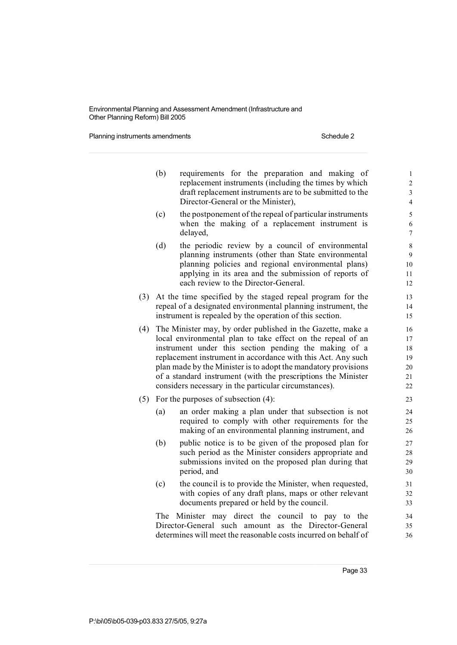Planning instruments amendments **Schedule 2** Schedule 2

|     | (b)                                                      | requirements for the preparation and making of<br>replacement instruments (including the times by which                         | $\mathbf{1}$<br>$\overline{c}$ |  |  |  |  |
|-----|----------------------------------------------------------|---------------------------------------------------------------------------------------------------------------------------------|--------------------------------|--|--|--|--|
|     |                                                          | draft replacement instruments are to be submitted to the                                                                        | $\overline{3}$                 |  |  |  |  |
|     |                                                          | Director-General or the Minister),                                                                                              | $\overline{4}$                 |  |  |  |  |
|     | (c)                                                      | the postponement of the repeal of particular instruments                                                                        | 5                              |  |  |  |  |
|     |                                                          | when the making of a replacement instrument is                                                                                  | 6                              |  |  |  |  |
|     |                                                          | delayed,                                                                                                                        | $\overline{7}$                 |  |  |  |  |
|     | (d)                                                      | the periodic review by a council of environmental                                                                               | 8                              |  |  |  |  |
|     |                                                          | planning instruments (other than State environmental<br>planning policies and regional environmental plans)                     | 9<br>10                        |  |  |  |  |
|     |                                                          | applying in its area and the submission of reports of                                                                           | 11                             |  |  |  |  |
|     |                                                          | each review to the Director-General.                                                                                            | 12                             |  |  |  |  |
| (3) |                                                          | At the time specified by the staged repeal program for the                                                                      | 13                             |  |  |  |  |
|     |                                                          | repeal of a designated environmental planning instrument, the                                                                   | 14                             |  |  |  |  |
|     | instrument is repealed by the operation of this section. |                                                                                                                                 |                                |  |  |  |  |
| (4) |                                                          | The Minister may, by order published in the Gazette, make a                                                                     | 16                             |  |  |  |  |
|     |                                                          | local environmental plan to take effect on the repeal of an                                                                     | 17                             |  |  |  |  |
|     | instrument under this section pending the making of a    |                                                                                                                                 |                                |  |  |  |  |
|     |                                                          | replacement instrument in accordance with this Act. Any such                                                                    | 19                             |  |  |  |  |
|     |                                                          | plan made by the Minister is to adopt the mandatory provisions<br>of a standard instrument (with the prescriptions the Minister | 20<br>21                       |  |  |  |  |
|     |                                                          | considers necessary in the particular circumstances).                                                                           | 22                             |  |  |  |  |
| (5) |                                                          | For the purposes of subsection (4):                                                                                             | 23                             |  |  |  |  |
|     |                                                          |                                                                                                                                 |                                |  |  |  |  |
|     | (a)                                                      | an order making a plan under that subsection is not<br>required to comply with other requirements for the                       | 24<br>25                       |  |  |  |  |
|     |                                                          | making of an environmental planning instrument, and                                                                             | 26                             |  |  |  |  |
|     | (b)                                                      | public notice is to be given of the proposed plan for                                                                           | 27                             |  |  |  |  |
|     |                                                          | such period as the Minister considers appropriate and                                                                           | 28                             |  |  |  |  |
|     |                                                          | submissions invited on the proposed plan during that                                                                            | 29                             |  |  |  |  |
|     |                                                          | period, and                                                                                                                     | 30                             |  |  |  |  |
|     | (c)                                                      | the council is to provide the Minister, when requested,                                                                         | 31                             |  |  |  |  |
|     |                                                          | with copies of any draft plans, maps or other relevant                                                                          | 32                             |  |  |  |  |
|     |                                                          | documents prepared or held by the council.                                                                                      | 33                             |  |  |  |  |
|     |                                                          | The Minister may direct the council to pay to the                                                                               | 34                             |  |  |  |  |
|     |                                                          | Director-General such amount<br>as the Director-General                                                                         | 35                             |  |  |  |  |
|     |                                                          | determines will meet the reasonable costs incurred on behalf of                                                                 | 36                             |  |  |  |  |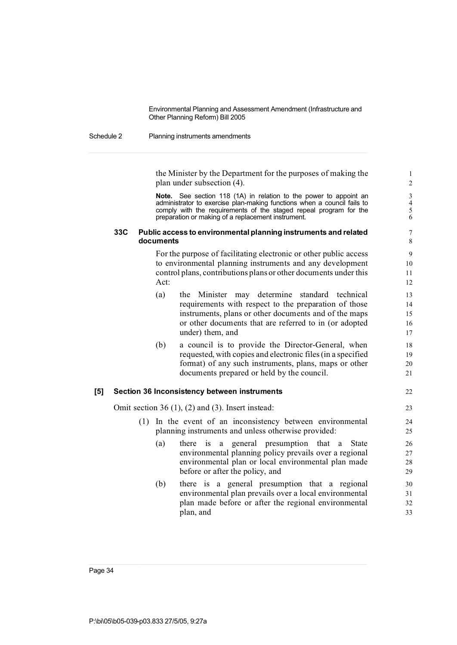#### Schedule 2 Planning instruments amendments

the Minister by the Department for the purposes of making the 1 plan under subsection (4). 2

**Note.** See section 118 (1A) in relation to the power to appoint an 3 administrator to exercise plan-making functions when a council fails to  $\overline{a}$ administrator to exercise plan-making functions when a council fails to  $4 \text{ comply}$  with the requirements of the staged repeal program for the  $5 \text{ dB}$ comply with the requirements of the staged repeal program for the 5<br>preparation or making of a replacement instrument. preparation or making of a replacement instrument. 6

## **33C Public access to environmentalplanning instruments and related** 7 **documents** 8

For the purpose of facilitating electronic or other public access 9 to environmental planning instruments and any development 10 control plans, contributions plans or other documents under this 11 Act: 12

|     | (a) | the Minister may determine standard technical<br>requirements with respect to the preparation of those<br>instruments, plans or other documents and of the maps<br>or other documents that are referred to in (or adopted<br>under) them, and | 13<br>14<br>15<br>16<br>17 |
|-----|-----|-----------------------------------------------------------------------------------------------------------------------------------------------------------------------------------------------------------------------------------------------|----------------------------|
|     | (b) | a council is to provide the Director-General, when<br>requested, with copies and electronic files (in a specified<br>format) of any such instruments, plans, maps or other<br>documents prepared or held by the council.                      | 18<br>19<br>20<br>21       |
| [5] |     | Section 36 Inconsistency between instruments                                                                                                                                                                                                  | 22                         |
|     |     | Omit section 36 $(1)$ , $(2)$ and $(3)$ . Insert instead:                                                                                                                                                                                     | 23                         |
|     |     | (1) In the event of an inconsistency between environmental<br>planning instruments and unless otherwise provided:                                                                                                                             | 24<br>25                   |

- (a) there is a general presumption that a State 26 environmental planning policy prevails over a regional 27 environmental plan or local environmental plan made 28 before or after the policy, and 29
- (b) there is a general presumption that a regional 30 environmental plan prevails over a local environmental 31 plan made before or after the regional environmental 32 plan, and 33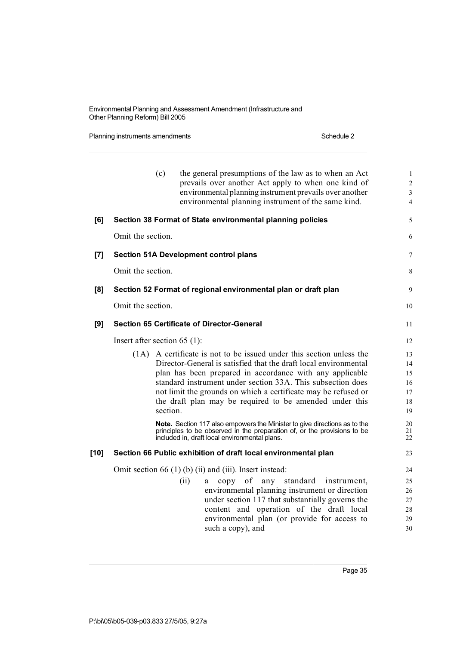Planning instruments amendments **Schedule 2** Schedule 2

|        | (c)                                               | the general presumptions of the law as to when an Act<br>prevails over another Act apply to when one kind of<br>environmental planning instrument prevails over another<br>environmental planning instrument of the same kind.                                                                                                                                                                                                                                                                                                                                                                             | 1<br>$\overline{c}$<br>3<br>$\overline{4}$               |
|--------|---------------------------------------------------|------------------------------------------------------------------------------------------------------------------------------------------------------------------------------------------------------------------------------------------------------------------------------------------------------------------------------------------------------------------------------------------------------------------------------------------------------------------------------------------------------------------------------------------------------------------------------------------------------------|----------------------------------------------------------|
| [6]    |                                                   | Section 38 Format of State environmental planning policies                                                                                                                                                                                                                                                                                                                                                                                                                                                                                                                                                 | 5                                                        |
|        | Omit the section.                                 |                                                                                                                                                                                                                                                                                                                                                                                                                                                                                                                                                                                                            | 6                                                        |
| [7]    | <b>Section 51A Development control plans</b>      |                                                                                                                                                                                                                                                                                                                                                                                                                                                                                                                                                                                                            | 7                                                        |
|        | Omit the section.                                 |                                                                                                                                                                                                                                                                                                                                                                                                                                                                                                                                                                                                            | 8                                                        |
| [8]    |                                                   | Section 52 Format of regional environmental plan or draft plan                                                                                                                                                                                                                                                                                                                                                                                                                                                                                                                                             | 9                                                        |
|        | Omit the section.                                 |                                                                                                                                                                                                                                                                                                                                                                                                                                                                                                                                                                                                            | 10                                                       |
| [9]    | <b>Section 65 Certificate of Director-General</b> |                                                                                                                                                                                                                                                                                                                                                                                                                                                                                                                                                                                                            | 11                                                       |
|        | Insert after section 65 $(1)$ :                   |                                                                                                                                                                                                                                                                                                                                                                                                                                                                                                                                                                                                            | 12                                                       |
|        | section.                                          | (1A) A certificate is not to be issued under this section unless the<br>Director-General is satisfied that the draft local environmental<br>plan has been prepared in accordance with any applicable<br>standard instrument under section 33A. This subsection does<br>not limit the grounds on which a certificate may be refused or<br>the draft plan may be required to be amended under this<br>Note. Section 117 also empowers the Minister to give directions as to the<br>principles to be observed in the preparation of, or the provisions to be<br>included in, draft local environmental plans. | 13<br>14<br>15<br>16<br>17<br>18<br>19<br>20<br>21<br>22 |
| $[10]$ |                                                   | Section 66 Public exhibition of draft local environmental plan                                                                                                                                                                                                                                                                                                                                                                                                                                                                                                                                             | 23                                                       |
|        |                                                   | Omit section 66 $(1)$ (b) (ii) and (iii). Insert instead:                                                                                                                                                                                                                                                                                                                                                                                                                                                                                                                                                  | 24                                                       |
|        | (ii)                                              | of<br>any standard<br>copy<br>instrument,<br>a<br>environmental planning instrument or direction<br>under section 117 that substantially governs the<br>content and operation of the draft local<br>environmental plan (or provide for access to<br>such a copy), and                                                                                                                                                                                                                                                                                                                                      | 25<br>26<br>27<br>28<br>29<br>30                         |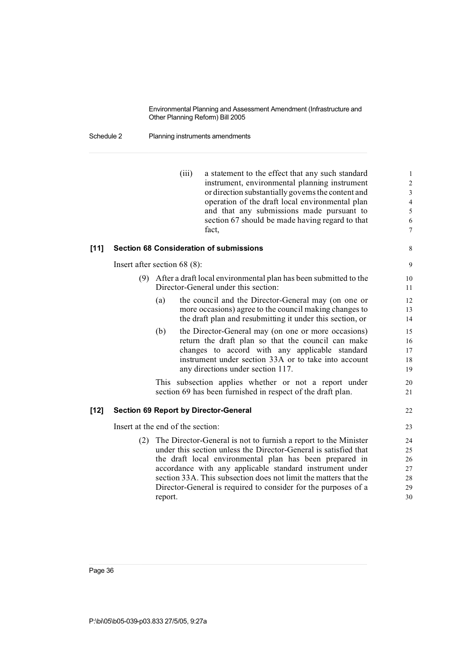# Schedule 2 Planning instruments amendments

|        |     | (iii)                             | a statement to the effect that any such standard                     | $\mathbf{1}$   |
|--------|-----|-----------------------------------|----------------------------------------------------------------------|----------------|
|        |     |                                   | instrument, environmental planning instrument                        | $\sqrt{2}$     |
|        |     |                                   | or direction substantially governs the content and                   | 3              |
|        |     |                                   | operation of the draft local environmental plan                      | $\overline{4}$ |
|        |     |                                   | and that any submissions made pursuant to                            | 5              |
|        |     |                                   | section 67 should be made having regard to that<br>fact,             | 6<br>$\tau$    |
| [11]   |     |                                   | <b>Section 68 Consideration of submissions</b>                       | 8              |
|        |     |                                   |                                                                      |                |
|        |     | Insert after section 68 $(8)$ :   |                                                                      | 9              |
|        |     |                                   | (9) After a draft local environmental plan has been submitted to the | 10             |
|        |     |                                   | Director-General under this section:                                 | 11             |
|        |     | (a)                               | the council and the Director-General may (on one or                  | 12             |
|        |     |                                   | more occasions) agree to the council making changes to               | 13             |
|        |     |                                   | the draft plan and resubmitting it under this section, or            | 14             |
|        |     | (b)                               | the Director-General may (on one or more occasions)                  | 15             |
|        |     |                                   | return the draft plan so that the council can make                   | 16             |
|        |     |                                   | changes to accord with any applicable standard                       | 17             |
|        |     |                                   | instrument under section 33A or to take into account                 | 18             |
|        |     |                                   | any directions under section 117.                                    | 19             |
|        |     |                                   | This subsection applies whether or not a report under                | 20             |
|        |     |                                   | section 69 has been furnished in respect of the draft plan.          | 21             |
| $[12]$ |     |                                   | <b>Section 69 Report by Director-General</b>                         | 22             |
|        |     | Insert at the end of the section: |                                                                      | 23             |
|        | (2) |                                   | The Director-General is not to furnish a report to the Minister      | 24             |
|        |     |                                   | under this section unless the Director-General is satisfied that     | 25             |
|        |     |                                   | the draft local environmental plan has been prepared in              | 26             |
|        |     |                                   | accordance with any applicable standard instrument under             | 27             |
|        |     |                                   | section 33A. This subsection does not limit the matters that the     | 28             |
|        |     |                                   | Director-General is required to consider for the purposes of a       | 29             |
|        |     | report.                           |                                                                      | 30             |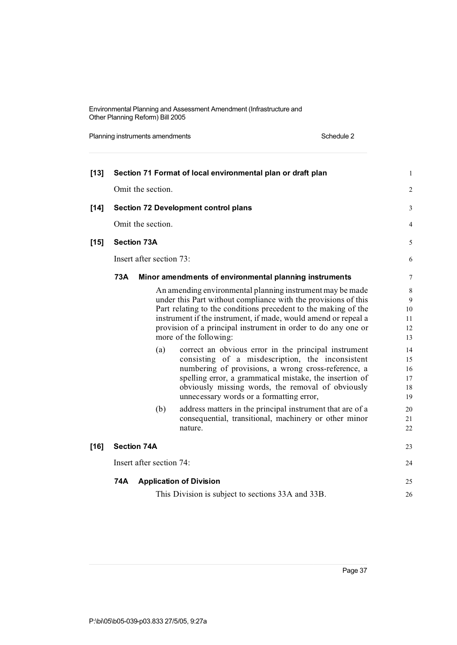Planning instruments amendments **Schedule 2** Schedule 2

| $[13]$ |     |                          | Section 71 Format of local environmental plan or draft plan                                              | $\mathbf{1}$   |
|--------|-----|--------------------------|----------------------------------------------------------------------------------------------------------|----------------|
|        |     | Omit the section.        |                                                                                                          | $\overline{2}$ |
| $[14]$ |     |                          | <b>Section 72 Development control plans</b>                                                              | 3              |
|        |     | Omit the section.        |                                                                                                          | 4              |
| $[15]$ |     | <b>Section 73A</b>       |                                                                                                          | 5              |
|        |     | Insert after section 73: |                                                                                                          | 6              |
|        | 73A |                          | Minor amendments of environmental planning instruments                                                   | 7              |
|        |     |                          | An amending environmental planning instrument may be made                                                | $\,$ 8 $\,$    |
|        |     |                          | under this Part without compliance with the provisions of this                                           | 9              |
|        |     |                          | Part relating to the conditions precedent to the making of the                                           | 10             |
|        |     |                          | instrument if the instrument, if made, would amend or repeal a                                           | 11             |
|        |     |                          | provision of a principal instrument in order to do any one or<br>more of the following:                  | 12<br>13       |
|        |     |                          |                                                                                                          |                |
|        |     | (a)                      | correct an obvious error in the principal instrument<br>consisting of a misdescription, the inconsistent | 14<br>15       |
|        |     |                          | numbering of provisions, a wrong cross-reference, a                                                      | 16             |
|        |     |                          | spelling error, a grammatical mistake, the insertion of                                                  | 17             |
|        |     |                          | obviously missing words, the removal of obviously                                                        | 18             |
|        |     |                          | unnecessary words or a formatting error,                                                                 | 19             |
|        |     | (b)                      | address matters in the principal instrument that are of a                                                | 20             |
|        |     |                          | consequential, transitional, machinery or other minor                                                    | 21             |
|        |     |                          | nature.                                                                                                  | 22             |
| $[16]$ |     | <b>Section 74A</b>       |                                                                                                          | 23             |
|        |     | Insert after section 74: |                                                                                                          | 24             |
|        | 74A |                          | <b>Application of Division</b>                                                                           | 25             |
|        |     |                          | This Division is subject to sections 33A and 33B.                                                        | 26             |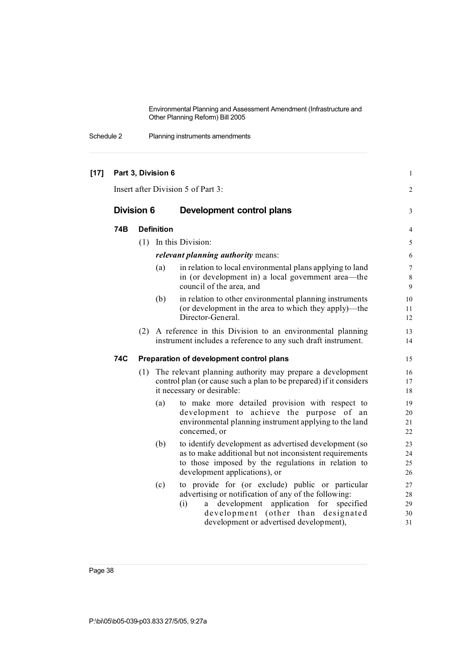Schedule 2 Planning instruments amendments

| $[17]$ | Part 3, Division 6                 |     |                   |                                                                                                                                                                                                                                                   |                                      |  |
|--------|------------------------------------|-----|-------------------|---------------------------------------------------------------------------------------------------------------------------------------------------------------------------------------------------------------------------------------------------|--------------------------------------|--|
|        | Insert after Division 5 of Part 3: |     |                   |                                                                                                                                                                                                                                                   |                                      |  |
|        | <b>Division 6</b>                  |     |                   | Development control plans                                                                                                                                                                                                                         | 3                                    |  |
|        | 74B                                |     | <b>Definition</b> |                                                                                                                                                                                                                                                   | 4                                    |  |
|        |                                    |     |                   | (1) In this Division:                                                                                                                                                                                                                             | 5                                    |  |
|        |                                    |     |                   | <i>relevant planning authority means:</i>                                                                                                                                                                                                         | 6                                    |  |
|        |                                    |     | (a)               | in relation to local environmental plans applying to land<br>in (or development in) a local government area—the<br>council of the area, and                                                                                                       | $\boldsymbol{7}$<br>$\,$ 8 $\,$<br>9 |  |
|        |                                    |     | (b)               | in relation to other environmental planning instruments<br>(or development in the area to which they apply)—the<br>Director-General.                                                                                                              | 10<br>11<br>12                       |  |
|        |                                    |     |                   | (2) A reference in this Division to an environmental planning<br>instrument includes a reference to any such draft instrument.                                                                                                                    | 13<br>14                             |  |
|        | 74C                                |     |                   | Preparation of development control plans                                                                                                                                                                                                          | 15                                   |  |
|        |                                    | (1) |                   | The relevant planning authority may prepare a development<br>control plan (or cause such a plan to be prepared) if it considers<br>it necessary or desirable:                                                                                     | 16<br>17<br>18                       |  |
|        |                                    |     | (a)               | to make more detailed provision with respect to<br>development to achieve the purpose of an<br>environmental planning instrument applying to the land<br>concerned, or                                                                            | 19<br>20<br>21<br>22                 |  |
|        |                                    |     | (b)               | to identify development as advertised development (so<br>as to make additional but not inconsistent requirements<br>to those imposed by the regulations in relation to<br>development applications), or                                           | 23<br>24<br>25<br>26                 |  |
|        |                                    |     | (c)               | to provide for (or exclude) public or particular<br>advertising or notification of any of the following:<br>development application for<br>(i)<br>specified<br>a<br>development (other than designated<br>development or advertised development), | 27<br>28<br>29<br>30<br>31           |  |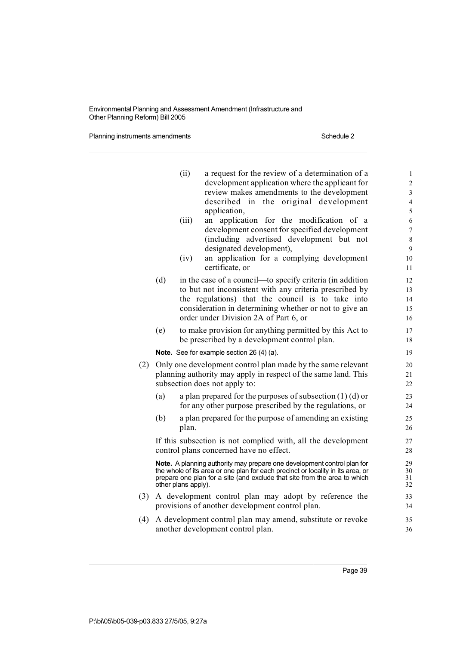Planning instruments amendments **Schedule 2** Schedule 2

|     |                                                                | (ii)                | a request for the review of a determination of a<br>development application where the applicant for<br>review makes amendments to the development<br>described in the original development                                              | $\mathbf{1}$<br>$\sqrt{2}$<br>$\mathfrak{Z}$<br>4 |  |  |  |
|-----|----------------------------------------------------------------|---------------------|-----------------------------------------------------------------------------------------------------------------------------------------------------------------------------------------------------------------------------------------|---------------------------------------------------|--|--|--|
|     |                                                                |                     | application,                                                                                                                                                                                                                            | 5                                                 |  |  |  |
|     |                                                                | (iii)               | application for the modification of a<br>an                                                                                                                                                                                             | 6                                                 |  |  |  |
|     |                                                                |                     | development consent for specified development                                                                                                                                                                                           | 7                                                 |  |  |  |
|     |                                                                |                     | (including advertised development but not                                                                                                                                                                                               | $\,$ $\,$                                         |  |  |  |
|     |                                                                | (iv)                | designated development),<br>an application for a complying development                                                                                                                                                                  | 9<br>10                                           |  |  |  |
|     |                                                                |                     | certificate, or                                                                                                                                                                                                                         | 11                                                |  |  |  |
|     | (d)                                                            |                     | in the case of a council—to specify criteria (in addition                                                                                                                                                                               | 12                                                |  |  |  |
|     |                                                                |                     | to but not inconsistent with any criteria prescribed by                                                                                                                                                                                 | 13                                                |  |  |  |
|     |                                                                |                     | the regulations) that the council is to take into                                                                                                                                                                                       | 14                                                |  |  |  |
|     |                                                                |                     | consideration in determining whether or not to give an                                                                                                                                                                                  | 15                                                |  |  |  |
|     |                                                                |                     | order under Division 2A of Part 6, or                                                                                                                                                                                                   | 16                                                |  |  |  |
|     | (e)                                                            |                     | to make provision for anything permitted by this Act to                                                                                                                                                                                 | 17                                                |  |  |  |
|     |                                                                |                     | be prescribed by a development control plan.                                                                                                                                                                                            | 18                                                |  |  |  |
|     |                                                                |                     | Note. See for example section 26 (4) (a).                                                                                                                                                                                               | 19                                                |  |  |  |
| (2) |                                                                |                     | Only one development control plan made by the same relevant                                                                                                                                                                             | 20                                                |  |  |  |
|     | planning authority may apply in respect of the same land. This |                     |                                                                                                                                                                                                                                         |                                                   |  |  |  |
|     |                                                                |                     | subsection does not apply to:                                                                                                                                                                                                           | 22                                                |  |  |  |
|     | (a)                                                            |                     | a plan prepared for the purposes of subsection $(1)$ (d) or                                                                                                                                                                             | 23                                                |  |  |  |
|     |                                                                |                     | for any other purpose prescribed by the regulations, or                                                                                                                                                                                 | 24                                                |  |  |  |
|     | (b)                                                            |                     | a plan prepared for the purpose of amending an existing                                                                                                                                                                                 | 25                                                |  |  |  |
|     |                                                                | plan.               |                                                                                                                                                                                                                                         | 26                                                |  |  |  |
|     | If this subsection is not complied with, all the development   |                     |                                                                                                                                                                                                                                         |                                                   |  |  |  |
|     | control plans concerned have no effect.                        |                     |                                                                                                                                                                                                                                         |                                                   |  |  |  |
|     |                                                                | other plans apply). | Note. A planning authority may prepare one development control plan for<br>the whole of its area or one plan for each precinct or locality in its area, or<br>prepare one plan for a site (and exclude that site from the area to which | 29<br>30<br>31<br>32                              |  |  |  |
| (3) |                                                                |                     | A development control plan may adopt by reference the                                                                                                                                                                                   | 33                                                |  |  |  |
|     |                                                                |                     | provisions of another development control plan.                                                                                                                                                                                         | 34                                                |  |  |  |
|     |                                                                |                     |                                                                                                                                                                                                                                         |                                                   |  |  |  |
| (4) |                                                                |                     | A development control plan may amend, substitute or revoke<br>another development control plan.                                                                                                                                         | 35<br>36                                          |  |  |  |
|     |                                                                |                     |                                                                                                                                                                                                                                         |                                                   |  |  |  |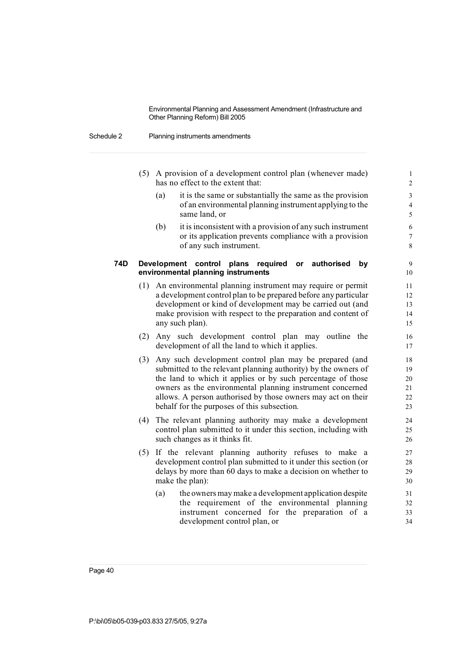#### Schedule 2 Planning instruments amendments

- (5) A provision of a development control plan (whenever made) 1 has no effect to the extent that: 2
	- (a) it is the same or substantially the same as the provision 3 of an environmental planning instrument applying to the 4 same land, or 5
	- (b) it is inconsistent with a provision of any such instrument  $6<sub>6</sub>$ or its application prevents compliance with a provision  $\frac{7}{2}$ of any such instrument.

### **74D Development control plans required or authorised by** 9 **environmental planning instruments** 10

- (1) An environmental planning instrument may require or permit 11 a development control plan to be prepared before any particular 12 development or kind of development may be carried out (and 13 make provision with respect to the preparation and content of 14 any such plan). 15
- (2) Any such development control plan may outline the 16 development of all the land to which it applies. 17
- (3) Any such development control plan may be prepared (and 18 submitted to the relevant planning authority) by the owners of 19 the land to which it applies or by such percentage of those 20 owners as the environmental planning instrument concerned 21 allows. A person authorised by those owners may act on their 22 behalf for the purposes of this subsection. 23
- (4) The relevant planning authority may make a development 24 control plan submitted to it under this section, including with 25 such changes as it thinks fit. 26
- (5) If the relevant planning authority refuses to make a 27 development control plan submitted to it under this section (or 28 delays by more than 60 days to make a decision on whether to 29 make the plan): 30
	- (a) the owners may make a development application despite 31 the requirement of the environmental planning 32 instrument concerned for the preparation of a 33 development control plan, or  $34$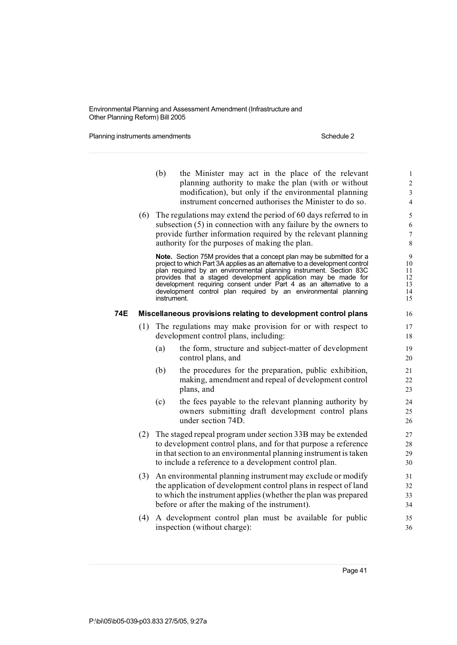Planning instruments amendments **Schedule 2** Schedule 2

|     |     | (b)         | the Minister may act in the place of the relevant<br>planning authority to make the plan (with or without<br>modification), but only if the environmental planning<br>instrument concerned authorises the Minister to do so.                                                                                                                                                                                                        | 1<br>$\overline{c}$<br>3<br>$\overline{4}$ |
|-----|-----|-------------|-------------------------------------------------------------------------------------------------------------------------------------------------------------------------------------------------------------------------------------------------------------------------------------------------------------------------------------------------------------------------------------------------------------------------------------|--------------------------------------------|
|     |     |             | $(6)$ The regulations may extend the period of 60 days referred to in<br>subsection $(5)$ in connection with any failure by the owners to<br>provide further information required by the relevant planning<br>authority for the purposes of making the plan.                                                                                                                                                                        | 5<br>6<br>$\overline{7}$<br>$\,$ 8 $\,$    |
|     |     | instrument. | Note. Section 75M provides that a concept plan may be submitted for a<br>project to which Part 3A applies as an alternative to a development control<br>plan required by an environmental planning instrument. Section 83C<br>provides that a staged development application may be made for<br>development requiring consent under Part 4 as an alternative to a<br>development control plan required by an environmental planning | 9<br>10<br>11<br>12<br>13<br>14<br>15      |
| 74E |     |             | Miscellaneous provisions relating to development control plans                                                                                                                                                                                                                                                                                                                                                                      | 16                                         |
|     | (1) |             | The regulations may make provision for or with respect to<br>development control plans, including:                                                                                                                                                                                                                                                                                                                                  | 17<br>18                                   |
|     |     | (a)         | the form, structure and subject-matter of development<br>control plans, and                                                                                                                                                                                                                                                                                                                                                         | 19<br>20                                   |
|     |     | (b)         | the procedures for the preparation, public exhibition,<br>making, amendment and repeal of development control<br>plans, and                                                                                                                                                                                                                                                                                                         | 21<br>22<br>23                             |
|     |     | (c)         | the fees payable to the relevant planning authority by<br>owners submitting draft development control plans<br>under section 74D.                                                                                                                                                                                                                                                                                                   | 24<br>25<br>26                             |
|     | (2) |             | The staged repeal program under section 33B may be extended<br>to development control plans, and for that purpose a reference<br>in that section to an environmental planning instrument is taken<br>to include a reference to a development control plan.                                                                                                                                                                          | 27<br>28<br>29<br>30                       |
|     | (3) |             | An environmental planning instrument may exclude or modify<br>the application of development control plans in respect of land<br>to which the instrument applies (whether the plan was prepared<br>before or after the making of the instrument).                                                                                                                                                                                   | 31<br>32<br>33<br>34                       |
|     | (4) |             | A development control plan must be available for public<br>inspection (without charge):                                                                                                                                                                                                                                                                                                                                             | 35<br>36                                   |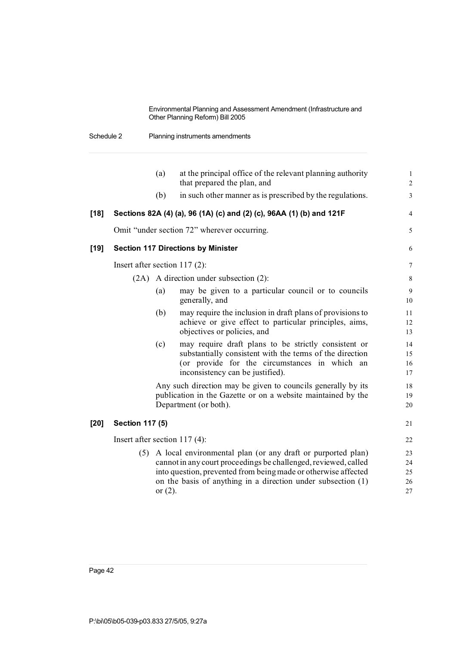Schedule 2 Planning instruments amendments

|        |                                 | (a)        | at the principal office of the relevant planning authority<br>that prepared the plan, and                                                                                                                                                                          | $\mathbf{1}$<br>$\overline{2}$ |
|--------|---------------------------------|------------|--------------------------------------------------------------------------------------------------------------------------------------------------------------------------------------------------------------------------------------------------------------------|--------------------------------|
|        |                                 | (b)        | in such other manner as is prescribed by the regulations.                                                                                                                                                                                                          | 3                              |
| $[18]$ |                                 |            | Sections 82A (4) (a), 96 (1A) (c) and (2) (c), 96AA (1) (b) and 121F                                                                                                                                                                                               | 4                              |
|        |                                 |            | Omit "under section 72" wherever occurring.                                                                                                                                                                                                                        | 5                              |
| [19]   |                                 |            | <b>Section 117 Directions by Minister</b>                                                                                                                                                                                                                          | 6                              |
|        | Insert after section $117(2)$ : |            |                                                                                                                                                                                                                                                                    | $\boldsymbol{7}$               |
|        | (2A)                            |            | A direction under subsection (2):                                                                                                                                                                                                                                  | $\,$ 8 $\,$                    |
|        |                                 | (a)        | may be given to a particular council or to councils<br>generally, and                                                                                                                                                                                              | 9<br>10                        |
|        |                                 | (b)        | may require the inclusion in draft plans of provisions to<br>achieve or give effect to particular principles, aims,<br>objectives or policies, and                                                                                                                 | 11<br>12<br>13                 |
|        |                                 | (c)        | may require draft plans to be strictly consistent or<br>substantially consistent with the terms of the direction<br>(or provide for the circumstances in which an<br>inconsistency can be justified).                                                              | 14<br>15<br>16<br>17           |
|        |                                 |            | Any such direction may be given to councils generally by its<br>publication in the Gazette or on a website maintained by the<br>Department (or both).                                                                                                              | 18<br>19<br>20                 |
| $[20]$ | <b>Section 117 (5)</b>          |            |                                                                                                                                                                                                                                                                    | 21                             |
|        | Insert after section $117(4)$ : |            |                                                                                                                                                                                                                                                                    | 22                             |
|        | (5)                             | or $(2)$ . | A local environmental plan (or any draft or purported plan)<br>cannot in any court proceedings be challenged, reviewed, called<br>into question, prevented from being made or otherwise affected<br>on the basis of anything in a direction under subsection $(1)$ | 23<br>24<br>25<br>26<br>$27\,$ |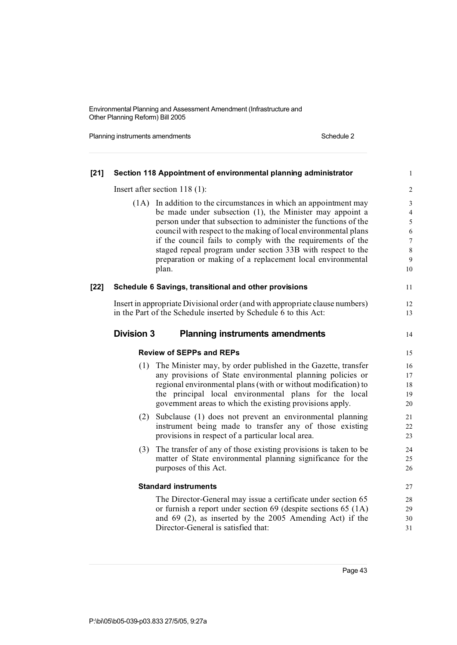Planning instruments amendments **Schedule 2** Schedule 2

| $[21]$ |                   | Section 118 Appointment of environmental planning administrator                                                                                                                                                                                                                                                        | $\mathbf{1}$                     |
|--------|-------------------|------------------------------------------------------------------------------------------------------------------------------------------------------------------------------------------------------------------------------------------------------------------------------------------------------------------------|----------------------------------|
|        |                   | Insert after section $118(1)$ :                                                                                                                                                                                                                                                                                        | $\overline{c}$                   |
|        |                   | (1A) In addition to the circumstances in which an appointment may<br>be made under subsection (1), the Minister may appoint a                                                                                                                                                                                          | $\mathfrak{Z}$<br>$\overline{4}$ |
|        |                   | person under that subsection to administer the functions of the                                                                                                                                                                                                                                                        | $\sqrt{5}$                       |
|        |                   | council with respect to the making of local environmental plans<br>if the council fails to comply with the requirements of the                                                                                                                                                                                         | 6<br>$\boldsymbol{7}$            |
|        |                   | staged repeal program under section 33B with respect to the                                                                                                                                                                                                                                                            | $8\,$                            |
|        |                   | preparation or making of a replacement local environmental                                                                                                                                                                                                                                                             | $\mathbf{9}$                     |
|        |                   | plan.                                                                                                                                                                                                                                                                                                                  | 10                               |
| $[22]$ |                   | Schedule 6 Savings, transitional and other provisions                                                                                                                                                                                                                                                                  | 11                               |
|        |                   | Insert in appropriate Divisional order (and with appropriate clause numbers)                                                                                                                                                                                                                                           | $12\,$                           |
|        |                   | in the Part of the Schedule inserted by Schedule 6 to this Act:                                                                                                                                                                                                                                                        | 13                               |
|        | <b>Division 3</b> | <b>Planning instruments amendments</b>                                                                                                                                                                                                                                                                                 | 14                               |
|        |                   | <b>Review of SEPPs and REPs</b>                                                                                                                                                                                                                                                                                        | 15                               |
|        |                   | (1) The Minister may, by order published in the Gazette, transfer<br>any provisions of State environmental planning policies or<br>regional environmental plans (with or without modification) to<br>the principal local environmental plans for the local<br>government areas to which the existing provisions apply. | 16<br>17<br>18<br>19<br>20       |
|        | (2)               | Subclause (1) does not prevent an environmental planning<br>instrument being made to transfer any of those existing<br>provisions in respect of a particular local area.                                                                                                                                               | 21<br>22<br>23                   |
|        | (3)               | The transfer of any of those existing provisions is taken to be<br>matter of State environmental planning significance for the<br>purposes of this Act.                                                                                                                                                                | 24<br>25<br>26                   |
|        |                   | <b>Standard instruments</b>                                                                                                                                                                                                                                                                                            | 27                               |
|        |                   | The Director-General may issue a certificate under section 65                                                                                                                                                                                                                                                          | 28                               |
|        |                   | or furnish a report under section 69 (despite sections 65 (1A)                                                                                                                                                                                                                                                         | 29                               |
|        |                   | and $69$ (2), as inserted by the 2005 Amending Act) if the                                                                                                                                                                                                                                                             | 30                               |
|        |                   | Director-General is satisfied that:                                                                                                                                                                                                                                                                                    | 31                               |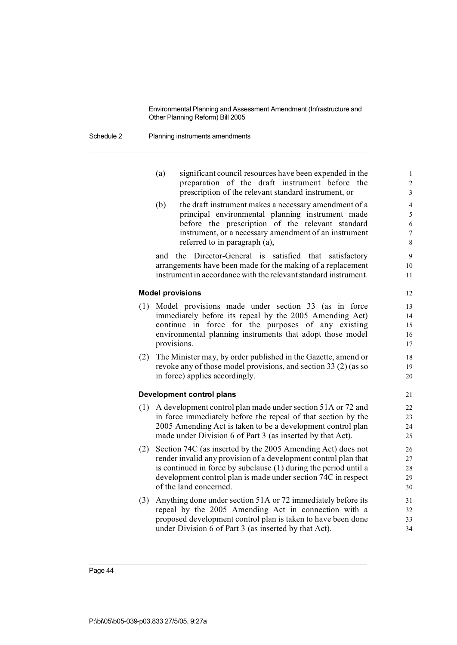Schedule 2 Planning instruments amendments

- (a) significant council resources have been expended in the 1 preparation of the draft instrument before the 2 prescription of the relevant standard instrument, or 3
- (b) the draft instrument makes a necessary amendment of a 4 principal environmental planning instrument made 5 before the prescription of the relevant standard 6 instrument, or a necessary amendment of an instrument 7 referred to in paragraph (a), 8

and the Director-General is satisfied that satisfactory 9 arrangements have been made for the making of a replacement 10 instrument in accordance with the relevantstandard instrument. 11

### **Model provisions** 12

- (1) Model provisions made under section 33 (as in force 13 immediately before its repeal by the 2005 Amending Act) 14 continue in force for the purposes of any existing 15 environmental planning instruments that adopt those model 16 provisions. 17 (2) The Minister may, by order published in the Gazette, amend or 18 revoke any of those model provisions, and section 33 (2) (as so 19 in force) applies accordingly. 20 **Development control plans** 21 (1) A development control plan made under section 51A or 72 and 22 in force immediately before the repeal of that section by the 23 2005 Amending Act is taken to be a development control plan 24 made under Division 6 of Part 3 (as inserted by that Act). 25 (2) Section 74C (as inserted by the 2005 Amending Act) does not 26 render invalid any provision of a development control plan that 27 is continued in force by subclause (1) during the period until a 28
- development control plan is made under section 74C in respect 29 of the land concerned. 30 (3) Anything done under section 51A or 72 immediately before its 31
- repeal by the 2005 Amending Act in connection with a 32 proposed development control plan is taken to have been done 33 under Division 6 of Part 3 (as inserted by that Act). 34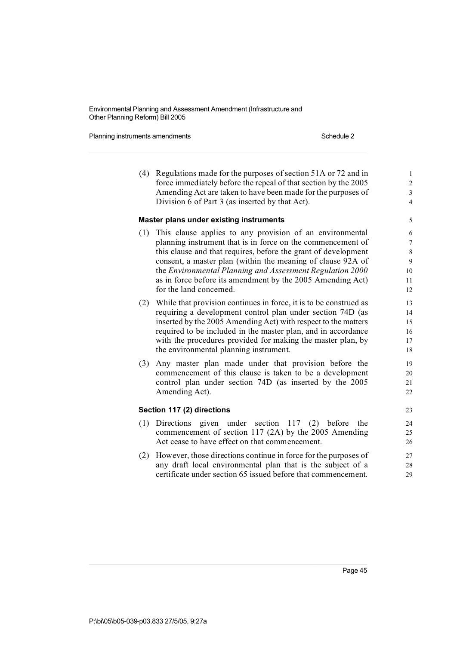Planning instruments amendments **Schedule 2** Schedule 2

(4) Regulations made for the purposes of section 51A or 72 and in 1 force immediately before the repeal of that section by the 2005 2 Amending Act are taken to have been made for the purposes of 3 Division 6 of Part 3 (as inserted by that Act). **Master plans under existing instruments** 5 (1) This clause applies to any provision of an environmental 6 planning instrument that is in force on the commencement of  $\frac{7}{7}$ this clause and that requires, before the grant of development 8 consent, a master plan (within the meaning of clause 92A of 9 the *Environmental Planning and Assessment Regulation 2000* 10 as in force before its amendment by the 2005 Amending Act) 11 for the land concerned. 12 (2) While that provision continues in force, it is to be construed as 13 requiring a development control plan under section 74D (as 14 inserted by the 2005 Amending Act) with respect to the matters 15 required to be included in the master plan, and in accordance 16 with the procedures provided for making the master plan, by 17 the environmental planning instrument. 18 (3) Any master plan made under that provision before the 19 commencement of this clause is taken to be a development 20 control plan under section 74D (as inserted by the 2005 21 Amending Act). 22 **Section 117 (2) directions** 23 (1) Directions given under section 117 (2) before the 24 commencement of section 117 (2A) by the 2005 Amending 25 Act cease to have effect on that commencement. 26 (2) However, those directions continue in force for the purposes of 27 any draft local environmental plan that is the subject of a 28 certificate under section 65 issued before that commencement. 29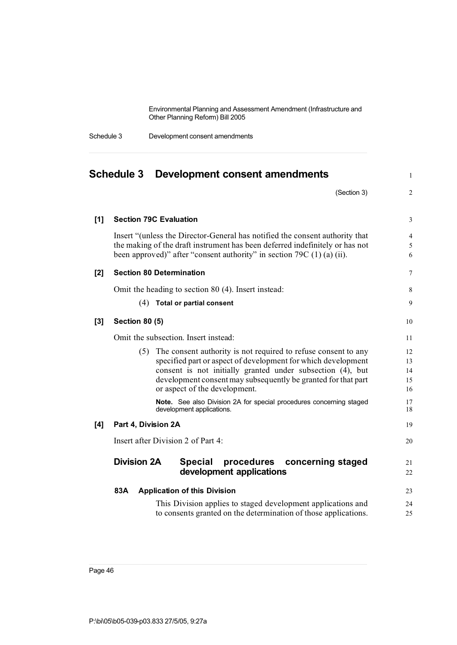| Schedule 3 | Development consent amendments |
|------------|--------------------------------|
|------------|--------------------------------|

|       | Schedule 3<br>Development consent amendments                                                                                                                                                                                                                                                        | $\mathbf{1}$               |
|-------|-----------------------------------------------------------------------------------------------------------------------------------------------------------------------------------------------------------------------------------------------------------------------------------------------------|----------------------------|
|       | (Section 3)                                                                                                                                                                                                                                                                                         | $\overline{2}$             |
| $[1]$ | <b>Section 79C Evaluation</b>                                                                                                                                                                                                                                                                       | 3                          |
|       | Insert "(unless the Director-General has notified the consent authority that<br>the making of the draft instrument has been deferred indefinitely or has not<br>been approved)" after "consent authority" in section $79C(1)(a)(ii)$ .                                                              | $\overline{4}$<br>5<br>6   |
| [2]   | <b>Section 80 Determination</b>                                                                                                                                                                                                                                                                     | $\overline{7}$             |
|       | Omit the heading to section 80 (4). Insert instead:                                                                                                                                                                                                                                                 | 8                          |
|       | $(4)$ Total or partial consent                                                                                                                                                                                                                                                                      | 9                          |
| $[3]$ | <b>Section 80 (5)</b>                                                                                                                                                                                                                                                                               | 10                         |
|       | Omit the subsection. Insert instead:                                                                                                                                                                                                                                                                | 11                         |
|       | (5) The consent authority is not required to refuse consent to any<br>specified part or aspect of development for which development<br>consent is not initially granted under subsection (4), but<br>development consent may subsequently be granted for that part<br>or aspect of the development. | 12<br>13<br>14<br>15<br>16 |
|       | Note. See also Division 2A for special procedures concerning staged<br>development applications.                                                                                                                                                                                                    | 17<br>18                   |
| [4]   | Part 4, Division 2A                                                                                                                                                                                                                                                                                 | 19                         |
|       | Insert after Division 2 of Part 4:                                                                                                                                                                                                                                                                  | 20                         |
|       | <b>Division 2A</b><br>procedures<br><b>Special</b><br>concerning staged<br>development applications                                                                                                                                                                                                 | 21<br>22                   |
|       | 83A<br><b>Application of this Division</b>                                                                                                                                                                                                                                                          | 23                         |
|       | This Division applies to staged development applications and<br>to consents granted on the determination of those applications.                                                                                                                                                                     | 24<br>25                   |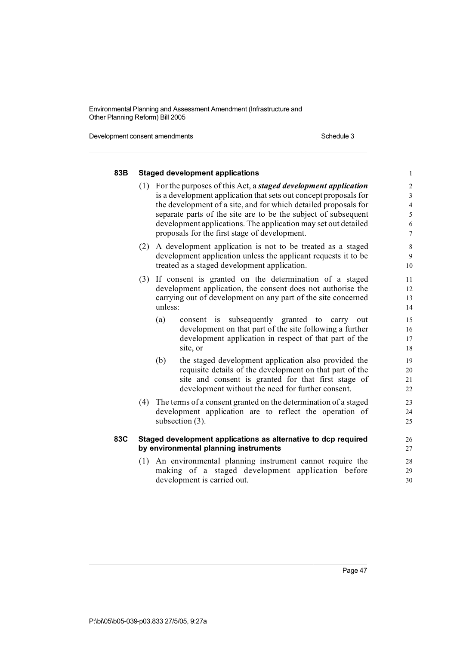Development consent amendments Schedule 3

| 83B | <b>Staged development applications</b>                                                                                                                                                                                                                                                                                                                                                                | $\mathbf{1}$                                                                             |
|-----|-------------------------------------------------------------------------------------------------------------------------------------------------------------------------------------------------------------------------------------------------------------------------------------------------------------------------------------------------------------------------------------------------------|------------------------------------------------------------------------------------------|
|     | (1) For the purposes of this Act, a <i>staged development application</i><br>is a development application that sets out concept proposals for<br>the development of a site, and for which detailed proposals for<br>separate parts of the site are to be the subject of subsequent<br>development applications. The application may set out detailed<br>proposals for the first stage of development. | $\sqrt{2}$<br>$\mathfrak{Z}$<br>$\sqrt{4}$<br>$\sqrt{5}$<br>$\sqrt{6}$<br>$\overline{7}$ |
|     | (2) A development application is not to be treated as a staged<br>development application unless the applicant requests it to be<br>treated as a staged development application.                                                                                                                                                                                                                      | $\,$ 8 $\,$<br>$\mathbf{9}$<br>10                                                        |
| (3) | If consent is granted on the determination of a staged<br>development application, the consent does not authorise the<br>carrying out of development on any part of the site concerned<br>unless:                                                                                                                                                                                                     | 11<br>12<br>13<br>14                                                                     |
|     | (a)<br>consent is subsequently granted to<br>carry<br>out<br>development on that part of the site following a further<br>development application in respect of that part of the<br>site, or                                                                                                                                                                                                           | 15<br>16<br>17<br>18                                                                     |
|     | the staged development application also provided the<br>(b)<br>requisite details of the development on that part of the<br>site and consent is granted for that first stage of<br>development without the need for further consent.                                                                                                                                                                   | 19<br>20<br>21<br>22                                                                     |
| (4) | The terms of a consent granted on the determination of a staged<br>development application are to reflect the operation of<br>subsection (3).                                                                                                                                                                                                                                                         | 23<br>24<br>25                                                                           |
| 83C | Staged development applications as alternative to dcp required<br>by environmental planning instruments                                                                                                                                                                                                                                                                                               | 26<br>27                                                                                 |
|     | (1) An environmental planning instrument cannot require the<br>making of a staged development application before<br>development is carried out.                                                                                                                                                                                                                                                       | 28<br>29<br>30                                                                           |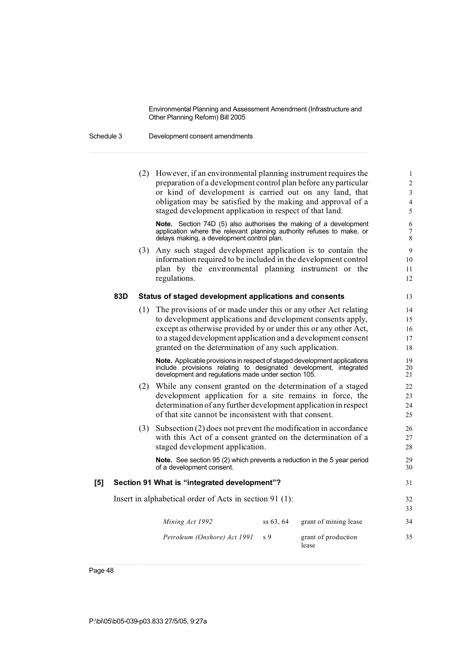Schedule 3 Development consent amendments

|     |     | (2) However, if an environmental planning instrument requires the<br>preparation of a development control plan before any particular<br>or kind of development is carried out on any land, that<br>obligation may be satisfied by the making and approval of a<br>staged development application in respect of that land.  |             |                              | $\mathbf{1}$<br>$\overline{c}$<br>3<br>$\overline{4}$<br>5 |
|-----|-----|----------------------------------------------------------------------------------------------------------------------------------------------------------------------------------------------------------------------------------------------------------------------------------------------------------------------------|-------------|------------------------------|------------------------------------------------------------|
|     |     | Note. Section 74D (5) also authorises the making of a development<br>application where the relevant planning authority refuses to make, or<br>delays making, a development control plan.                                                                                                                                   |             |                              | 6<br>7<br>8                                                |
|     |     | (3) Any such staged development application is to contain the<br>information required to be included in the development control<br>plan by the environmental planning instrument or the<br>regulations.                                                                                                                    |             |                              | 9<br>10<br>11<br>12                                        |
|     | 83D | Status of staged development applications and consents                                                                                                                                                                                                                                                                     |             |                              | 13                                                         |
|     | (1) | The provisions of or made under this or any other Act relating<br>to development applications and development consents apply,<br>except as otherwise provided by or under this or any other Act,<br>to a staged development application and a development consent<br>granted on the determination of any such application. |             |                              | 14<br>15<br>16<br>17<br>18                                 |
|     |     | Note. Applicable provisions in respect of staged development applications<br>include provisions relating to designated development, integrated<br>development and regulations made under section 105.                                                                                                                      |             |                              | 19<br>20<br>21                                             |
|     | (2) | While any consent granted on the determination of a staged<br>development application for a site remains in force, the<br>determination of any further development application in respect<br>of that site cannot be inconsistent with that consent.                                                                        |             |                              | 22<br>23<br>24<br>25                                       |
|     | (3) | Subsection $(2)$ does not prevent the modification in accordance<br>with this Act of a consent granted on the determination of a<br>staged development application.                                                                                                                                                        |             |                              | 26<br>27<br>28                                             |
|     |     | Note. See section 95 (2) which prevents a reduction in the 5 year period<br>of a development consent.                                                                                                                                                                                                                      |             |                              | 29<br>30                                                   |
| [5] |     | Section 91 What is "integrated development"?                                                                                                                                                                                                                                                                               |             |                              | 31                                                         |
|     |     | Insert in alphabetical order of Acts in section 91 (1):                                                                                                                                                                                                                                                                    |             |                              | 32<br>33                                                   |
|     |     | Mining Act 1992                                                                                                                                                                                                                                                                                                            | $ss\,63,64$ | grant of mining lease        | 34                                                         |
|     |     | Petroleum (Onshore) Act 1991                                                                                                                                                                                                                                                                                               | s 9         | grant of production<br>lease | 35                                                         |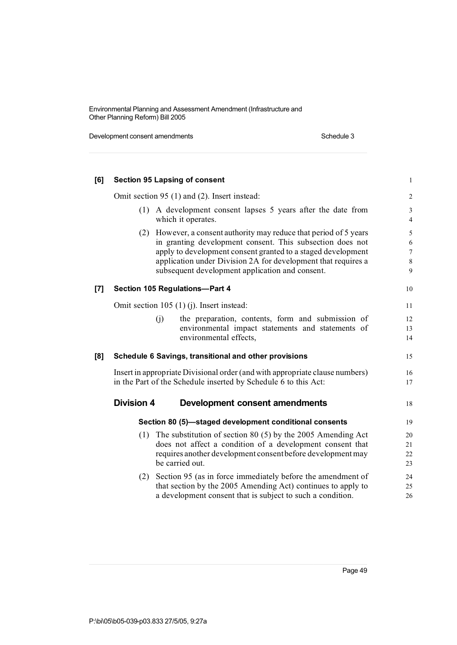Development consent amendments Schedule 3

| [6]   |                   | <b>Section 95 Lapsing of consent</b>                                                                                                                                                                                                                                                                            | $\mathbf{1}$                       |
|-------|-------------------|-----------------------------------------------------------------------------------------------------------------------------------------------------------------------------------------------------------------------------------------------------------------------------------------------------------------|------------------------------------|
|       |                   | Omit section 95 (1) and (2). Insert instead:                                                                                                                                                                                                                                                                    | $\overline{\mathbf{c}}$            |
|       |                   | (1) A development consent lapses 5 years after the date from<br>which it operates.                                                                                                                                                                                                                              | 3<br>$\overline{\mathcal{L}}$      |
|       | (2)               | However, a consent authority may reduce that period of 5 years<br>in granting development consent. This subsection does not<br>apply to development consent granted to a staged development<br>application under Division 2A for development that requires a<br>subsequent development application and consent. | 5<br>6<br>$\overline{7}$<br>8<br>9 |
| $[7]$ |                   | Section 105 Regulations-Part 4                                                                                                                                                                                                                                                                                  | 10                                 |
|       |                   | Omit section $105(1)(i)$ . Insert instead:                                                                                                                                                                                                                                                                      | 11                                 |
|       |                   | (i)<br>the preparation, contents, form and submission of<br>environmental impact statements and statements of<br>environmental effects,                                                                                                                                                                         | 12<br>13<br>14                     |
| [8]   |                   | Schedule 6 Savings, transitional and other provisions                                                                                                                                                                                                                                                           | 15                                 |
|       |                   | Insert in appropriate Divisional order (and with appropriate clause numbers)<br>in the Part of the Schedule inserted by Schedule 6 to this Act:                                                                                                                                                                 | 16<br>17                           |
|       | <b>Division 4</b> | <b>Development consent amendments</b>                                                                                                                                                                                                                                                                           | 18                                 |
|       |                   | Section 80 (5)—staged development conditional consents                                                                                                                                                                                                                                                          | 19                                 |
|       | (1)               | The substitution of section 80 $(5)$ by the 2005 Amending Act<br>does not affect a condition of a development consent that<br>requires another development consent before development may<br>be carried out.                                                                                                    | 20<br>21<br>22<br>23               |
|       | (2)               | Section 95 (as in force immediately before the amendment of<br>that section by the 2005 Amending Act) continues to apply to<br>a development consent that is subject to such a condition.                                                                                                                       | 24<br>25<br>26                     |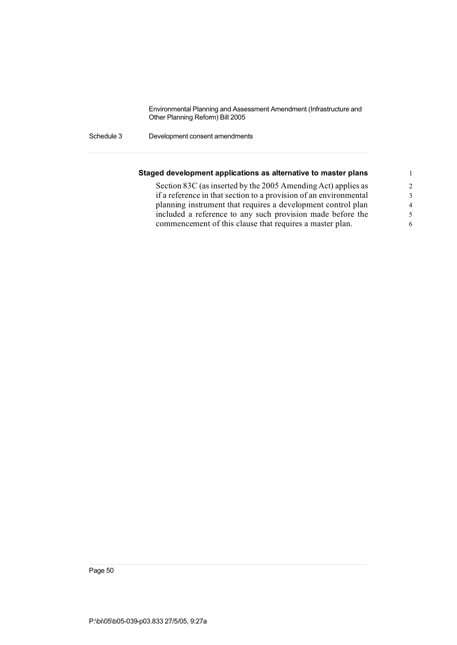Schedule 3 Development consent amendments

| Staged development applications as alternative to master plans    |                |
|-------------------------------------------------------------------|----------------|
| Section 83C (as inserted by the 2005 Amending Act) applies as     | $\overline{2}$ |
| if a reference in that section to a provision of an environmental | 3              |
| planning instrument that requires a development control plan      | $\overline{4}$ |
| included a reference to any such provision made before the        | -5             |
| commencement of this clause that requires a master plan.          | 6              |
|                                                                   |                |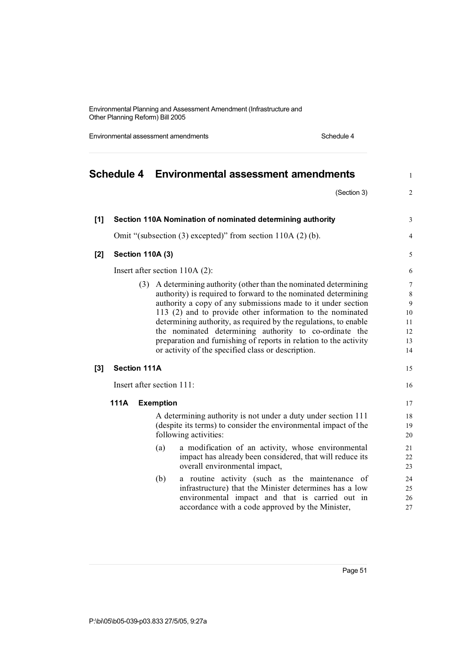Environmental assessment amendments **Schedule 4** Schedule 4

|       |                     | Schedule 4 Environmental assessment amendments |                         |                                                                   | $\mathbf{1}$     |
|-------|---------------------|------------------------------------------------|-------------------------|-------------------------------------------------------------------|------------------|
|       |                     |                                                |                         | (Section 3)                                                       | $\overline{2}$   |
| [1]   |                     |                                                |                         | Section 110A Nomination of nominated determining authority        | $\mathfrak{Z}$   |
|       |                     |                                                |                         | Omit "(subsection (3) excepted)" from section 110A (2) (b).       | $\overline{4}$   |
| $[2]$ |                     |                                                | <b>Section 110A (3)</b> |                                                                   | 5                |
|       |                     |                                                |                         | Insert after section 110A (2):                                    | 6                |
|       |                     | (3)                                            |                         | A determining authority (other than the nominated determining     | $\boldsymbol{7}$ |
|       |                     |                                                |                         | authority) is required to forward to the nominated determining    | $\,$ 8 $\,$      |
|       |                     |                                                |                         | authority a copy of any submissions made to it under section      | 9                |
|       |                     |                                                |                         | 113 (2) and to provide other information to the nominated         | 10               |
|       |                     |                                                |                         | determining authority, as required by the regulations, to enable  | 11               |
|       |                     |                                                |                         | the nominated determining authority to co-ordinate the            | 12               |
|       |                     |                                                |                         | preparation and furnishing of reports in relation to the activity | 13               |
|       |                     |                                                |                         | or activity of the specified class or description.                | 14               |
| $[3]$ | <b>Section 111A</b> |                                                |                         |                                                                   | 15               |
|       |                     |                                                |                         | Insert after section 111:                                         | 16               |
|       | 111A                |                                                | <b>Exemption</b>        |                                                                   | 17               |
|       |                     |                                                |                         | A determining authority is not under a duty under section 111     | 18               |
|       |                     |                                                |                         | (despite its terms) to consider the environmental impact of the   | 19               |
|       |                     |                                                |                         | following activities:                                             | 20               |
|       |                     |                                                | (a)                     | a modification of an activity, whose environmental                | 21               |
|       |                     |                                                |                         | impact has already been considered, that will reduce its          | 22               |
|       |                     |                                                |                         | overall environmental impact,                                     | 23               |
|       |                     |                                                | (b)                     | a routine activity (such as the maintenance of                    | 24               |
|       |                     |                                                |                         | infrastructure) that the Minister determines has a low            | 25               |
|       |                     |                                                |                         | environmental impact and that is carried out in                   | 26               |
|       |                     |                                                |                         | accordance with a code approved by the Minister,                  | 27               |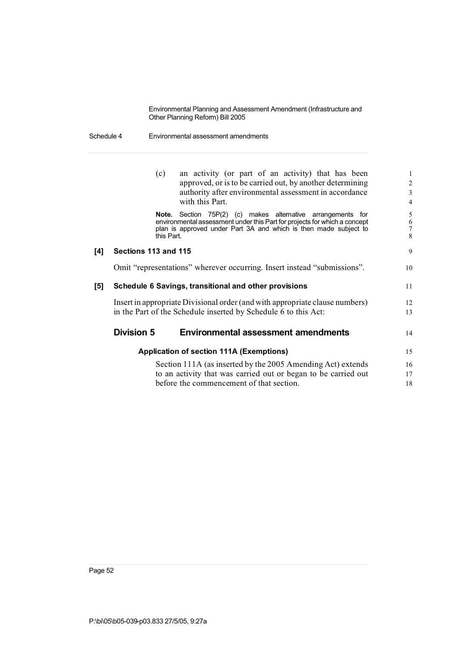Schedule 4 Environmental assessment amendments

|     |                      | (c)                 | an activity (or part of an activity) that has been                                                                                                                                                     | 1                       |
|-----|----------------------|---------------------|--------------------------------------------------------------------------------------------------------------------------------------------------------------------------------------------------------|-------------------------|
|     |                      |                     | approved, or is to be carried out, by another determining                                                                                                                                              | 2                       |
|     |                      |                     | authority after environmental assessment in accordance                                                                                                                                                 | 3                       |
|     |                      |                     | with this Part.                                                                                                                                                                                        | $\overline{4}$          |
|     |                      | Note.<br>this Part. | Section 75P(2) (c) makes alternative arrangements for<br>environmental assessment under this Part for projects for which a concept<br>plan is approved under Part 3A and which is then made subject to | 5<br>$\frac{6}{7}$<br>8 |
| [4] | Sections 113 and 115 |                     |                                                                                                                                                                                                        | 9                       |
|     |                      |                     | Omit "representations" wherever occurring. Insert instead "submissions".                                                                                                                               | 10                      |
| [5] |                      |                     | Schedule 6 Savings, transitional and other provisions                                                                                                                                                  | 11                      |
|     |                      |                     | Insert in appropriate Divisional order (and with appropriate clause numbers)                                                                                                                           | 12                      |
|     |                      |                     | in the Part of the Schedule inserted by Schedule 6 to this Act:                                                                                                                                        | 13                      |
|     | <b>Division 5</b>    |                     | <b>Environmental assessment amendments</b>                                                                                                                                                             | 14                      |
|     |                      |                     | <b>Application of section 111A (Exemptions)</b>                                                                                                                                                        | 15                      |
|     |                      |                     | Section 111A (as inserted by the 2005 Amending Act) extends                                                                                                                                            | 16                      |
|     |                      |                     | to an activity that was carried out or began to be carried out                                                                                                                                         | 17                      |
|     |                      |                     | before the commencement of that section.                                                                                                                                                               | 18                      |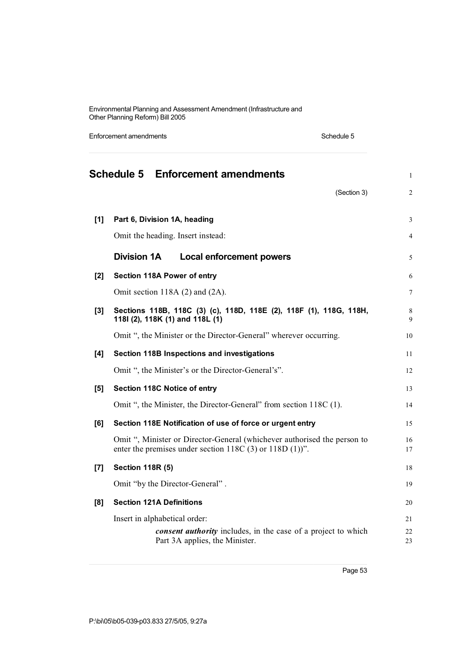Enforcement amendments **Schedule 5** Schedule 5 **Schedule 5 Enforcement amendments** <sup>1</sup> (Section 3) 2 **[1] Part 6, Division 1A, heading** 3 Omit the heading. Insert instead: 4 **Division 1A Local enforcement powers** 5 **[2] Section 118A Power of entry** 6 Omit section 118A (2) and (2A). 7 **[3] Sections 118B, 118C (3) (c), 118D, 118E (2), 118F (1), 118G, 118H,** 8 **118I (2), 118K (1) and 118L (1)** 9 Omit ", the Minister or the Director-General" wherever occurring. 10 **[4] Section 118B Inspections and investigations** 11 Omit ", the Minister's or the Director-General's". 12 **[5] Section 118C Notice of entry** 13 Omit ", the Minister, the Director-General" from section 118C (1). 14 **[6] Section 118E Notification of use of force or urgent entry** 15 Omit ", Minister or Director-General (whichever authorised the person to 16 enter the premises under section 118C (3) or 118D (1))". 17 **[7] Section 118R (5)** 18 Omit "by the Director-General" . 19 **[8] Section 121A Definitions** 20 Insert in alphabetical order: 21 22 *consent authority* includes, in the case of a project to which 22 Part 3A applies, the Minister. 23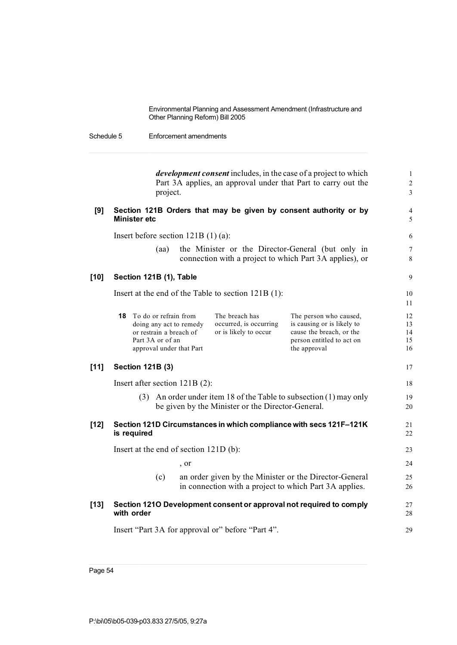| Schedule 5 | Enforcement amendments |
|------------|------------------------|
|            |                        |

*development consent* includes, in the case of a project to which 1 Part 3A applies, an approval under that Part to carry out the 2<br>project. project. 3

| [9] | Section 121B Orders that may be given by consent authority or by<br>Minister etc |  |
|-----|----------------------------------------------------------------------------------|--|
|     | Insert before section $121B(1)(a)$ :                                             |  |

(aa) the Minister or the Director-General (but only in 7 connection with a project to which Part 3A applies), or 8

11

### **[10] Section 121B (1), Table** 9

Insert at the end of the Table to section 121B (1): 10

|        | <b>18</b> To do or refrain from<br>doing any act to remedy<br>or restrain a breach of<br>Part 3A or of an<br>approval under that Part |      | The breach has<br>occurred, is occurring<br>or is likely to occur | The person who caused,<br>is causing or is likely to<br>cause the breach, or the<br>person entitled to act on<br>the approval | 12<br>13<br>14<br>15<br>16 |
|--------|---------------------------------------------------------------------------------------------------------------------------------------|------|-------------------------------------------------------------------|-------------------------------------------------------------------------------------------------------------------------------|----------------------------|
| $[11]$ | <b>Section 121B (3)</b>                                                                                                               |      |                                                                   |                                                                                                                               | 17                         |
|        | Insert after section $121B(2)$ :                                                                                                      |      |                                                                   |                                                                                                                               | 18                         |
|        | (3)                                                                                                                                   |      | be given by the Minister or the Director-General.                 | An order under item 18 of the Table to subsection (1) may only                                                                | 19<br>20                   |
| $[12]$ | is required                                                                                                                           |      |                                                                   | Section 121D Circumstances in which compliance with secs 121F-121K                                                            | 21<br>22                   |
|        | Insert at the end of section $121D(b)$ :                                                                                              |      |                                                                   |                                                                                                                               | 23                         |
|        |                                                                                                                                       | , or |                                                                   |                                                                                                                               | 24                         |
|        | (c)                                                                                                                                   |      |                                                                   | an order given by the Minister or the Director-General<br>in connection with a project to which Part 3A applies.              | 25<br>26                   |
| $[13]$ | with order                                                                                                                            |      |                                                                   | Section 1210 Development consent or approval not required to comply                                                           | 27<br>28                   |
|        |                                                                                                                                       |      | Insert "Part 3A for approval or" before "Part 4".                 |                                                                                                                               | 29                         |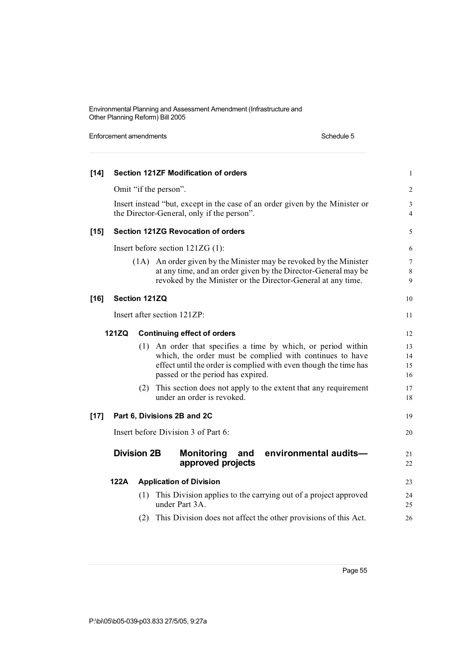Enforcement amendments **Schedule 5** Schedule 5 **[14] Section 121ZF Modification of orders** 1 Omit "if the person". 2 Insert instead "but, except in the case of an order given by the Minister or 3 the Director-General, only if the person". 4 **[15] Section 121ZG Revocation of orders** 5 Insert before section 121ZG (1): 6 (1A) An order given by the Minister may be revoked by the Minister 7 at any time, and an order given by the Director-General may be 8 revoked by the Minister or the Director-General at any time. 9 **[16] Section 121ZQ** 10 Insert after section 121ZP: 11 **121ZQ Continuing effect of orders** 12 (1) An order that specifies a time by which, or period within 13 which, the order must be complied with continues to have 14 effect until the order is complied with even though the time has 15 passed or the period has expired. 16 (2) This section does not apply to the extent that any requirement 17 under an order is revoked. **[17] Part 6, Divisions 2B and 2C** 19 Insert before Division 3 of Part 6: 20 **Division 2B Monitoring and environmental audits—** 21 **approved** projects 22 **122A Application of Division** 23 (1) This Division applies to the carrying out of a project approved 24 under Part 3A. 25 (2) This Division does not affect the other provisions of this Act. 26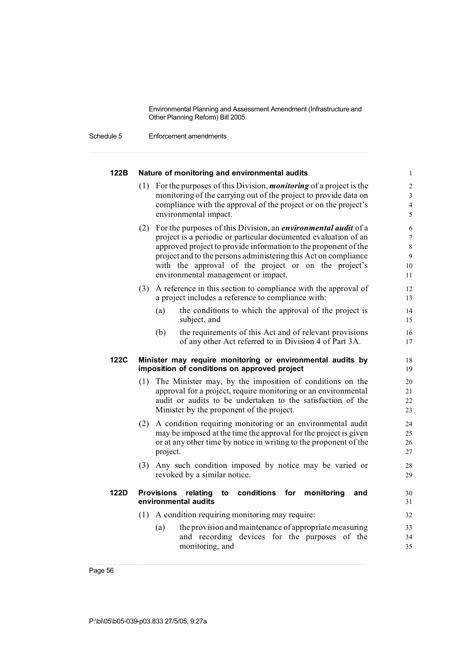| 122B | Nature of monitoring and environmental audits                                                                                                                                                                                                                                                                                                                                     | $\mathbf{1}$                                                  |
|------|-----------------------------------------------------------------------------------------------------------------------------------------------------------------------------------------------------------------------------------------------------------------------------------------------------------------------------------------------------------------------------------|---------------------------------------------------------------|
|      | (1) For the purposes of this Division, <i>monitoring</i> of a project is the<br>monitoring of the carrying out of the project to provide data on<br>compliance with the approval of the project or on the project's<br>environmental impact.                                                                                                                                      | $\overline{\mathbf{c}}$<br>3<br>$\overline{\mathcal{L}}$<br>5 |
|      | (2) For the purposes of this Division, an <i>environmental audit</i> of a<br>project is a periodic or particular documented evaluation of an<br>approved project to provide information to the proponent of the<br>project and to the persons administering this Act on compliance<br>with the approval of the project or on the project's<br>environmental management or impact. | 6<br>$\overline{7}$<br>8<br>9<br>10<br>11                     |
|      | A reference in this section to compliance with the approval of<br>(3)<br>a project includes a reference to compliance with:<br>(a)<br>the conditions to which the approval of the project is<br>subject, and<br>the requirements of this Act and of relevant provisions<br>(b)<br>of any other Act referred to in Division 4 of Part 3A.                                          | 12<br>13<br>14<br>15<br>16<br>17                              |
| 122C | Minister may require monitoring or environmental audits by<br>imposition of conditions on approved project                                                                                                                                                                                                                                                                        | 18<br>19                                                      |
|      | The Minister may, by the imposition of conditions on the<br>(1)<br>approval for a project, require monitoring or an environmental<br>audit or audits to be undertaken to the satisfaction of the<br>Minister by the proponent of the project.                                                                                                                                     | 20<br>21<br>22<br>23                                          |
|      | A condition requiring monitoring or an environmental audit<br>(2)<br>may be imposed at the time the approval for the project is given<br>or at any other time by notice in writing to the proponent of the<br>project.                                                                                                                                                            | 24<br>25<br>26<br>27                                          |
|      | (3) Any such condition imposed by notice may be varied or<br>revoked by a similar notice.                                                                                                                                                                                                                                                                                         | 28<br>29                                                      |
| 122D | <b>Provisions</b><br>conditions<br>for<br>relating<br>to<br>monitoring<br>and<br>environmental audits                                                                                                                                                                                                                                                                             | 30<br>31                                                      |
|      | (1) A condition requiring monitoring may require:                                                                                                                                                                                                                                                                                                                                 | 32                                                            |
|      | the provision and maintenance of appropriate measuring<br>(a)<br>and recording devices for the purposes of the<br>monitoring, and                                                                                                                                                                                                                                                 | 33<br>34<br>35                                                |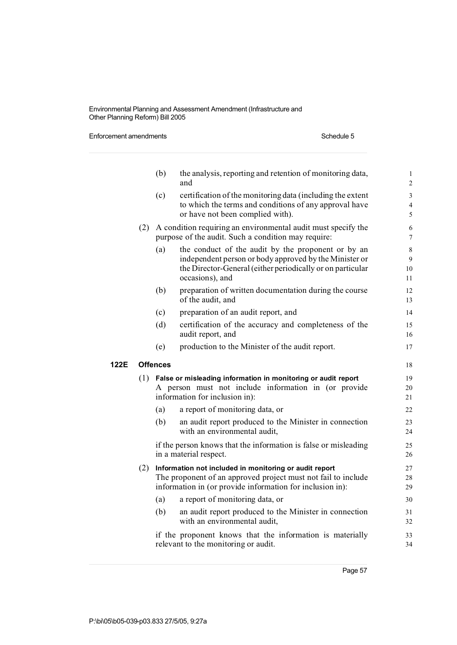Enforcement amendments **Schedule 5** Schedule 5

|      |     | (b)                                                                                                                                                                                  | the analysis, reporting and retention of monitoring data,<br>and                                                                                                                              | $\mathbf{1}$<br>$\overline{2}$        |
|------|-----|--------------------------------------------------------------------------------------------------------------------------------------------------------------------------------------|-----------------------------------------------------------------------------------------------------------------------------------------------------------------------------------------------|---------------------------------------|
|      |     | (c)                                                                                                                                                                                  | certification of the monitoring data (including the extent<br>to which the terms and conditions of any approval have<br>or have not been complied with).                                      | $\mathfrak{Z}$<br>$\overline{4}$<br>5 |
|      |     | (2) A condition requiring an environmental audit must specify the<br>purpose of the audit. Such a condition may require:                                                             |                                                                                                                                                                                               |                                       |
|      |     | (a)                                                                                                                                                                                  | the conduct of the audit by the proponent or by an<br>independent person or body approved by the Minister or<br>the Director-General (either periodically or on particular<br>occasions), and | $\,8\,$<br>9<br>10<br>11              |
|      |     | (b)                                                                                                                                                                                  | preparation of written documentation during the course<br>of the audit, and                                                                                                                   | 12<br>13                              |
|      |     | (c)                                                                                                                                                                                  | preparation of an audit report, and                                                                                                                                                           | 14                                    |
|      |     | (d)                                                                                                                                                                                  | certification of the accuracy and completeness of the<br>audit report, and                                                                                                                    | 15<br>16                              |
|      |     | (e)                                                                                                                                                                                  | production to the Minister of the audit report.                                                                                                                                               | 17                                    |
| 122E |     | <b>Offences</b>                                                                                                                                                                      |                                                                                                                                                                                               |                                       |
|      |     | $(1)$ False or misleading information in monitoring or audit report<br>A person must not include information in (or provide<br>information for inclusion in):                        |                                                                                                                                                                                               |                                       |
|      |     | (a)                                                                                                                                                                                  | a report of monitoring data, or                                                                                                                                                               | 22                                    |
|      |     | (b)                                                                                                                                                                                  | an audit report produced to the Minister in connection<br>with an environmental audit,                                                                                                        | 23<br>24                              |
|      |     |                                                                                                                                                                                      | if the person knows that the information is false or misleading<br>in a material respect.                                                                                                     | 25<br>26                              |
|      | (2) | Information not included in monitoring or audit report<br>The proponent of an approved project must not fail to include<br>information in (or provide information for inclusion in): |                                                                                                                                                                                               |                                       |
|      |     | (a)                                                                                                                                                                                  | a report of monitoring data, or                                                                                                                                                               | 30                                    |
|      |     | (b)                                                                                                                                                                                  | an audit report produced to the Minister in connection<br>with an environmental audit,                                                                                                        | 31<br>32                              |
|      |     |                                                                                                                                                                                      | if the proponent knows that the information is materially<br>relevant to the monitoring or audit.                                                                                             | 33<br>34                              |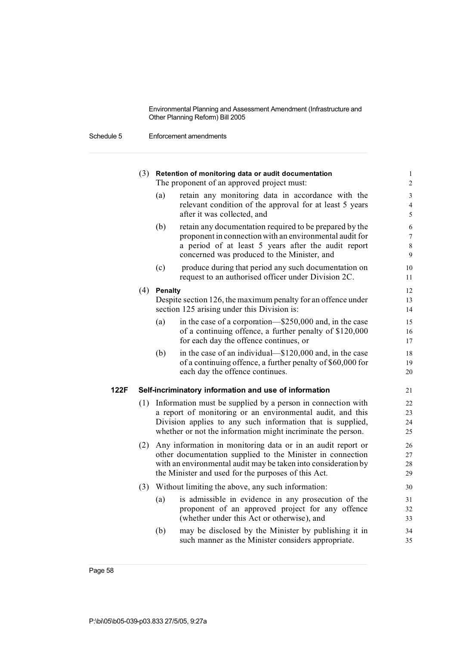|      |     |                                                                                                                                                                                                                                                         | $(3)$ Retention of monitoring data or audit documentation<br>The proponent of an approved project must:                                                                                                                                            | $\mathbf{1}$<br>$\overline{c}$     |  |
|------|-----|---------------------------------------------------------------------------------------------------------------------------------------------------------------------------------------------------------------------------------------------------------|----------------------------------------------------------------------------------------------------------------------------------------------------------------------------------------------------------------------------------------------------|------------------------------------|--|
|      |     | (a)                                                                                                                                                                                                                                                     | retain any monitoring data in accordance with the<br>relevant condition of the approval for at least 5 years<br>after it was collected, and                                                                                                        | 3<br>$\overline{\mathcal{L}}$<br>5 |  |
|      |     | (b)                                                                                                                                                                                                                                                     | retain any documentation required to be prepared by the<br>proponent in connection with an environmental audit for<br>a period of at least 5 years after the audit report<br>concerned was produced to the Minister, and                           | 6<br>$\overline{7}$<br>8<br>9      |  |
|      |     | (c)                                                                                                                                                                                                                                                     | produce during that period any such documentation on<br>request to an authorised officer under Division 2C.                                                                                                                                        | 10<br>11                           |  |
|      | (4) | <b>Penalty</b>                                                                                                                                                                                                                                          | Despite section 126, the maximum penalty for an offence under<br>section 125 arising under this Division is:                                                                                                                                       | 12<br>13<br>14                     |  |
|      |     | (a)                                                                                                                                                                                                                                                     | in the case of a corporation—\$250,000 and, in the case<br>of a continuing offence, a further penalty of \$120,000<br>for each day the offence continues, or                                                                                       | 15<br>16<br>17                     |  |
|      |     | (b)                                                                                                                                                                                                                                                     | in the case of an individual—\$120,000 and, in the case<br>of a continuing offence, a further penalty of \$60,000 for<br>each day the offence continues.                                                                                           | 18<br>19<br>20                     |  |
| 122F |     |                                                                                                                                                                                                                                                         | Self-incriminatory information and use of information                                                                                                                                                                                              | 21                                 |  |
|      | (1) | Information must be supplied by a person in connection with<br>a report of monitoring or an environmental audit, and this<br>Division applies to any such information that is supplied,<br>whether or not the information might incriminate the person. |                                                                                                                                                                                                                                                    |                                    |  |
|      | (2) |                                                                                                                                                                                                                                                         | Any information in monitoring data or in an audit report or<br>other documentation supplied to the Minister in connection<br>with an environmental audit may be taken into consideration by<br>the Minister and used for the purposes of this Act. | 26<br>27<br>28<br>29               |  |
|      | (3) |                                                                                                                                                                                                                                                         | Without limiting the above, any such information:                                                                                                                                                                                                  | 30                                 |  |
|      |     | (a)                                                                                                                                                                                                                                                     | is admissible in evidence in any prosecution of the<br>proponent of an approved project for any offence<br>(whether under this Act or otherwise), and                                                                                              | 31<br>32<br>33                     |  |
|      |     | (b)                                                                                                                                                                                                                                                     | may be disclosed by the Minister by publishing it in<br>such manner as the Minister considers appropriate.                                                                                                                                         | 34<br>35                           |  |
|      |     |                                                                                                                                                                                                                                                         |                                                                                                                                                                                                                                                    |                                    |  |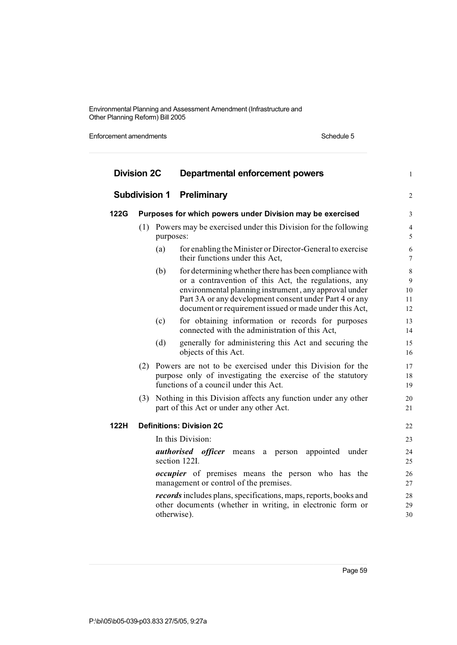Enforcement amendments **Schedule 5** Schedule 5

| <b>Division 2C</b><br><b>Subdivision 1</b> |                                 |           | <b>Departmental enforcement powers</b><br><b>Preliminary</b>                                                                                                                                                                                                                                |                               |             |
|--------------------------------------------|---------------------------------|-----------|---------------------------------------------------------------------------------------------------------------------------------------------------------------------------------------------------------------------------------------------------------------------------------------------|-------------------------------|-------------|
|                                            |                                 |           |                                                                                                                                                                                                                                                                                             |                               | <b>122G</b> |
|                                            | (1)                             | purposes: | Powers may be exercised under this Division for the following                                                                                                                                                                                                                               | $\overline{\mathcal{L}}$<br>5 |             |
|                                            |                                 | (a)       | for enabling the Minister or Director-General to exercise<br>their functions under this Act,                                                                                                                                                                                                | 6<br>7                        |             |
|                                            |                                 | (b)       | for determining whether there has been compliance with<br>or a contravention of this Act, the regulations, any<br>environmental planning instrument, any approval under<br>Part 3A or any development consent under Part 4 or any<br>document or requirement issued or made under this Act, | 8<br>9<br>10<br>11<br>12      |             |
|                                            |                                 | (c)       | for obtaining information or records for purposes<br>connected with the administration of this Act,                                                                                                                                                                                         | 13<br>14                      |             |
|                                            |                                 | (d)       | generally for administering this Act and securing the<br>objects of this Act.                                                                                                                                                                                                               | 15<br>16                      |             |
|                                            |                                 |           | (2) Powers are not to be exercised under this Division for the<br>purpose only of investigating the exercise of the statutory<br>functions of a council under this Act.                                                                                                                     | 17<br>18<br>19                |             |
|                                            | (3)                             |           | Nothing in this Division affects any function under any other<br>part of this Act or under any other Act.                                                                                                                                                                                   | 20<br>21                      |             |
| 122H                                       | <b>Definitions: Division 2C</b> |           |                                                                                                                                                                                                                                                                                             | 22                            |             |
|                                            |                                 |           | In this Division:                                                                                                                                                                                                                                                                           | 23                            |             |
|                                            |                                 |           | <i>authorised officer</i> means a person appointed under<br>section 122I.                                                                                                                                                                                                                   | 24<br>25                      |             |
|                                            |                                 |           | <i>occupier</i> of premises means the person who has the<br>management or control of the premises.                                                                                                                                                                                          | 26<br>27                      |             |
|                                            |                                 |           | <i>records</i> includes plans, specifications, maps, reports, books and<br>other documents (whether in writing, in electronic form or<br>otherwise).                                                                                                                                        | 28<br>29<br>30                |             |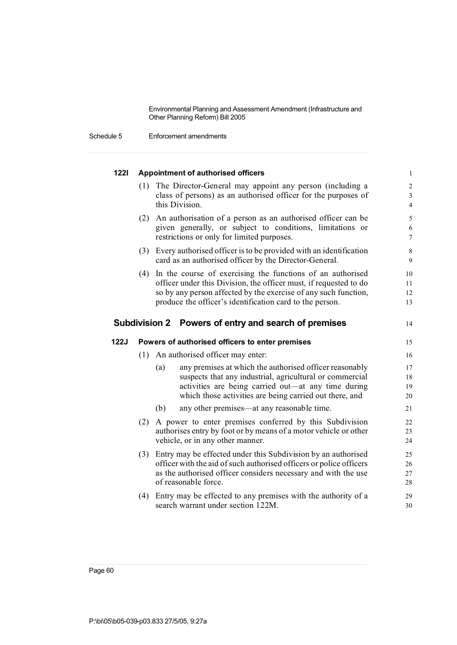Schedule 5 Enforcement amendments

| $1221$      |     | <b>Appointment of authorised officers</b>                                                                                                                                                                                                                          | $\mathbf{1}$                                                          |
|-------------|-----|--------------------------------------------------------------------------------------------------------------------------------------------------------------------------------------------------------------------------------------------------------------------|-----------------------------------------------------------------------|
|             | (1) | The Director-General may appoint any person (including a<br>class of persons) as an authorised officer for the purposes of<br>this Division.                                                                                                                       | $\overline{c}$<br>$\overline{\mathbf{3}}$<br>$\overline{\mathcal{L}}$ |
|             |     | (2) An authorisation of a person as an authorised officer can be<br>given generally, or subject to conditions, limitations or<br>restrictions or only for limited purposes.                                                                                        | 5<br>6<br>$\overline{7}$                                              |
|             |     | (3) Every authorised officer is to be provided with an identification<br>card as an authorised officer by the Director-General.                                                                                                                                    | 8<br>9                                                                |
|             |     | (4) In the course of exercising the functions of an authorised<br>officer under this Division, the officer must, if requested to do<br>so by any person affected by the exercise of any such function,<br>produce the officer's identification card to the person. | 10<br>11<br>12<br>13                                                  |
|             |     | <b>Subdivision 2</b><br>Powers of entry and search of premises                                                                                                                                                                                                     | 14                                                                    |
| <b>122J</b> |     | Powers of authorised officers to enter premises                                                                                                                                                                                                                    | 15                                                                    |
|             | (1) | An authorised officer may enter:                                                                                                                                                                                                                                   | 16                                                                    |
|             |     | any premises at which the authorised officer reasonably<br>(a)<br>suspects that any industrial, agricultural or commercial<br>activities are being carried out—at any time during                                                                                  | 17<br>18<br>19                                                        |
|             |     | which those activities are being carried out there, and                                                                                                                                                                                                            |                                                                       |
|             |     | (b)<br>any other premises—at any reasonable time.                                                                                                                                                                                                                  |                                                                       |
|             | (2) | A power to enter premises conferred by this Subdivision<br>authorises entry by foot or by means of a motor vehicle or other<br>vehicle, or in any other manner.                                                                                                    | 20<br>21<br>22<br>23<br>24                                            |
|             | (3) | Entry may be effected under this Subdivision by an authorised<br>officer with the aid of such authorised officers or police officers<br>as the authorised officer considers necessary and with the use<br>of reasonable force.                                     | 25<br>26<br>27<br>28                                                  |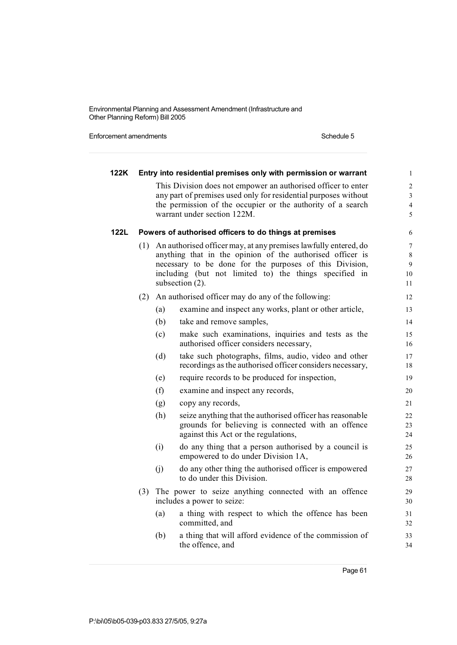Enforcement amendments **Schedule 5** Schedule 5

| 122K |     |     | Entry into residential premises only with permission or warrant                                                                                                                                                                                                      | $\mathbf{1}$                                        |
|------|-----|-----|----------------------------------------------------------------------------------------------------------------------------------------------------------------------------------------------------------------------------------------------------------------------|-----------------------------------------------------|
|      |     |     | This Division does not empower an authorised officer to enter<br>any part of premises used only for residential purposes without<br>the permission of the occupier or the authority of a search<br>warrant under section 122M.                                       | $\sqrt{2}$<br>$\overline{3}$<br>$\overline{4}$<br>5 |
| 122L |     |     | Powers of authorised officers to do things at premises                                                                                                                                                                                                               | 6                                                   |
|      | (1) |     | An authorised officer may, at any premises lawfully entered, do<br>anything that in the opinion of the authorised officer is<br>necessary to be done for the purposes of this Division,<br>including (but not limited to) the things specified in<br>subsection (2). | 7<br>$\,8\,$<br>$\overline{9}$<br>10<br>11          |
|      | (2) |     | An authorised officer may do any of the following:                                                                                                                                                                                                                   | 12                                                  |
|      |     | (a) | examine and inspect any works, plant or other article,                                                                                                                                                                                                               | 13                                                  |
|      |     | (b) | take and remove samples,                                                                                                                                                                                                                                             | 14                                                  |
|      |     | (c) | make such examinations, inquiries and tests as the<br>authorised officer considers necessary,                                                                                                                                                                        | 15<br>16                                            |
|      |     | (d) | take such photographs, films, audio, video and other<br>recordings as the authorised officer considers necessary,                                                                                                                                                    | 17<br>18                                            |
|      |     | (e) | require records to be produced for inspection,                                                                                                                                                                                                                       | 19                                                  |
|      |     | (f) | examine and inspect any records,                                                                                                                                                                                                                                     | 20                                                  |
|      |     | (g) | copy any records,                                                                                                                                                                                                                                                    | 21                                                  |
|      |     | (h) | seize anything that the authorised officer has reasonable<br>grounds for believing is connected with an offence<br>against this Act or the regulations,                                                                                                              | 22<br>23<br>24                                      |
|      |     | (i) | do any thing that a person authorised by a council is<br>empowered to do under Division 1A,                                                                                                                                                                          | 25<br>26                                            |
|      |     | (i) | do any other thing the authorised officer is empowered<br>to do under this Division.                                                                                                                                                                                 | 27<br>28                                            |
|      | (3) |     | The power to seize anything connected with an offence<br>includes a power to seize:                                                                                                                                                                                  | 29<br>30                                            |
|      |     | (a) | a thing with respect to which the offence has been<br>committed, and                                                                                                                                                                                                 | 31<br>32                                            |
|      |     | (b) | a thing that will afford evidence of the commission of<br>the offence, and                                                                                                                                                                                           | 33<br>34                                            |
|      |     |     |                                                                                                                                                                                                                                                                      |                                                     |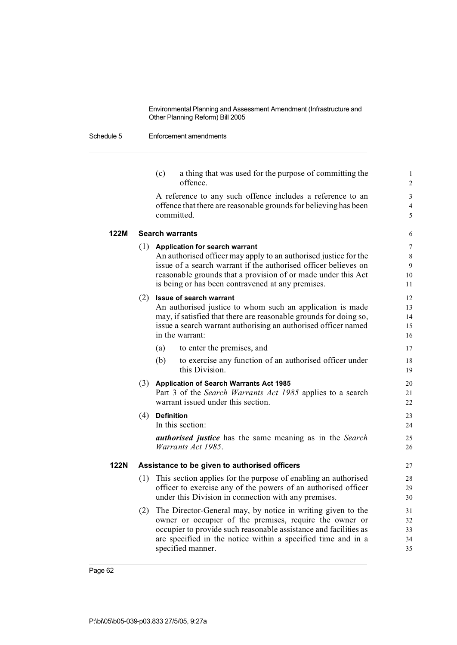### Schedule 5 Enforcement amendments

|                                                                                  | $\overline{c}$ |
|----------------------------------------------------------------------------------|----------------|
| A reference to any such offence includes a reference to an                       | 3              |
| offence that there are reasonable grounds for believing has been                 | $\overline{4}$ |
| committed.                                                                       | 5              |
| <b>Search warrants</b>                                                           | 6              |
| $(1)$ Application for search warrant                                             | 7              |
| An authorised officer may apply to an authorised justice for the                 | 8              |
| issue of a search warrant if the authorised officer believes on                  | 9              |
| reasonable grounds that a provision of or made under this Act                    | 10             |
| is being or has been contravened at any premises.                                | 11             |
| <b>Issue of search warrant</b>                                                   | 12             |
| An authorised justice to whom such an application is made                        | 13             |
| may, if satisfied that there are reasonable grounds for doing so,                | 14             |
| issue a search warrant authorising an authorised officer named                   | 15             |
| in the warrant:                                                                  | 16             |
| to enter the premises, and<br>(a)                                                | 17             |
| (b)<br>to exercise any function of an authorised officer under<br>this Division. | 18<br>19       |
| <b>Application of Search Warrants Act 1985</b>                                   | 20             |
| Part 3 of the Search Warrants Act 1985 applies to a search                       | 21             |
| warrant issued under this section.                                               | 22             |
| $(4)$ Definition                                                                 | 23             |
| In this section:                                                                 | 24             |
| <i>authorised justice</i> has the same meaning as in the Search                  | 25             |
| Warrants Act 1985.                                                               | 26             |
| Assistance to be given to authorised officers                                    | 27             |
| (1) This section applies for the purpose of enabling an authorised               | 28             |
| officer to exercise any of the powers of an authorised officer                   | 29             |
| under this Division in connection with any premises.                             | 30             |
| The Director-General may, by notice in writing given to the                      | 31             |
| owner or occupier of the premises, require the owner or                          | 32             |
| occupier to provide such reasonable assistance and facilities as                 | 33             |
| are specified in the notice within a specified time and in a                     | 34             |
| specified manner.                                                                | 35             |
|                                                                                  | offence.       |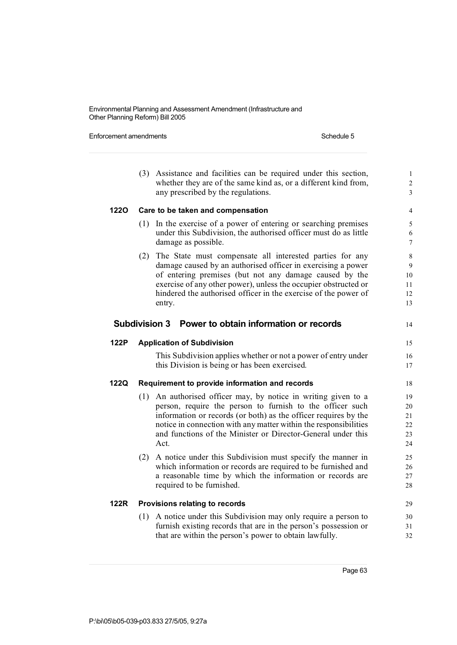Enforcement amendments **Schedule 5** Schedule 5

|             | (3)                  | Assistance and facilities can be required under this section,<br>whether they are of the same kind as, or a different kind from,<br>any prescribed by the regulations.                                                                                                                                                                 | $\mathbf{1}$<br>$\overline{2}$<br>$\overline{\mathbf{3}}$ |
|-------------|----------------------|----------------------------------------------------------------------------------------------------------------------------------------------------------------------------------------------------------------------------------------------------------------------------------------------------------------------------------------|-----------------------------------------------------------|
| 1220        |                      | Care to be taken and compensation                                                                                                                                                                                                                                                                                                      | 4                                                         |
|             | (1)                  | In the exercise of a power of entering or searching premises<br>under this Subdivision, the authorised officer must do as little<br>damage as possible.                                                                                                                                                                                | 5<br>6<br>7                                               |
|             | (2)                  | The State must compensate all interested parties for any<br>damage caused by an authorised officer in exercising a power<br>of entering premises (but not any damage caused by the<br>exercise of any other power), unless the occupier obstructed or<br>hindered the authorised officer in the exercise of the power of<br>entry.     | $\,$ 8 $\,$<br>9<br>10<br>11<br>12<br>13                  |
|             | <b>Subdivision 3</b> | Power to obtain information or records                                                                                                                                                                                                                                                                                                 | 14                                                        |
| 122P        |                      | <b>Application of Subdivision</b>                                                                                                                                                                                                                                                                                                      | 15                                                        |
|             |                      | This Subdivision applies whether or not a power of entry under<br>this Division is being or has been exercised.                                                                                                                                                                                                                        | 16<br>17                                                  |
| <b>122Q</b> |                      | Requirement to provide information and records                                                                                                                                                                                                                                                                                         | 18                                                        |
|             | (1)                  | An authorised officer may, by notice in writing given to a<br>person, require the person to furnish to the officer such<br>information or records (or both) as the officer requires by the<br>notice in connection with any matter within the responsibilities<br>and functions of the Minister or Director-General under this<br>Act. | 19<br>20<br>21<br>22<br>23<br>24                          |
|             | (2)                  | A notice under this Subdivision must specify the manner in<br>which information or records are required to be furnished and<br>a reasonable time by which the information or records are<br>required to be furnished.                                                                                                                  | 25<br>26<br>27<br>28                                      |
| <b>122R</b> |                      | Provisions relating to records                                                                                                                                                                                                                                                                                                         | 29                                                        |
|             | (1)                  | A notice under this Subdivision may only require a person to<br>furnish existing records that are in the person's possession or<br>that are within the person's power to obtain lawfully.                                                                                                                                              | 30<br>31<br>32                                            |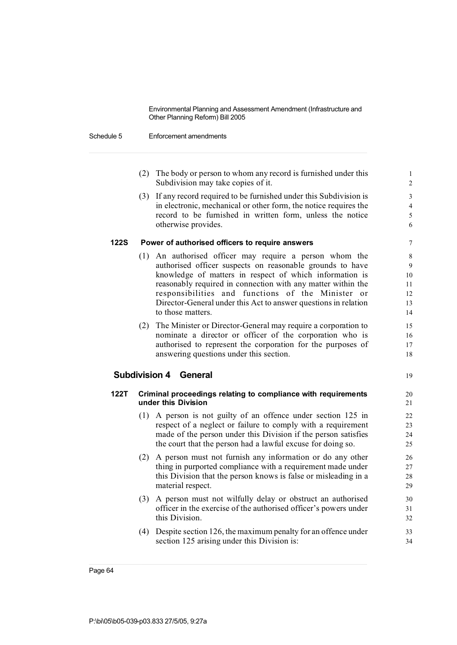#### Schedule 5 Enforcement amendments

- (2) The body or person to whom any record is furnished under this 1 Subdivision may take copies of it. 2
- (3) If any record required to be furnished under this Subdivision is 3 in electronic, mechanical or other form, the notice requires the 4 record to be furnished in written form, unless the notice 5 otherwise provides. 6

#### **122S Power of authorised officers to require answers** 7

- (1) An authorised officer may require a person whom the 8 authorised officer suspects on reasonable grounds to have 9 knowledge of matters in respect of which information is 10 reasonably required in connection with any matter within the 11 responsibilities and functions of the Minister or 12 Director-General under this Act to answer questions in relation 13 to those matters. 14
- (2) The Minister or Director-General may require a corporation to 15 nominate a director or officer of the corporation who is 16 authorised to represent the corporation for the purposes of 17 answering questions under this section. 18

## **Subdivision 4 General** 19

- **122T Criminal proceedings relating to compliance with requirements** 20 **under this Division** 21
	- (1) A person is not guilty of an offence under section 125 in 22 respect of a neglect or failure to comply with a requirement 23 made of the person under this Division if the person satisfies 24 the court that the person had a lawful excuse for doing so. 25
	- (2) A person must not furnish any information or do any other 26 thing in purported compliance with a requirement made under 27 this Division that the person knows is false or misleading in a 28 material respect. 29
	- (3) A person must not wilfully delay or obstruct an authorised 30 officer in the exercise of the authorised officer's powers under 31 this Division. 32
	- (4) Despite section 126, the maximum penalty for an offence under 33 section 125 arising under this Division is: 34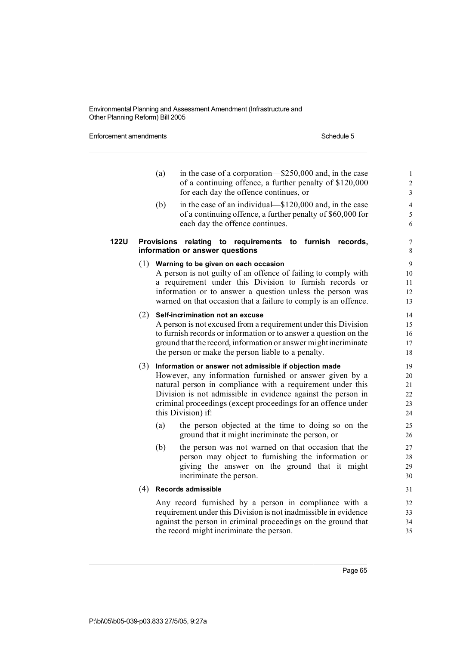Enforcement amendments **Schedule 5** Schedule 5

|             |     | (a)<br>in the case of a corporation—\$250,000 and, in the case<br>of a continuing offence, a further penalty of \$120,000<br>for each day the offence continues, or                                                                                                                                                                          | $\mathbf{1}$<br>$\overline{c}$<br>$\overline{\mathbf{3}}$ |
|-------------|-----|----------------------------------------------------------------------------------------------------------------------------------------------------------------------------------------------------------------------------------------------------------------------------------------------------------------------------------------------|-----------------------------------------------------------|
|             |     | (b)<br>in the case of an individual—\$120,000 and, in the case<br>of a continuing offence, a further penalty of \$60,000 for<br>each day the offence continues.                                                                                                                                                                              | $\overline{4}$<br>5<br>6                                  |
| <b>122U</b> |     | Provisions relating to requirements to furnish<br>records,<br>information or answer questions                                                                                                                                                                                                                                                | 7<br>8                                                    |
|             |     | $(1)$ Warning to be given on each occasion<br>A person is not guilty of an offence of failing to comply with<br>a requirement under this Division to furnish records or<br>information or to answer a question unless the person was<br>warned on that occasion that a failure to comply is an offence.                                      | $\overline{9}$<br>10<br>11<br>12<br>13                    |
|             |     | (2) Self-incrimination not an excuse<br>A person is not excused from a requirement under this Division<br>to furnish records or information or to answer a question on the<br>ground that the record, information or answer might incriminate<br>the person or make the person liable to a penalty.                                          | 14<br>15<br>16<br>17<br>18                                |
|             |     | $(3)$ Information or answer not admissible if objection made<br>However, any information furnished or answer given by a<br>natural person in compliance with a requirement under this<br>Division is not admissible in evidence against the person in<br>criminal proceedings (except proceedings for an offence under<br>this Division) if: | 19<br>20<br>21<br>22<br>23<br>24                          |
|             |     | the person objected at the time to doing so on the<br>(a)<br>ground that it might incriminate the person, or                                                                                                                                                                                                                                 | 25<br>26                                                  |
|             |     | (b)<br>the person was not warned on that occasion that the<br>person may object to furnishing the information or<br>giving the answer on the ground that it might<br>incriminate the person.                                                                                                                                                 | 27<br>28<br>29<br>30                                      |
|             | (4) | <b>Records admissible</b>                                                                                                                                                                                                                                                                                                                    | 31                                                        |
|             |     | Any record furnished by a person in compliance with a<br>requirement under this Division is not inadmissible in evidence<br>against the person in criminal proceedings on the ground that<br>the record might incriminate the person.                                                                                                        | 32<br>33<br>34<br>35                                      |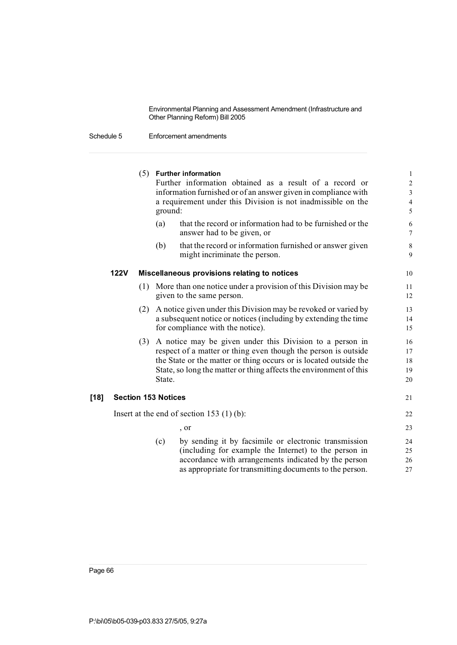|        |             |     |                            | $(5)$ Further information<br>Further information obtained as a result of a record or<br>information furnished or of an answer given in compliance with<br>a requirement under this Division is not inadmissible on the<br>ground:                                     |                              |
|--------|-------------|-----|----------------------------|-----------------------------------------------------------------------------------------------------------------------------------------------------------------------------------------------------------------------------------------------------------------------|------------------------------|
|        |             |     | (a)                        | that the record or information had to be furnished or the<br>answer had to be given, or                                                                                                                                                                               | $\sqrt{6}$<br>$\overline{7}$ |
|        |             |     | (b)                        | that the record or information furnished or answer given<br>might incriminate the person.                                                                                                                                                                             | $\,8\,$<br>9                 |
|        | <b>122V</b> |     |                            | Miscellaneous provisions relating to notices                                                                                                                                                                                                                          | 10                           |
|        |             | (1) |                            | More than one notice under a provision of this Division may be<br>given to the same person.                                                                                                                                                                           | 11<br>12                     |
|        |             | (2) |                            | A notice given under this Division may be revoked or varied by<br>a subsequent notice or notices (including by extending the time<br>for compliance with the notice).                                                                                                 | 13<br>14<br>15               |
|        |             | (3) | State.                     | A notice may be given under this Division to a person in<br>respect of a matter or thing even though the person is outside<br>the State or the matter or thing occurs or is located outside the<br>State, so long the matter or thing affects the environment of this | 16<br>17<br>18<br>19<br>20   |
| $[18]$ |             |     | <b>Section 153 Notices</b> |                                                                                                                                                                                                                                                                       | 21                           |
|        |             |     |                            | Insert at the end of section 153 $(1)$ (b):                                                                                                                                                                                                                           | 22                           |
|        |             |     |                            | $\cdot$ or                                                                                                                                                                                                                                                            | 23                           |
|        |             |     | (c)                        | by sending it by facsimile or electronic transmission<br>(including for example the Internet) to the person in<br>accordance with arrangements indicated by the person<br>as appropriate for transmitting documents to the person.                                    | 24<br>25<br>26<br>27         |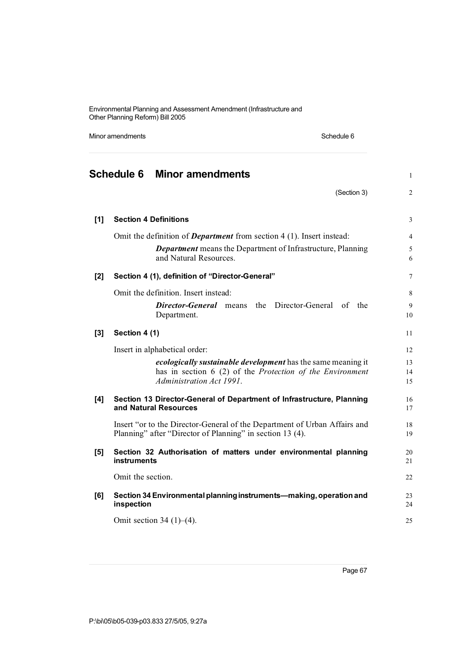Minor amendments **Schedule 6** Schedule 6

|       | <b>Schedule 6</b><br><b>Minor amendments</b>                                                                                                          | $\mathbf{1}$   |
|-------|-------------------------------------------------------------------------------------------------------------------------------------------------------|----------------|
|       | (Section 3)                                                                                                                                           | $\overline{2}$ |
| [1]   | <b>Section 4 Definitions</b>                                                                                                                          | 3              |
|       | Omit the definition of <b>Department</b> from section $4(1)$ . Insert instead:                                                                        | $\overline{4}$ |
|       | Department means the Department of Infrastructure, Planning<br>and Natural Resources.                                                                 | 5<br>6         |
| $[2]$ | Section 4 (1), definition of "Director-General"                                                                                                       | 7              |
|       | Omit the definition. Insert instead:                                                                                                                  | 8              |
|       | Director-General means<br>the Director-General<br>of<br>the<br>Department.                                                                            | 9<br>10        |
| $[3]$ | Section 4 (1)                                                                                                                                         | 11             |
|       | Insert in alphabetical order:                                                                                                                         | 12             |
|       | ecologically sustainable development has the same meaning it<br>has in section 6 (2) of the Protection of the Environment<br>Administration Act 1991. | 13<br>14<br>15 |
| [4]   | Section 13 Director-General of Department of Infrastructure, Planning<br>and Natural Resources                                                        | 16<br>17       |
|       | Insert "or to the Director-General of the Department of Urban Affairs and<br>Planning" after "Director of Planning" in section 13 (4).                | 18<br>19       |
| [5]   | Section 32 Authorisation of matters under environmental planning<br>instruments                                                                       | 20<br>21       |
|       | Omit the section.                                                                                                                                     | 22             |
| [6]   | Section 34 Environmental planning instruments—making, operation and<br>inspection                                                                     | 23<br>24       |
|       | Omit section 34 $(1)$ – $(4)$ .                                                                                                                       | 25             |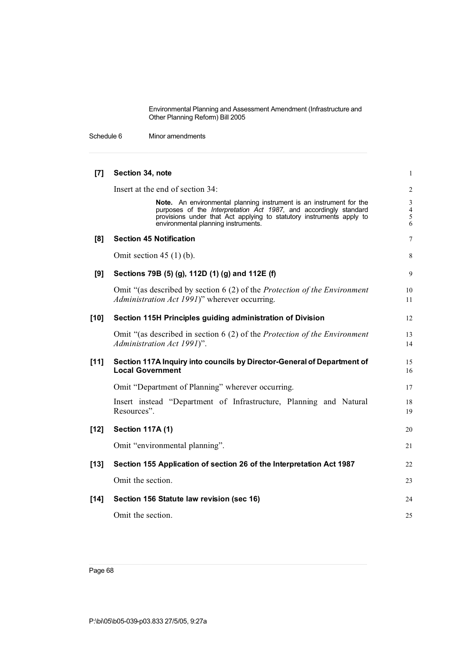Schedule 6 Minor amendments

| [7]    | Section 34, note                                                                                                                                                                                                                                        | 1                                          |
|--------|---------------------------------------------------------------------------------------------------------------------------------------------------------------------------------------------------------------------------------------------------------|--------------------------------------------|
|        | Insert at the end of section 34:                                                                                                                                                                                                                        | $\sqrt{2}$                                 |
|        | Note. An environmental planning instrument is an instrument for the<br>purposes of the Interpretation Act 1987, and accordingly standard<br>provisions under that Act applying to statutory instruments apply to<br>environmental planning instruments. | $\mathfrak{Z}$<br>$\overline{4}$<br>5<br>6 |
| [8]    | <b>Section 45 Notification</b>                                                                                                                                                                                                                          | 7                                          |
|        | Omit section $45(1)(b)$ .                                                                                                                                                                                                                               | 8                                          |
| [9]    | Sections 79B (5) (g), 112D (1) (g) and 112E (f)                                                                                                                                                                                                         | 9                                          |
|        | Omit "(as described by section 6 (2) of the <i>Protection of the Environment</i><br>Administration Act 1991)" wherever occurring.                                                                                                                       | 10<br>11                                   |
| $[10]$ | Section 115H Principles guiding administration of Division                                                                                                                                                                                              | 12                                         |
|        | Omit "(as described in section 6 (2) of the Protection of the Environment<br>Administration Act 1991)".                                                                                                                                                 | 13<br>14                                   |
| $[11]$ | Section 117A Inquiry into councils by Director-General of Department of<br><b>Local Government</b>                                                                                                                                                      | 15<br>16                                   |
|        | Omit "Department of Planning" wherever occurring.                                                                                                                                                                                                       | 17                                         |
|        | Insert instead "Department of Infrastructure, Planning and Natural<br>Resources".                                                                                                                                                                       | 18<br>19                                   |
| $[12]$ | <b>Section 117A (1)</b>                                                                                                                                                                                                                                 | 20                                         |
|        | Omit "environmental planning".                                                                                                                                                                                                                          | 21                                         |
| $[13]$ | Section 155 Application of section 26 of the Interpretation Act 1987                                                                                                                                                                                    | 22                                         |
|        | Omit the section.                                                                                                                                                                                                                                       | 23                                         |
| $[14]$ | Section 156 Statute law revision (sec 16)                                                                                                                                                                                                               | 24                                         |
|        | Omit the section.                                                                                                                                                                                                                                       | 25                                         |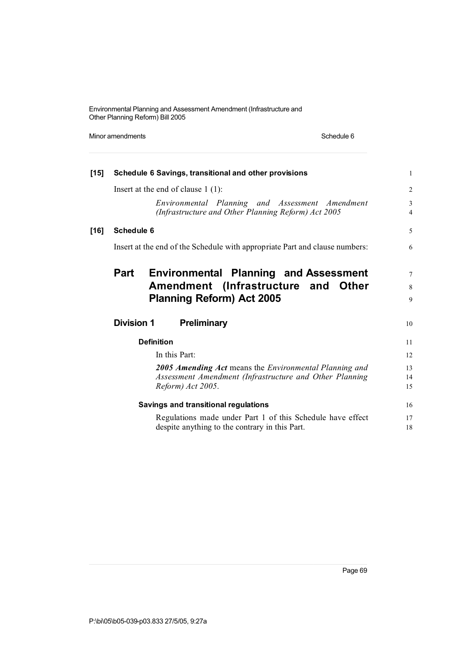Minor amendments **Schedule 6** Schedule 6

| $[15]$ |                                                        | Schedule 6 Savings, transitional and other provisions                                                  | $\mathbf{1}$        |  |
|--------|--------------------------------------------------------|--------------------------------------------------------------------------------------------------------|---------------------|--|
|        | Insert at the end of clause $1(1)$ :                   |                                                                                                        | 2                   |  |
|        |                                                        | Environmental Planning and Assessment Amendment<br>(Infrastructure and Other Planning Reform) Act 2005 | 3<br>$\overline{4}$ |  |
| $[16]$ | Schedule 6                                             |                                                                                                        | 5                   |  |
|        |                                                        | Insert at the end of the Schedule with appropriate Part and clause numbers:                            | 6                   |  |
|        |                                                        | Part Environmental Planning and Assessment                                                             | $\tau$              |  |
|        |                                                        | Amendment (Infrastructure and Other                                                                    | 8                   |  |
|        |                                                        | <b>Planning Reform) Act 2005</b>                                                                       | 9                   |  |
|        | <b>Division 1</b>                                      | <b>Preliminary</b>                                                                                     | 10                  |  |
|        | <b>Definition</b>                                      |                                                                                                        | 11                  |  |
|        | In this Part:                                          |                                                                                                        | 12                  |  |
|        | 2005 Amending Act means the Environmental Planning and |                                                                                                        |                     |  |
|        |                                                        | Assessment Amendment (Infrastructure and Other Planning                                                | 14                  |  |
|        |                                                        | Reform) Act 2005.                                                                                      | 15                  |  |
|        |                                                        | <b>Savings and transitional regulations</b>                                                            | 16                  |  |
|        |                                                        | Regulations made under Part 1 of this Schedule have effect                                             | 17                  |  |
|        |                                                        | despite anything to the contrary in this Part.                                                         | 18                  |  |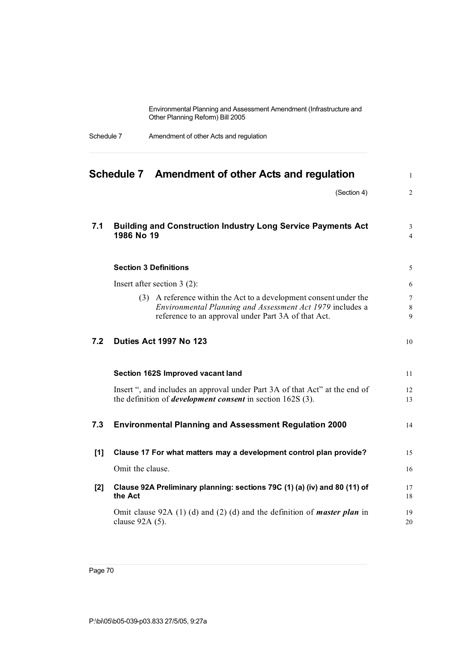| Schedule 7 | Amendment of other Acts and regulation |
|------------|----------------------------------------|
|------------|----------------------------------------|

|       | Schedule 7 Amendment of other Acts and regulation                                                                                                                                     | $\mathbf{1}$         |
|-------|---------------------------------------------------------------------------------------------------------------------------------------------------------------------------------------|----------------------|
|       | (Section 4)                                                                                                                                                                           | $\overline{2}$       |
| 7.1   | <b>Building and Construction Industry Long Service Payments Act</b><br>1986 No 19                                                                                                     | 3<br>$\overline{4}$  |
|       | <b>Section 3 Definitions</b>                                                                                                                                                          | 5                    |
|       | Insert after section $3(2)$ :                                                                                                                                                         | 6                    |
|       | (3) A reference within the Act to a development consent under the<br>Environmental Planning and Assessment Act 1979 includes a<br>reference to an approval under Part 3A of that Act. | $\tau$<br>$8\,$<br>9 |
| 7.2   | Duties Act 1997 No 123                                                                                                                                                                | 10                   |
|       | Section 162S Improved vacant land                                                                                                                                                     | 11                   |
|       | Insert ", and includes an approval under Part 3A of that Act" at the end of<br>the definition of <i>development consent</i> in section 162S (3).                                      | 12<br>13             |
| 7.3   | <b>Environmental Planning and Assessment Regulation 2000</b>                                                                                                                          | 14                   |
| $[1]$ | Clause 17 For what matters may a development control plan provide?                                                                                                                    | 15                   |
|       | Omit the clause.                                                                                                                                                                      | 16                   |
| [2]   | Clause 92A Preliminary planning: sections 79C (1) (a) (iv) and 80 (11) of<br>the Act                                                                                                  | 17<br>18             |
|       | Omit clause 92A $(1)$ (d) and $(2)$ (d) and the definition of <i>master plan</i> in<br>clause 92A (5).                                                                                | 19<br>20             |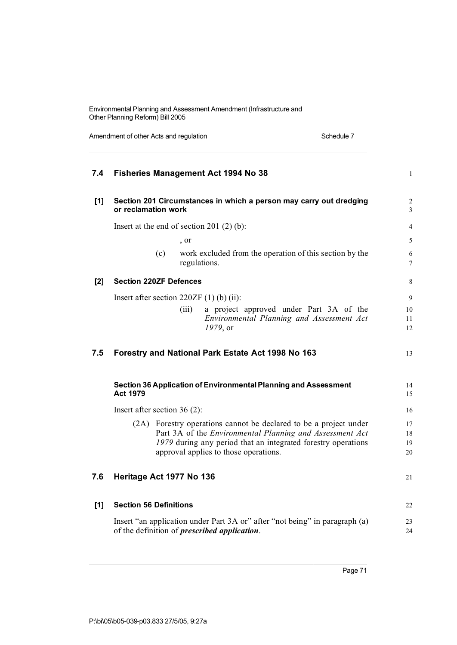| 7.4   | <b>Fisheries Management Act 1994 No 38</b>                                                                                                                                                                                              | $\mathbf{1}$         |
|-------|-----------------------------------------------------------------------------------------------------------------------------------------------------------------------------------------------------------------------------------------|----------------------|
| $[1]$ | Section 201 Circumstances in which a person may carry out dredging<br>or reclamation work                                                                                                                                               | $\overline{c}$<br>3  |
|       | Insert at the end of section 201 $(2)$ (b):                                                                                                                                                                                             | $\overline{4}$       |
|       | , or                                                                                                                                                                                                                                    | 5                    |
|       | (c)<br>work excluded from the operation of this section by the<br>regulations.                                                                                                                                                          | 6<br>7               |
| [2]   | <b>Section 220ZF Defences</b>                                                                                                                                                                                                           | 8                    |
|       | Insert after section $220ZF(1)$ (b) (ii):                                                                                                                                                                                               | 9                    |
|       | a project approved under Part 3A of the<br>(iii)<br>Environmental Planning and Assessment Act<br>1979, or                                                                                                                               | 10<br>11<br>12       |
| 7.5   | Forestry and National Park Estate Act 1998 No 163                                                                                                                                                                                       | 13                   |
|       | Section 36 Application of Environmental Planning and Assessment<br><b>Act 1979</b>                                                                                                                                                      | 14<br>15             |
|       | Insert after section $36(2)$ :                                                                                                                                                                                                          | 16                   |
|       | (2A) Forestry operations cannot be declared to be a project under<br>Part 3A of the Environmental Planning and Assessment Act<br>1979 during any period that an integrated forestry operations<br>approval applies to those operations. | 17<br>18<br>19<br>20 |
| 7.6   | Heritage Act 1977 No 136                                                                                                                                                                                                                | 21                   |
| $[1]$ | <b>Section 56 Definitions</b>                                                                                                                                                                                                           | 22                   |
|       | Insert "an application under Part 3A or" after "not being" in paragraph (a)<br>of the definition of <i>prescribed application</i> .                                                                                                     | 23<br>24             |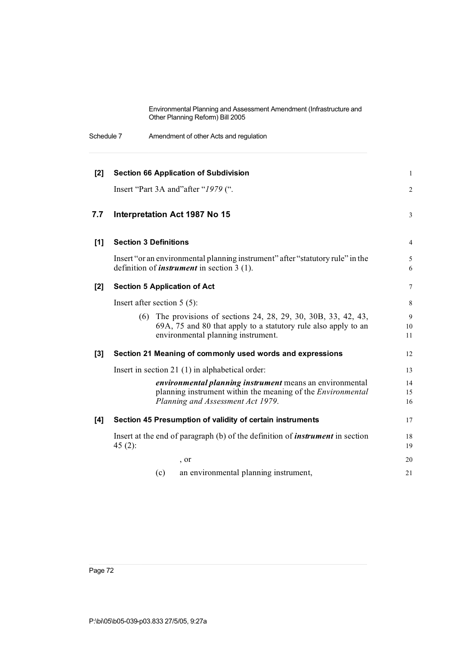Schedule 7 Amendment of other Acts and regulation

| $[2]$ | <b>Section 66 Application of Subdivision</b>                                                                                                                               | $\mathbf{1}$   |
|-------|----------------------------------------------------------------------------------------------------------------------------------------------------------------------------|----------------|
|       | Insert "Part 3A and" after "1979 (".                                                                                                                                       | $\mathbf{2}$   |
| 7.7   | Interpretation Act 1987 No 15                                                                                                                                              | 3              |
| $[1]$ | <b>Section 3 Definitions</b>                                                                                                                                               | $\overline{4}$ |
|       | Insert "or an environmental planning instrument" after "statutory rule" in the<br>definition of <i>instrument</i> in section $3(1)$ .                                      | 5<br>6         |
| $[2]$ | <b>Section 5 Application of Act</b>                                                                                                                                        | $\overline{7}$ |
|       | Insert after section $5(5)$ :                                                                                                                                              | 8              |
|       | The provisions of sections 24, 28, 29, 30, 30B, 33, 42, 43,<br>(6)<br>69A, 75 and 80 that apply to a statutory rule also apply to an<br>environmental planning instrument. | 9<br>10<br>11  |
| $[3]$ | Section 21 Meaning of commonly used words and expressions                                                                                                                  | 12             |
|       | Insert in section 21 $(1)$ in alphabetical order:                                                                                                                          | 13             |
|       | <i>environmental planning instrument</i> means an environmental<br>planning instrument within the meaning of the <i>Environmental</i><br>Planning and Assessment Act 1979. | 14<br>15<br>16 |
| [4]   | Section 45 Presumption of validity of certain instruments                                                                                                                  | 17             |
|       | Insert at the end of paragraph (b) of the definition of <i>instrument</i> in section<br>45 $(2)$ :                                                                         | 18<br>19       |
|       | , or                                                                                                                                                                       | 20             |
|       | an environmental planning instrument,<br>(c)                                                                                                                               | 21             |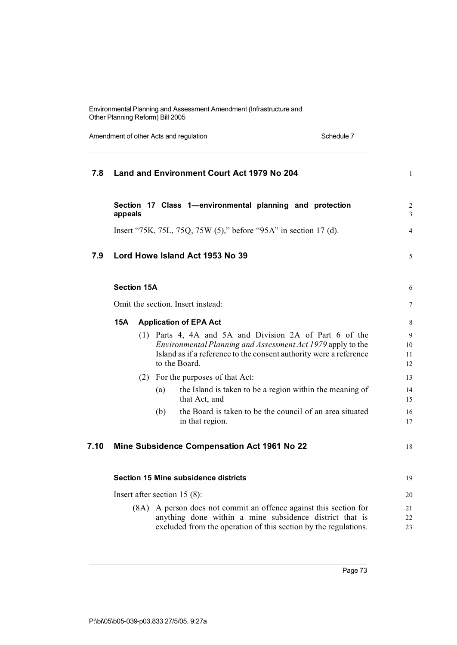Amendment of other Acts and regulation Schedule 7 Schedule 7

| 7.8  |                    |     | <b>Land and Environment Court Act 1979 No 204</b>                                                                                                                                                             | $\mathbf{1}$        |
|------|--------------------|-----|---------------------------------------------------------------------------------------------------------------------------------------------------------------------------------------------------------------|---------------------|
|      | appeals            |     | Section 17 Class 1-environmental planning and protection                                                                                                                                                      | $\overline{c}$<br>3 |
|      |                    |     | Insert "75K, 75L, 75Q, 75W (5)," before "95A" in section 17 (d).                                                                                                                                              | $\overline{4}$      |
| 7.9  |                    |     | Lord Howe Island Act 1953 No 39                                                                                                                                                                               | 5                   |
|      | <b>Section 15A</b> |     |                                                                                                                                                                                                               | 6                   |
|      |                    |     | Omit the section. Insert instead:                                                                                                                                                                             | 7                   |
|      | <b>15A</b>         |     | <b>Application of EPA Act</b>                                                                                                                                                                                 | 8                   |
|      |                    |     | (1) Parts 4, 4A and 5A and Division 2A of Part 6 of the<br>Environmental Planning and Assessment Act 1979 apply to the<br>Island as if a reference to the consent authority were a reference<br>to the Board. | 9<br>10<br>11<br>12 |
|      |                    |     | (2) For the purposes of that Act:                                                                                                                                                                             | 13                  |
|      |                    | (a) | the Island is taken to be a region within the meaning of<br>that Act, and                                                                                                                                     | 14<br>15            |
|      |                    | (b) | the Board is taken to be the council of an area situated<br>in that region.                                                                                                                                   | 16<br>17            |
| 7.10 |                    |     | <b>Mine Subsidence Compensation Act 1961 No 22</b>                                                                                                                                                            | 18                  |
|      |                    |     | Section 15 Mine subsidence districts                                                                                                                                                                          | 19                  |
|      |                    |     | Insert after section $15(8)$ :                                                                                                                                                                                | 20                  |
|      |                    |     | (8A) A person does not commit an offence against this section for<br>anything done within a mine subsidence district that is<br>excluded from the operation of this section by the regulations.               | 21<br>22<br>23      |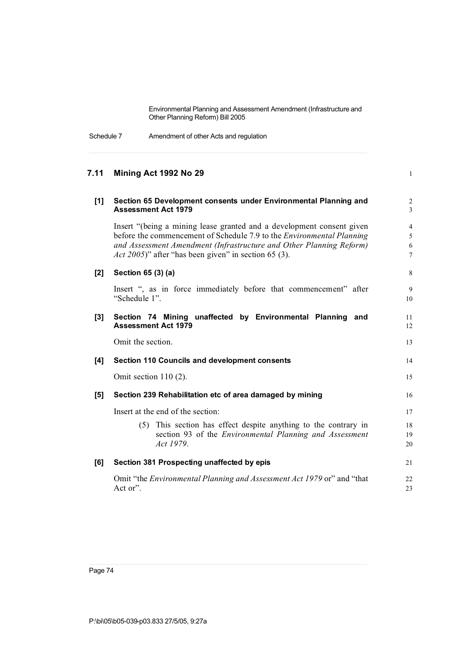Schedule 7 Amendment of other Acts and regulation

# **7.11 Mining Act 1992 No 29** 1 **[1] Section 65 Development consents under Environmental Planning and** 2 **Assessment Act 1979** 3 Insert "(being a mining lease granted and a development consent given 4 before the commencement of Schedule 7.9 to the *Environmental Planning* 5 *and Assessment Amendment (Infrastructure and Other Planning Reform)* 6 *Act* 2005)" after "has been given" in section 65 (3). **[2] Section 65 (3) (a)** 8 Insert ", as in force immediately before that commencement" after 9 "Schedule 1". 10 **[3] Section 74 Mining unaffected by Environmental Planning and** 11 **Assessment Act 1979** 12 Omit the section. 13 **[4] Section 110 Councils and development consents** 14 Omit section 110 (2). 15 **[5] Section 239 Rehabilitation etc of area damaged by mining** 16 Insert at the end of the section: 17 (5) This section has effect despite anything to the contrary in 18 section 93 of the *Environmental Planning and Assessment* 19 *Act 1979*. 20 **[6] Section 381 Prospecting unaffected by epis** 21 Omit "the *Environmental Planning and Assessment Act 1979* or" and "that 22 Act or". 23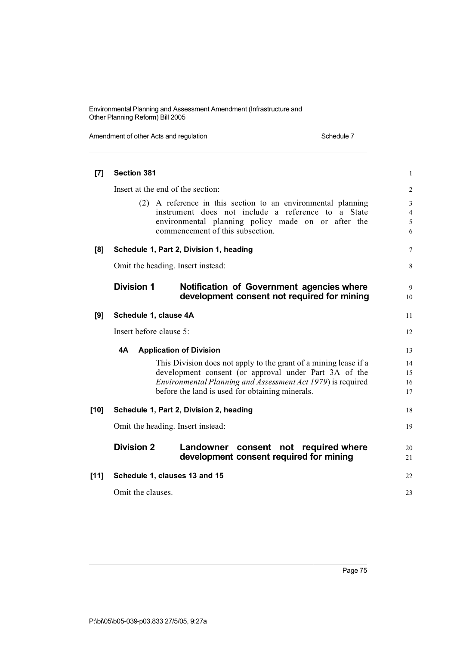| Section 381       |                                                                                          | $\mathbf{1}$                                                                                                                                                                                                                                                                                                                                                                                                                                                                                                                                                                                                                                                                                                                                                                            |
|-------------------|------------------------------------------------------------------------------------------|-----------------------------------------------------------------------------------------------------------------------------------------------------------------------------------------------------------------------------------------------------------------------------------------------------------------------------------------------------------------------------------------------------------------------------------------------------------------------------------------------------------------------------------------------------------------------------------------------------------------------------------------------------------------------------------------------------------------------------------------------------------------------------------------|
|                   |                                                                                          | $\overline{2}$                                                                                                                                                                                                                                                                                                                                                                                                                                                                                                                                                                                                                                                                                                                                                                          |
|                   |                                                                                          | $\mathfrak{Z}$<br>$\overline{4}$<br>5<br>6                                                                                                                                                                                                                                                                                                                                                                                                                                                                                                                                                                                                                                                                                                                                              |
|                   |                                                                                          | $\overline{7}$                                                                                                                                                                                                                                                                                                                                                                                                                                                                                                                                                                                                                                                                                                                                                                          |
|                   |                                                                                          | 8                                                                                                                                                                                                                                                                                                                                                                                                                                                                                                                                                                                                                                                                                                                                                                                       |
| <b>Division 1</b> | Notification of Government agencies where<br>development consent not required for mining | 9<br>10                                                                                                                                                                                                                                                                                                                                                                                                                                                                                                                                                                                                                                                                                                                                                                                 |
|                   |                                                                                          | 11                                                                                                                                                                                                                                                                                                                                                                                                                                                                                                                                                                                                                                                                                                                                                                                      |
|                   |                                                                                          | 12                                                                                                                                                                                                                                                                                                                                                                                                                                                                                                                                                                                                                                                                                                                                                                                      |
| 4A                |                                                                                          | 13                                                                                                                                                                                                                                                                                                                                                                                                                                                                                                                                                                                                                                                                                                                                                                                      |
|                   |                                                                                          | 14<br>15<br>16<br>17                                                                                                                                                                                                                                                                                                                                                                                                                                                                                                                                                                                                                                                                                                                                                                    |
|                   |                                                                                          | 18                                                                                                                                                                                                                                                                                                                                                                                                                                                                                                                                                                                                                                                                                                                                                                                      |
|                   |                                                                                          | 19                                                                                                                                                                                                                                                                                                                                                                                                                                                                                                                                                                                                                                                                                                                                                                                      |
| <b>Division 2</b> | Landowner consent not required where<br>development consent required for mining          | 20<br>21                                                                                                                                                                                                                                                                                                                                                                                                                                                                                                                                                                                                                                                                                                                                                                                |
|                   |                                                                                          | 22                                                                                                                                                                                                                                                                                                                                                                                                                                                                                                                                                                                                                                                                                                                                                                                      |
| Omit the clauses. |                                                                                          | 23                                                                                                                                                                                                                                                                                                                                                                                                                                                                                                                                                                                                                                                                                                                                                                                      |
|                   |                                                                                          | Insert at the end of the section:<br>(2) A reference in this section to an environmental planning<br>instrument does not include a reference to a State<br>environmental planning policy made on or after the<br>commencement of this subsection.<br>Schedule 1, Part 2, Division 1, heading<br>Omit the heading. Insert instead:<br>Schedule 1, clause 4A<br>Insert before clause 5:<br><b>Application of Division</b><br>This Division does not apply to the grant of a mining lease if a<br>development consent (or approval under Part 3A of the<br>Environmental Planning and Assessment Act 1979) is required<br>before the land is used for obtaining minerals.<br>Schedule 1, Part 2, Division 2, heading<br>Omit the heading. Insert instead:<br>Schedule 1, clauses 13 and 15 |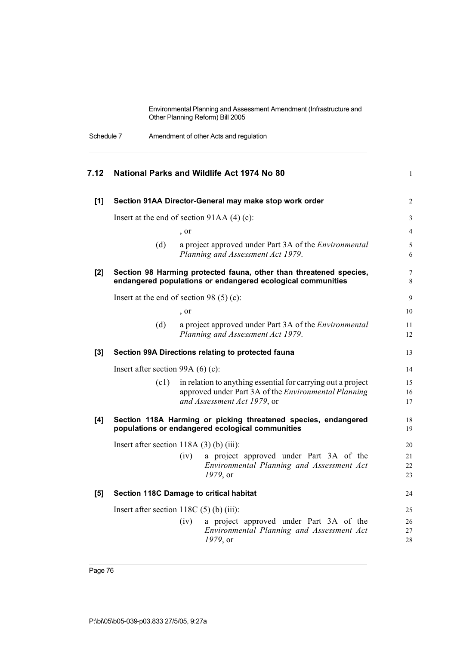Schedule 7 Amendment of other Acts and regulation

| 7.12  | National Parks and Wildlife Act 1974 No 80                                                                                                                  | $\mathbf{1}$         |
|-------|-------------------------------------------------------------------------------------------------------------------------------------------------------------|----------------------|
| $[1]$ | Section 91AA Director-General may make stop work order                                                                                                      | $\overline{2}$       |
|       | Insert at the end of section $91AA(4)$ (c):                                                                                                                 | 3                    |
|       | , or                                                                                                                                                        | 4                    |
|       | (d)<br>a project approved under Part 3A of the Environmental<br>Planning and Assessment Act 1979.                                                           | 5<br>6               |
| [2]   | Section 98 Harming protected fauna, other than threatened species,<br>endangered populations or endangered ecological communities                           | 7<br>8               |
|       | Insert at the end of section 98 $(5)$ (c):                                                                                                                  | 9                    |
|       | , or                                                                                                                                                        | 10                   |
|       | (d)<br>a project approved under Part 3A of the <i>Environmental</i><br>Planning and Assessment Act 1979.                                                    | 11<br>12             |
| $[3]$ | Section 99A Directions relating to protected fauna                                                                                                          | 13                   |
|       | Insert after section 99A $(6)$ (c):                                                                                                                         | 14                   |
|       | in relation to anything essential for carrying out a project<br>(c1)<br>approved under Part 3A of the Environmental Planning<br>and Assessment Act 1979, or | 15<br>16<br>17       |
| [4]   | Section 118A Harming or picking threatened species, endangered<br>populations or endangered ecological communities                                          | 18<br>19             |
|       | Insert after section $118A(3)$ (b) (iii):                                                                                                                   | 20                   |
|       | a project approved under Part 3A of the<br>(iv)<br>Environmental Planning and Assessment Act<br>1979, or                                                    | 21<br>22<br>23       |
| [5]   | Section 118C Damage to critical habitat                                                                                                                     | 24                   |
|       | Insert after section $118C(5)$ (b) (iii):<br>a project approved under Part 3A of the<br>(iv)<br>Environmental Planning and Assessment Act<br>1979, or       | 25<br>26<br>27<br>28 |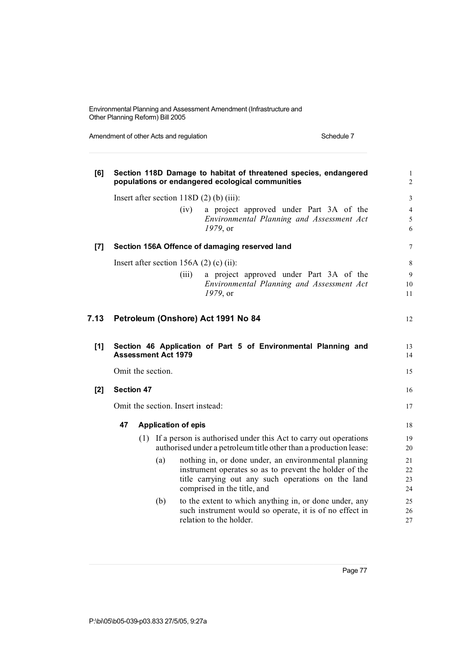| [6]   |                                           |  |                            | Section 118D Damage to habitat of threatened species, endangered<br>populations or endangered ecological communities | $\mathbf{1}$<br>$\overline{c}$ |  |
|-------|-------------------------------------------|--|----------------------------|----------------------------------------------------------------------------------------------------------------------|--------------------------------|--|
|       | Insert after section $118D(2)$ (b) (iii): |  |                            |                                                                                                                      |                                |  |
|       |                                           |  |                            | (iv)<br>a project approved under Part 3A of the                                                                      | $\overline{\mathcal{L}}$       |  |
|       |                                           |  |                            | Environmental Planning and Assessment Act                                                                            | 5                              |  |
|       |                                           |  |                            | 1979, or                                                                                                             | 6                              |  |
| $[7]$ |                                           |  |                            | Section 156A Offence of damaging reserved land                                                                       | 7                              |  |
|       |                                           |  |                            | Insert after section 156A $(2)$ (c) (ii):                                                                            | 8                              |  |
|       |                                           |  |                            | a project approved under Part 3A of the<br>(iii)                                                                     | 9                              |  |
|       |                                           |  |                            | Environmental Planning and Assessment Act                                                                            | 10                             |  |
|       |                                           |  |                            | 1979, or                                                                                                             | 11                             |  |
| 7.13  |                                           |  |                            | Petroleum (Onshore) Act 1991 No 84                                                                                   | 12                             |  |
| [1]   |                                           |  | <b>Assessment Act 1979</b> | Section 46 Application of Part 5 of Environmental Planning and                                                       | 13<br>14                       |  |
|       |                                           |  | Omit the section.          |                                                                                                                      | 15                             |  |
| [2]   | <b>Section 47</b>                         |  |                            |                                                                                                                      | 16                             |  |
|       |                                           |  |                            | Omit the section. Insert instead:                                                                                    | 17                             |  |
|       | 47                                        |  | <b>Application of epis</b> |                                                                                                                      | 18                             |  |
|       |                                           |  |                            | (1) If a person is authorised under this Act to carry out operations                                                 | 19                             |  |
|       |                                           |  |                            | authorised under a petroleum title other than a production lease:                                                    | 20                             |  |
|       |                                           |  | (a)                        | nothing in, or done under, an environmental planning                                                                 | 21                             |  |
|       |                                           |  |                            | instrument operates so as to prevent the holder of the                                                               | 22                             |  |
|       |                                           |  |                            | title carrying out any such operations on the land                                                                   | 23                             |  |
|       |                                           |  |                            | comprised in the title, and                                                                                          | 24                             |  |
|       |                                           |  | (b)                        | to the extent to which anything in, or done under, any                                                               | 25                             |  |
|       |                                           |  |                            | such instrument would so operate, it is of no effect in                                                              | 26                             |  |
|       |                                           |  |                            | relation to the holder.                                                                                              | 27                             |  |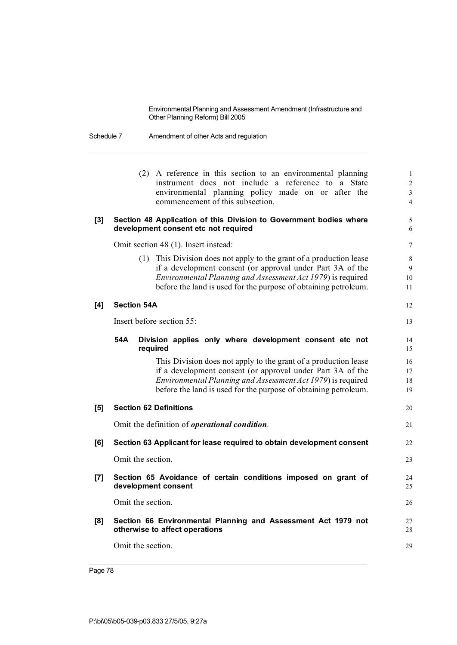Schedule 7 Amendment of other Acts and regulation

|                | (2) A reference in this section to an environmental planning<br>instrument does not include a reference to a State<br>environmental planning policy made on or after the<br>commencement of this subsection.                                                           | $\mathbf{1}$<br>$\overline{2}$<br>$\overline{3}$<br>$\overline{4}$ |
|----------------|------------------------------------------------------------------------------------------------------------------------------------------------------------------------------------------------------------------------------------------------------------------------|--------------------------------------------------------------------|
| $\mathbf{[3]}$ | Section 48 Application of this Division to Government bodies where<br>development consent etc not required                                                                                                                                                             | 5<br>6                                                             |
|                | Omit section 48 (1). Insert instead:                                                                                                                                                                                                                                   | 7                                                                  |
|                | This Division does not apply to the grant of a production lease<br>(1)<br>if a development consent (or approval under Part 3A of the<br>Environmental Planning and Assessment Act 1979) is required<br>before the land is used for the purpose of obtaining petroleum. | 8<br>9<br>10<br>11                                                 |
| [4]            | <b>Section 54A</b>                                                                                                                                                                                                                                                     | 12                                                                 |
|                | Insert before section 55:                                                                                                                                                                                                                                              | 13                                                                 |
|                | 54A<br>Division applies only where development consent etc not<br>required                                                                                                                                                                                             | 14<br>15                                                           |
|                | This Division does not apply to the grant of a production lease<br>if a development consent (or approval under Part 3A of the<br>Environmental Planning and Assessment Act 1979) is required<br>before the land is used for the purpose of obtaining petroleum.        | 16<br>17<br>18<br>19                                               |
| [5]            | <b>Section 62 Definitions</b>                                                                                                                                                                                                                                          | 20                                                                 |
|                | Omit the definition of <i>operational condition</i> .                                                                                                                                                                                                                  | 21                                                                 |
| [6]            | Section 63 Applicant for lease required to obtain development consent                                                                                                                                                                                                  | 22                                                                 |
|                | Omit the section.                                                                                                                                                                                                                                                      | 23                                                                 |
| [7]            | Section 65 Avoidance of certain conditions imposed on grant of<br>development consent                                                                                                                                                                                  | 24<br>25                                                           |
|                | Omit the section.                                                                                                                                                                                                                                                      | 26                                                                 |
| [8]            | Section 66 Environmental Planning and Assessment Act 1979 not<br>otherwise to affect operations                                                                                                                                                                        | 27<br>28                                                           |
|                | Omit the section.                                                                                                                                                                                                                                                      | 29                                                                 |
|                |                                                                                                                                                                                                                                                                        |                                                                    |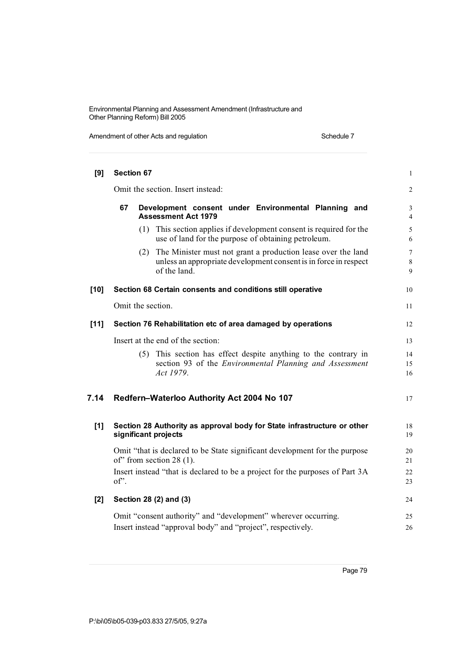| [9]    |                                                                                          | Section 67                                                                                                                                              | 1                        |  |  |  |  |
|--------|------------------------------------------------------------------------------------------|---------------------------------------------------------------------------------------------------------------------------------------------------------|--------------------------|--|--|--|--|
|        | Omit the section. Insert instead:                                                        |                                                                                                                                                         |                          |  |  |  |  |
|        | 67<br>Development consent under Environmental Planning and<br><b>Assessment Act 1979</b> |                                                                                                                                                         |                          |  |  |  |  |
|        |                                                                                          | (1) This section applies if development consent is required for the<br>use of land for the purpose of obtaining petroleum.                              | 5<br>6                   |  |  |  |  |
|        |                                                                                          | The Minister must not grant a production lease over the land<br>(2)<br>unless an appropriate development consent is in force in respect<br>of the land. | $\overline{7}$<br>8<br>9 |  |  |  |  |
| $[10]$ |                                                                                          | Section 68 Certain consents and conditions still operative                                                                                              | 10                       |  |  |  |  |
|        |                                                                                          | Omit the section.                                                                                                                                       | 11                       |  |  |  |  |
| [11]   |                                                                                          | Section 76 Rehabilitation etc of area damaged by operations                                                                                             | 12                       |  |  |  |  |
|        |                                                                                          | Insert at the end of the section:                                                                                                                       | 13                       |  |  |  |  |
|        |                                                                                          | This section has effect despite anything to the contrary in<br>(5)<br>section 93 of the <i>Environmental Planning and Assessment</i><br>Act 1979.       | 14<br>15<br>16           |  |  |  |  |
| 7.14   |                                                                                          | Redfern-Waterloo Authority Act 2004 No 107                                                                                                              | 17                       |  |  |  |  |
| [1]    |                                                                                          | Section 28 Authority as approval body for State infrastructure or other<br>significant projects                                                         | 18<br>19                 |  |  |  |  |
|        |                                                                                          | Omit "that is declared to be State significant development for the purpose<br>of" from section 28 $(1)$ .                                               | 20<br>21                 |  |  |  |  |
|        | of".                                                                                     | Insert instead "that is declared to be a project for the purposes of Part 3A                                                                            | 22<br>23                 |  |  |  |  |
| [2]    |                                                                                          | Section 28 (2) and (3)                                                                                                                                  | 24                       |  |  |  |  |
|        |                                                                                          | Omit "consent authority" and "development" wherever occurring.<br>Insert instead "approval body" and "project", respectively.                           | 25<br>26                 |  |  |  |  |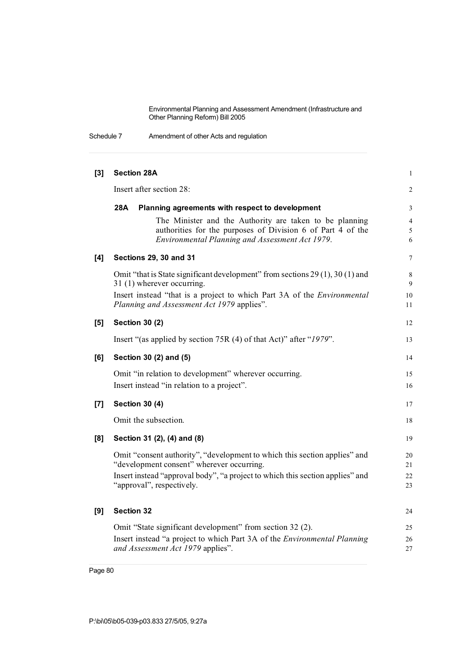Schedule 7 Amendment of other Acts and regulation

| $[3]$ | <b>Section 28A</b>                                                                                                                                                                                                                   | $\mathbf{1}$                      |
|-------|--------------------------------------------------------------------------------------------------------------------------------------------------------------------------------------------------------------------------------------|-----------------------------------|
|       | Insert after section 28:                                                                                                                                                                                                             | 2                                 |
|       | 28A<br>Planning agreements with respect to development                                                                                                                                                                               | 3                                 |
|       | The Minister and the Authority are taken to be planning<br>authorities for the purposes of Division 6 of Part 4 of the<br>Environmental Planning and Assessment Act 1979.                                                            | $\overline{4}$<br>$\sqrt{5}$<br>6 |
| [4]   | <b>Sections 29, 30 and 31</b>                                                                                                                                                                                                        | 7                                 |
|       | Omit "that is State significant development" from sections 29 (1), 30 (1) and<br>31 (1) wherever occurring.<br>Insert instead "that is a project to which Part 3A of the <i>Environmental</i>                                        | 8<br>9<br>10                      |
|       | Planning and Assessment Act 1979 applies".                                                                                                                                                                                           | 11                                |
| [5]   | <b>Section 30 (2)</b>                                                                                                                                                                                                                | 12                                |
|       | Insert "(as applied by section 75R (4) of that Act)" after "1979".                                                                                                                                                                   | 13                                |
| [6]   | Section 30 (2) and (5)                                                                                                                                                                                                               | 14                                |
|       | Omit "in relation to development" wherever occurring.<br>Insert instead "in relation to a project".                                                                                                                                  | 15<br>16                          |
| [7]   | <b>Section 30 (4)</b>                                                                                                                                                                                                                | 17                                |
|       | Omit the subsection.                                                                                                                                                                                                                 | 18                                |
| [8]   | Section 31 (2), (4) and (8)                                                                                                                                                                                                          | 19                                |
|       | Omit "consent authority", "development to which this section applies" and<br>"development consent" wherever occurring.<br>Insert instead "approval body", "a project to which this section applies" and<br>"approval", respectively. | 20<br>21<br>22<br>23              |
| [9]   | <b>Section 32</b>                                                                                                                                                                                                                    | 24                                |
|       | Omit "State significant development" from section 32 (2).                                                                                                                                                                            | 25                                |
|       | Insert instead "a project to which Part 3A of the <i>Environmental Planning</i><br>and Assessment Act 1979 applies".                                                                                                                 | 26<br>27                          |